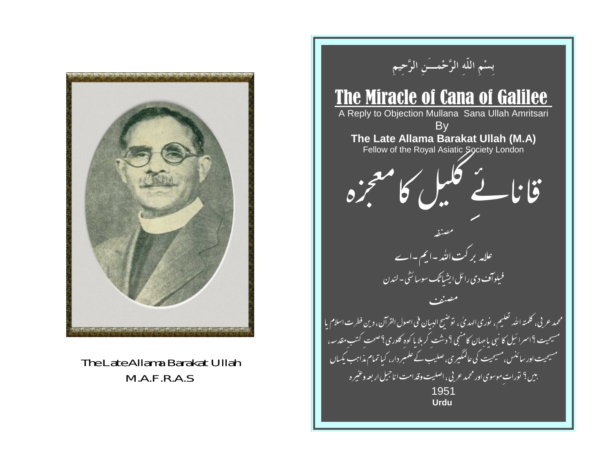

The Late Allama Barakat Ullah  $MA.F.R.A.S$ 

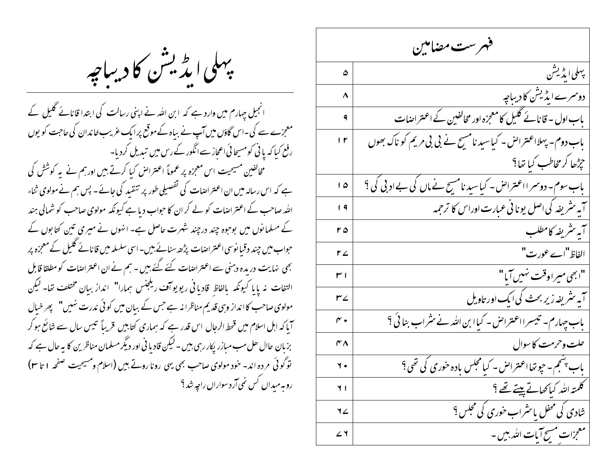پهلی ایڈیشن کا دیباچه

انجیل چہارم میں وارد ہے کہ ابن اللہ نے اپنی رسالت کی ابتدا قانائے گلیل کے معجزے سے کی ۔اس گاؤں میں آپ نے بیاہ کے موقع پرا یک غریب خاندان کی حاجت کو یوں رفع کیا کہ یا ٹی کومسیحا ٹی اعجاز سے انگور کے رس میں تبدیل کردیا۔ مخالفین مسیحیت اس معجزہ پر عموماً اعتراض کیا کرتے ہیں اور ہم نے یہ کوشش کی ہے کہ اس رسالہ میں ان اعتراضات کی تفصیلی طور پر تنقید کی جائے۔ پس ہم نے مولوی ثناء الٹد صاحب کے اعتراضات کو لے کر ان کا حواب دیا ہے کیونکہ مولوی صاحب کو شمالی ہند کے مسلمانوں میں بوجوہ چند درچند شہرت حاصل ہے۔ انہوں نے میری تین کتابوں کے حواب میں چند دقیا نوسی اعتراضات پڑھ سنائے،میں۔اسی سلسلہ میں قانائے گلیل کے معجزہ پر بھی نہایت دریدہ دہنی سے اعتراضات کئے گئے ہیں - ہم نے ان اعتراضات کو مطلقا قابل التفات نه پا با کیونکه بالفاظ قاد با فی ریویو آف ریلجنس ہمارا" انداز بیان مختلف تعا- لیکن مولوی صاحب کا انداز وہی قدیم مناظرا نہ ہے جس کے بیان میں کوئی ندرت نہیں" پھر خیال آیا کہ اہل اسلام میں قحط الرجال اس قدر ہے کہ ہماری کتابیں قریباً تیس سال سے شائع ہو کر بزیان حاال حل مب میازر پکار رہی ہیں ۔ لیکن قادیا فی اور دیگر مسلمان مناظرین کا یہ حال ہے کہ توگوئی مرده اند- خود مولوی صاحب بھی یہی رونا روتے ہیں (اسلام ومسیحیت صفحہ ۱ تا ۲۳) روبه میدان کس نمی آرد سوارا<sub>ل راجی</sub>ه شد ؟

| فهرست مضامين         |                                                               |
|----------------------|---------------------------------------------------------------|
| ۵                    | يبهلى ايڈيشن                                                  |
| ۸                    | دوسرے ایڈیش کا دیباجہ                                         |
| ۹                    | باب اول - قانائے گلیل کامعجزہ اور مخالفین کے اعتراضات         |
| $\mathsf{I}$         | باب دوم۔ پہلااعتراض۔ کیاسید نامسیح نے بی بی مریم کو ناک بھوں  |
|                      | حرِثِها كر مخاطب كيا تِها؟                                    |
| ۵ ا                  | باب سوم۔ دوسمر ااعتراض ۔ کیاسید نامسیح نے ماں کی بے ادبی کی ؟ |
| ۹                    | آیه مثریفه کی اصل یونا فی عبارت اوراس کا ترجمه                |
| ۲۵                   | آبه تثريفه كامطلب                                             |
| م ۲                  | الفاظ "اے عورت"                                               |
| ا س                  | "ابھی میراوقت نہیں آیا"                                       |
| ٣۷                   | آیہ مثر یفہ زیر بحث کی ایک اور تاویل                          |
| $\mathsf{r} \bullet$ | باب چہارم۔ تیسرا اعتراض - کیاا بن اللہ نے نثراب بنا ٹی ؟      |
| ۴۸                   | حلت وحرمت كاسوال                                              |
| $\mathbf{y}$         | باب بشجم۔ حیوتھااعتراض۔ کیامجلس یادہ خوری کی تھی؟             |
| $\blacksquare$       | كلمته الله كباكهائے پيئے تھے ؟                                |
| ٦∠                   | <u> ثنادی کی محفل با نثراب خوری کی محلس ؟</u>                 |
| ۷                    | معجزات مسح آبات الله بين -                                    |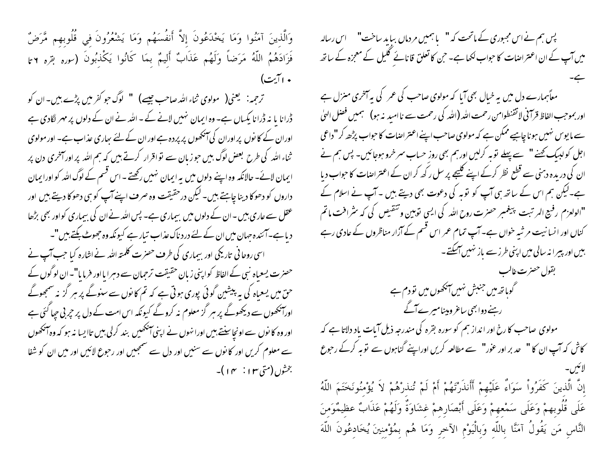وَالَّذِينَ آمَنُوا وَمَا يَخْدَعُونَ إِلاَّ أَنفُسَهُم وَمَا يَشْعُرُونَ في قُلُوبهم مَّرَضٌ فَزَادَهُمُ اللَّهُ مَرَضاً وَلَهُم عَذَابٌ أَلِيمٌ بِمَا كَانُوا يَكْذِبُونَ (سِرِهِ بِقِرهِ ٢ تا • اآيت)

ترحمه: ' یعنی( ' مولوی ثناء الله صاحب جیسے) " لوگ حو کفر میں پڑے بیں۔ان کو ڈرانا یا نہ ڈرانا پکساں ہے۔ وہ ایمان نہیں لانے کے - الٹد نے ان کے دلوں پر مہر لگادی ہے اوران کے کا نوں پر اوران کی آنکھوں پر پردہ ہے اور ان کے لئے ساری عذاب ہے۔ اور مولوی ثناء اللہ کی طرح بعض لوگ بیں حوز مان سے تو اقرار کرتے ہیں کہ ہم اللہ پر اور آمخری دن پر ایمان لائے۔ حالانکہ وہ اپنے دلوں میں یہ ایمان نہیں رکھتے ۔ اس قسم کے لوگ املہ کو اورایمان داروں کو دھوکا دینا چاہتے ہیں۔ لیکن درحقیقت وہ صرف اپنے آپ کو ہی دھوکا دیتے ہیں اور عقل سے عاری ہیں ۔ان کے دلوں میں بیماری ہے۔ پس اللہ نے ان کی بیماری کواور بھی بڑھا د باہے۔آئندہ جہان میں ان کے لئے درد ناک عذاب تیار ہے کیونکہ وہ جھوٹ بکتے ہیں"۔ اسی روحا فی تاریکی اور بیماری کی طرف حصرت کلمته الله نے اشارہ کیا جب آپ نے حصرت یسعیاہ نہی کے الفاظ کواپنی زبان حقیقت ترحمان سے دہرا یااور فرمایا"۔ان لوگوں کے حن میں یسعیاہ کی یہ پیشین گوئی پوری ہوتی ہے کہ تم کانوں سے سنوگے پر ہر گزیہ سمجھوگے اورآنکھوں سے دیکھوگے پر ہر گز معلوم نہ کروگے کیونکہ اس امت کے دل پر جربی جیا گئی ہے اور وہ کا نوں سے اونچاسنتے ہیں اورا نہوں نے اپنی آنکھیں بند کرلی بیں تاایسا نہ ہو کہ وہ آنکھوں سے معلوم کریں اور کا نوں سے سنیں اور دل سے سمجھیں اور رحوع لائیں اور میں ان کو شفا بخثوں (متى ١٣ : ٢٧ )-

پس ہم نے اس مجبوری کے ماتحت کہ " با ہمیں مردماں بباید ساخت" اس رسالہ میں آپ کے ان اعتراضات کا حبواب لکھا ہے۔ حن کا تعلق قانائے گلیل کے معمِزہ کے ساتھ معاًہمارے دل میں یہ خیال بھی آیا کہ مولوی صاحب کی عمر کی یہ آخری منزل ہے اور بموجب الفاظ قرآنی لا تقنطوامن رحمت الله (الله کی رحمت سے ناامید نہ ہو) ہمیں فصل الهیٰ سے ما یوس نہیں ہونا چاہیے ممکن ہے کہ مولوی صاحب اپنے اعتر اضات کا حواب پڑھ کر "داعی اجل کولہیک کھنے" سے پہلے نوبہ کرلیں اورہم بھی روز حساب سمرخرو ہوجائیں۔ پس ہم نے ان کی دریدہ دہنی سے قطع نظر کرکے اپنے گلیجے پر سل رکھ کران کے اعتراضات کا حواب دیا ہے۔لیکن ہم اس کے ساتھ ہی آپ کو توبہ کی دعوت بھی دیتے ہیں ۔آپ نے اسلام کے "الولعزم رفيع المرتبت پبيغمبر حصرت روح الله كى ايسى توبين وتنقيص كى كه سثرافت ماتم کناں اور انسانیت مر ثبہ خواں ہے۔ آپ تمام عمر اس قسم کے آزار مناظروں کے عادی رہے <u>ہیں اور پیرا نہ سالی میں اپنی طرز سے باز نہیں آسکتے۔</u> بقول حصرت غالب گوہاتھ میں جنبش نہیں آنکھوں میں تودم ہے رہنے دوابھی ساعر ومینامیرے آگے مولوی صاحب کارخ اور انداز ہم کو سورہ بقرہ کی مندرجہ ذیل آیات یاد دلاتا ہے کہ کاش کہ آپ ان کا " حد بر اور عوٰر" سے مطالعہ کریں اوراپنے گناہوں سے نوبہ کرکے رحوع

إِنَّ الَّذِينَ كَفَرُواْ سَوَاءٌ عَلَيْهِمْ أَأَنذَرْتَهُمْ أَمْ لَمْ تُنذرْهُمْ لاَ يُؤْمِنُونَخَتَمَ اللَّهُ عَلَى قُلُوبهمْ وَعَلَى سَمْعهمْ وَعَلَى أَبْصَارِهمْ غشَاوَةٌ وَلَهُمْ عَذَابٌ عظيمُوَمنَ النَّاسِ مَن يَقُولُ آمَنَّا بِاللَّهِ وَبِالْيَوْمِ الآخرِ وَمَا هُم بِمُؤْمِنِينَ يُخَادِعُونَ اللَّهَ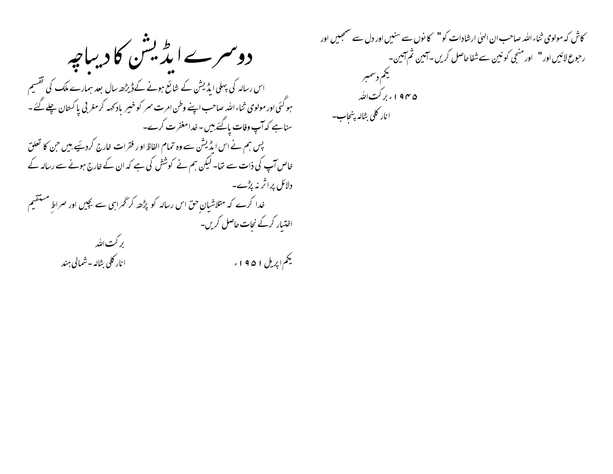دوسرےایڈیشن کا دیباجہ اس رسالہ کی پہلی ایڈیشن کے شائع ہونے کےڈیڑھ سال بعد ہمارے ملک کی تقسیم ہو گئی اور مولوی ثناء اللہ صاحب اپنے وطن امرت سمر کو خیبر باد کہہ کر مغربی پاکستان چلے گئے۔ سناہے کہ آپ وفات پائے ہیں - خدامغفرت کرے۔ پس ہم نے اس ایڈیشن سے وہ تمام الفاظ او ر فقرات خارج کردئیے ہیں جن کا تعلق خاص آپ کی ذات سے نتا۔ لیکن ہم نے کوشش کی ہے کہ ان کے خارج ہونے سے رسالہ کے دلائل پراثر نہ پڑے۔ خدا کرے کہ متلاشیانِ حق اس رسالہ کو پڑھ کر گھراہی سے بچیں اور صراطِ مستقیم اختیار کرکے نجات حاصل کریں۔ بر کت الله سیم <sub>اپریل</sub> ۱۹۵۱ء انار کلی بٹالہ -شمالی ہند

کاش کہ مولوی ثناء اللہ صاحب ان الهیٰ ارشادات کو" کا نوں سے سنیں اور دل سے سمجھیں اور رحوع لائيں اور " اور منجی کو نين سے شفا حاصل کريں۔آمين ثم آمين۔ يجم دسمبر ۱۹۴۵ کې کټ الله انار كلى بٹالہ بنجاب-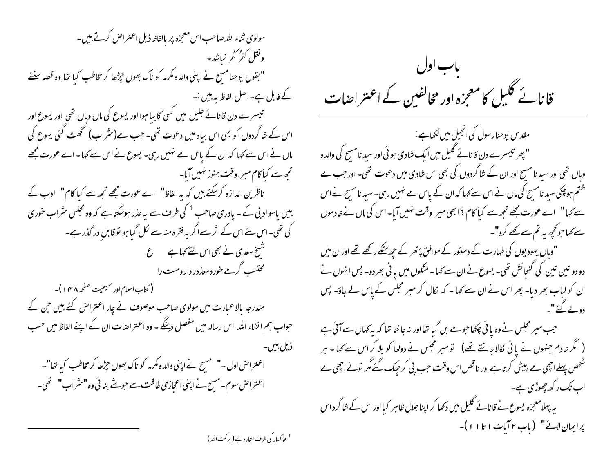مولوی ثناءالله صاحب اس معجزه پر بالفاظ ذیل اعتراض کرتے ہیں۔ ونقل كفر كفر نباشد-" بقول یوحنامسیح نے اپنی والدہ مکرمہ کو ناک بھوں حیڑھا کر مخاطب کیا تھا وہ قصہ سننے کے قابل ہے۔اصل الفاظ ہے، پیں :۔ تبیسرے دن قانائے جلیل میں کسی کا بیا ہوا اور یسوع کی ماں وہاں تھی اور یسوع اور اس کے شاگردوں کو بھی اس بیاہ میں دعوت تھی۔ جب مے(سٹراب) تھُ ٹے گئی یسوع کی ماں نے اس سے کہا کہ ان کے پاس مے نہیں رہی۔ یسوع نے اس سے کہا۔اے عورت مجھے تحجھ سے کیا کام میراوقت ہنوز نہیں آیا۔ ناظرین اندازہ کرسکتے ہیں کہ یہ الفاظ" اے عورت مجھے تجھ سے کیا کام" ادب کے بیں باسواد بی کے۔ یادری صاحب<sup>1</sup> کی طرف سے یہ عذر ہوسکتا ہے کہ وہ مجلس سثراب خوری کی تھی۔اس لئے اس کے اثر سے اگر یہ فقرہ منہ سے نکل گیا ہو تو قابل در گذر ہے۔ شیخ سعدی نے بھی اس لئے کہاہے *گ* محتسب گرمے خور دمعذ در دار ومست را ( کتاب اسلام اور مسیحیت صفحه ۱۴۸ )-مندرجہ بالاعمارت میں مولوی صاحب موصوف نے چار اعتراض کئے بیں حن کے حبواب ہم انشاء اللہ اس رسالہ میں مفصل دینگے - وہ اعتراضات ان کے اپنے الفاظ میں حسب ذیل بین۔ اعتراض اول -" مسیح نے اپنی والدہ مکرمہ کو ناک بھوں حٖڑھا کر مخاطب کیا تھا"۔ اعتراض سوم-مسیح نے اپنی اعجازی طاقت سے حوشے بنائی وہ "سٹراب" تھی۔



مقد س یوحنارسول کی انجیل میں لکھاہے :-" بھر تنیسرے دن قانائے گلیل میں ایک شادی ہو ئی اور سید نامسح کی والدہ وباں تھی اور سید نا مسیح اور ان کے شاگردوں کی بھی اس شادی میں دعوت تھی۔ اور جب مے ختم ہوچکی سید نامسح کی ماں نے اس سے کہا کہ ان کے پاس مے نہیں رہی۔ سید نامسح نے اس سے کہا" اے عورت مجھے تجھ سے کیا کام ؟ابھی میراوقت نہیں آیا-اس کی ماں نے خادموں سے کہا جو گجھہ یہ تم سے کھے کرو"۔ " وہاں یہودیوں کی طہارت کے دستور کے موافق پتھر کے ح<u>چہ مٹک</u>ے رکھے تھے اوران میں دو دو تین تین کی کنجائش تھی۔ یسوع نے ان سے کہا۔مثکوں میں یا فی بھر دو- پس انہوں نے ان کو لباب بھر دیا۔ پھر اس نے ان سے کہا ۔ کہ لکال کر میر مجلس کے پاس لے جاؤ۔ پس دولے گئے"۔ جب میر مجلس نے وہ یا نی چکھا حومے بن گیا تھااور نہ جا نتا تھا کہ بہ کھاں سے آئی ہے ( گمر خادم جنہوں نے پانی کالا جانتے تھے) تو میر مجلس نے دولھا کو بلا کر اس سے کہا ۔ ہر شخص پہلے اچھی مے پیش کرتاہے اور ناقص اس وقت حب پی کر حیک گئے مگر تونے اچھی ہے اب تک ر کھ چھوڑی ہے۔ یہ پہلامعجزہ یسوع نے قانائے گلیل میں دکھا کر اپنا جلال ظاہر کیااور اس کے شاگرداس

برايمان لائس" (باب ٢٢بات ١ تا ١ ١ )-

<sup>1</sup> خاکسار کی طرف اشارہ ہے ( بر کت اللہ )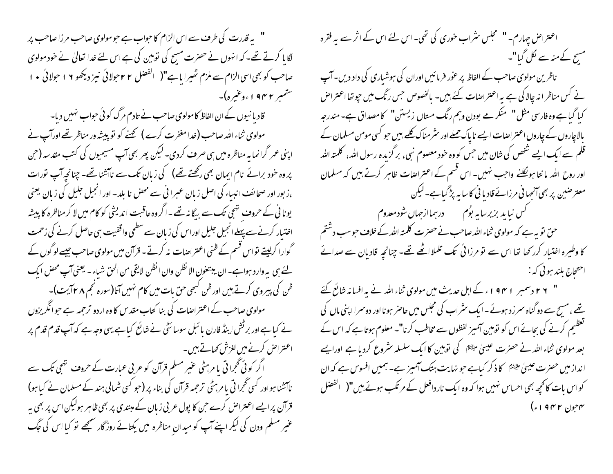" په قدرت کې طرف سے اس الزام کا حواب ہے حو مولوی صاحب مرزا صاحب پر لگایا کرتے تھے۔کہ انہوں نے حصرت مسح کی نوبین کی ہے اس لئے خدا تعالیٰ نے خود مولوی صاحب کو بھی اسی الزام سے ملزم تھیرا با ہے"( الفصل ٢ ٢ حولائی نیز دیکھو ١٩ حولائی • ١ ستمبر ۱۹۴۲ءوغیرہ)۔

قادیا نیوں کے ان الفاظ کامولوی صاحب نے تادم مرگ کوئی حواب نہیں دیا۔ مولوی ثناء اللہ صاحب (فدامغفرت کرے ) تھنے کو تو پیشہ ور مناظر تھے اورآپ نے اپنی عمر گرانما یہ مناظرہ میں ہی صرف کردی۔ لیکن پھر بھی آپ مسیحیوں کی کتب مقدسہ (<sup>ح</sup>ن پر وہ حود برائے نام ایمان بھی رکھتے تھے) کی زبان تک سے ناآشنا تھے۔ چنانچہ آپ نورات ،ز بور اور صحائف انبیاء کی اصل زبان عبرا فی سے محص نا بلد۔ اور انجیل جلیل کی زبان یعنی یونا ٹی کے حروف تہجی تک سے بیگا نہ تھے ۔اگروہ عاقبت اندیشی کو کام میں لا کر مناظرہ کا پیشہ اختیار کرنے سے پہلے انجیل جلیل اوراس کی زبان سے سطحی واقفیت ہی حاصل کرنے کی زحمت گوارا کرلیتے نواس قسم کے ظنی اعتراضات نہ کرتے۔ قرآن میں مولوی صاحب جیسے لوگوں کے لئے ہی یہ وارد ہواہے۔ان یبتغون الا نظن وان انظن لایقی من الحق شیاء - یعنی آپ محض ایک ظن کی پیروی کرتے ہیں اور ظن کبھی حق بات میں کام نہیں آتا(سورہ نجم ۸ ۲ آیت)۔ مولوی صاحب کے اعتراضات کی بنا کتاب مقدس کا وہ اردو ترجمہ ہے جوانگریزوں نے کیا ہے اور بر ٹش اینڈ فارن یا ئبل سوسائٹی نے شائع کیا ہے یہی وجہ ہے کہ آپ قدم قدم پر اعتراض کرنے میں لغزش کھاتے ہیں۔

اگر کوئی گجرا تی یا مرہٹی عنیر مسلم قرآن کو عربی عبارت کے حروف تہجی تک سے ناآشنا ہواور کسی تحجرا تی یا مرہٹی ترحمہ قرآن کی بناء پر (جو کسی شمالی ہند کے مسلمان نے کیا ہو) قرآن پر ایسے اعتراض کرے حن کا پول عربی زبان کے مبتدی پر بھی ظاہر ہولیکن اس پر بھی ہہ عنیر مسلم ودن کی لیکر اپنے آپ کو میدان مناظرہ میں یکتائے روزگار سمجھے تو کیا اس کی جگ

اعتراض چہارم۔ " محجلس سٹراب خوری کی تھی۔اس لئے اس کے اثر سے یہ فقرہ مسیح کے منہ سے نکل گیا"۔ ناظرین مولوی صاحب کے الفاظ پر عور فرمائیں اوران کی ہوشباری کی داد دیں۔ آپ نے کس مناظر انہ چالا کی ہے یہ اعتراضات کئے بیں۔ مالخصوص جس رنگ میں جو تھا اعتراض کیا گیاہے وہ فارسی مثل " منکر مے بودن وہم رنگ مسال زیستن" کامصداق ہے۔مندرجہ بالاچاروں کے چاروں اعتراضات ایسے ناپاک حملے اور سثر مناک کلیے بیں حبو کسی مومن مسلمان کے قلم سے ایک ایسے شخص کی شان میں حس کو وہ خود معصوم نبی، برگزیدہ رسول اللہ، کلمتہ اللہ اور روح اللہ ما نتا ہو لُکلنے واجب نہیں۔ اس قسم کے اعتراضات ظاہر کرتے ہیں کہ مسلمان معتر صبین پر بھی آنجہا نی مرزائے قادیا ٹی کا سا ہہ بڑ گیاہے۔لیکن حق نو بہ ہے کہ مولوی ثناء اللہ صاحب نے حصرت کلمتہ اللہ کے خلاف حبوسب دشتم کا وطیرہ اختیار کررتھا تھا اس سے نو مرزائی ک<sup>ہ</sup>ک تلملا اٹھے تھے۔ چنانچہ قادبان سے صدائے احتحاج بلند ہو ٹی کہ :-" ۲ ۲ دسمبر ۱ ۹۴ اء کے اہل حدیث میں مولوی ثناءاللہ نے یہ افسانہ شائع کئے تھے ، مسح سے دو گناہ سمر زد ہوئے۔ایک سٹراپ کی مجلس میں حاصر ہونا اور دوسمرا اپنی ماں کی گفتگیم کرنے کی بجائے اس کو نوبین آمیز لفظوں سے مخاطب کرنا"۔ معلوم ہوتا ہے کہ اس کے بعد مولوی ثناء اللہ نے حصرت عیسیٰ علیَّتَا کی توہین کا ایک سلسلہ سٹروع کردیا ہے اورایے انداز میں حصرت عیسیٰ علیَّتَا کا ذکر کیاہے جو نہایت ہتک آمیز ہے۔ ہمیں افسوس ہے کہ ان کواس بات کانحیھ بھی احساس نہیں ہوا کہ وہ ایک ناردافعل کے مرتکب ہوئے بیں"( انفضل ۴جون ۱۹۴۲ء)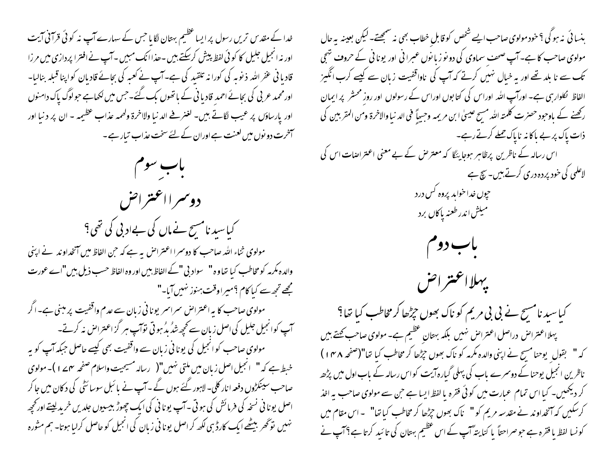خدا کے مقدس تریں رسول پر ایسا عظیم بہتان لگایا جس کے سہارے آپ نہ کوئی قرآنی آیت اور نہ انجیل جلیل کا کوئی لفظ پیش کرسکتے ہیں ۔حذاانک مبیں ۔آپ نے افترا پردازی میں مرزا قادیا فی عفر اللہ ذیوبہ کی کورا نہ تلقید کی ہے۔آپ نے کعبہ کی بحائے قادیان کواپنا قبلہ بنالیا۔ اور محمد عربی کی بجائے احمد قادیا فی کے ہاتھوں بک گئے۔جس میں لکھاہے جولوگ پاک دامنوں اور يارساؤں پر عيب لگاتے ہيں۔ لغنر فے الد نيا ولااخرۃ ولھمہ عذاب عظيمہ - ان پر د نيا اور آخرت دو نوں میں لعنت ہے اوران کے لئے سخت عذاب تیار ہے ۔

باب سوم

دوسمرا اعتتراض کیا سید نامسح نے ماں کی بےاد بی کی تھی؟ مولوی ثناء الله صاحب کا دوسرا اعتراض به ہے کہ حن الفاظ میں آنخداوند نے اپنی والدہ مکرمہ کو مخاطب کیا تھاوہ" سواد بی "کے الفاظ بیں اور وہ الفاظ حسب ذیل بیں"اے عورت مجھے تجھ سے کیا کام ؟میراوقت ہنوز نہیں آیا۔" مولوی صاحب کا یہ اعتراض سراسر یونانی زبان سے عدم واقفیت پر مبنی ہے۔اگر آپ کوانجیل جلیل کی اصل زیان سے کجھ شڈ بڈ ہو تی توآپ ہر گز اعتراض نہ کرتے۔ مولوی صاحب کوانجیل کی یونانی زبان سے واقفیت بھی کیسے حاصل جبکہ آپ کو یہ خبط ہے کہ " انجیل اصل زبان میں ملتی نہیں"( رسالہ مسیحیت واسلام صفحہ مہمے ا)۔مولوی صاحب سینکڑوں دفعہ انار کلی۔ لاہور گئے ہوں گے۔ آپ نے بائبل سوسائٹی کی دکان میں جا کر اصل یونا فی نسخه کی فرمائش کی ہوتی ۔آپ یونا فی کی ایک چھوڑ بیسیوں جلدیں خرید لیتے اور تحچیہ نہیں تو گھر بیٹھے ایک کارڈ ہی لکھ کر اصل یونا فی زبان کی انجیل کو حاصل کرلیا ہوتا۔ ہم مثورہ

ہنسا ئی نہ ہو گی ؟ خود مولوی صاحب ایسے شخص کو قابل خطاب بھی نہ سمجھتے۔ لیکن بعینہ یہ حال مولوی صاحب کا ہے۔ آپ صحف سماوی کی دو نو زیانوں عبرانی اور یونانی کے حروف شجی تک سے نا بلد تھے اور بہ خیال نہیں کرتے کہ آپ کی ناواقفیت زبان سے کیسے کرب انگیز الفاظ نکلوار ہی ہے۔ اورآپ اللہ اوراس کی کتابوں اوراس کے رسولوں اور روز محشر پر ایمان رکھنے کے باوجود حصرت کلمتہ اللہ مسح عیسیٰ ابن مریمہ وحسیاً فی الد نبا والاخرۃ ومن المقربین کی ذات پاک پر بے پاکا نہ ناپاک حملے کرتے رہے۔ اس رسالہ کے ناظرین پرظاہر ہوجا یٹکا کہ معترض کے بے معنی اعتراضات اس کی لاعلمی کی خود بردہ دری کرتے ہیں۔ سچ ہے حپوں خدا خواہد پروہ <sup>کس</sup> درد میکش اندر طعنه پاکال برد باب دوم يهلااعتتراض کیاسید نامسج نے بی بی مریم کو ناک بھوں جڑھا کر مخاطب کیا تھا؟ پہلااعتراض دراصل اعتراض نہیں بلکہ بہتان عظیم ہے۔مولوی صاحب کھتے ہیں کہ " بقول یوحنا مسح نے اپنی والدہ مکرمہ کو ناک بھوں جڑھا کر مخاطب کیا تھا"(صفحہ ۱۴۸) ناظرین انجیل یوحنا کے دوسرے ماب کی پہلی گبارہ آیت کواس رسالہ کے باب اول میں پڑھ کر دیکھیں۔ کیا اس تمام عمارت میں کوئی فقرہ یا لفظ ایسا ہے جن سے مولوی صاحب بہ اخذ کرسکیں کہ آتخداوند نے مقدسہ مریم کو " ناک بھوں جڑھا کر مخاطب کیا تھا" ۔اس مقام میں کو نسا لفظ ما فقرہ ہے حوصراحتاً یا کنا یتۂ آپ کے اس عظیم بہتان کی تا ئید کرتا ہے؟ آپ نے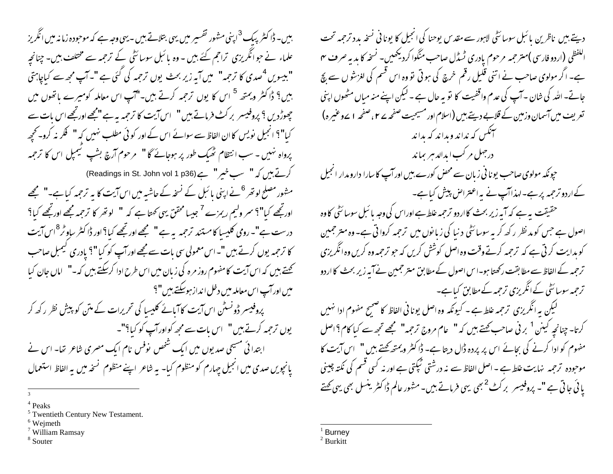بیں۔ ڈاکٹر پبک <sup>3</sup>اپنی مشور تفسیر میں یہی بتلاتے ہیں - یہی و*جہ ہے کہ موج*ودہ زمانہ میں انگریز علماء نے حبوانگریزی تراحم کئے بیں - وہ پائبل سوسائٹی کے ترحمہ سے مختلف ہیں۔ چنانچہ "بیسویں <sup>4</sup>صدی کا ترحمہ" میں آبہ زیر بحث یوں ترحمہ کی گئی ہے "۔آپ مجھ سے کیاجاہتی بیں؟ ڈاکٹر ویمتھ <sup>5</sup> اس کا یوں ترحمہ کرتے ہیں۔"آپ اس معاملہ کومیرے باتھوں میں چھوڑدیں ؟ پروفیسر بر کٹ فرماتے ہیں " اس آیت کا ترحمہ یہ ہے "مجھے اورتجھے اس بات سے کیا"؟ انجیل نویس کاان الفاظ سے سوائے اس کے اور کو ٹی مطلب نہیں کہ " فکر نہ کرو۔ تحجیہ پرواہ نہیں ۔ سب انتظام ٹھیک طور پر ہوجائے گا " مرحوم آرچ بشپ ٹیمبل اس کا ترجمہ کرتے ہیں کہ "سب خیر " ہے (Readings in St. John vol 1 p36) مشہور مصلح لو تھر <sup>6</sup>نے اپنی پائبل کے نسخہ کے حاشیہ میں اس آیت کا بہ ترحمہ کیا ہے۔" مجھے اورتجھ کیا"؟ سمر ولیم ریمزے <sup>7</sup> جیسا محقق بہی کھتا ہے کہ " لو تھر کا ترحمہ مجھے اورتجھے کیا؟ درست ہے"۔روی کلیسا کامستند ترحمہ بہ ہے" مجھے اور تجھے کیا؟ اور ڈاکٹر ساوٹر<sup>8</sup>اس آیت کا ترحمہ یوں کرتے ہیں "۔اس معمولی سی بات سے مجھے اور آپ کو کیا "؟ یادری کیمبل صاحب کھتے بیں کہ اس آیت کامفہوم روز مرہ کی زبان میں اس طرح ادا کرسکتے ہیں کہ-" اماں جان کیا میں اور آپ اس معاملہ میں دخل انداز ہوسکتے ہیں "؟ پروفیسر ڈونسٹن اس آیت کا آیائے کلیسا کی تحریرات کے متن کو پیش نظر رکھ کر یوں ترجمہ کرتے ہیں" اس مات سے مجھ کواورآپ کو کیا؟"۔ ابتدا ئی مسیحی صدیوں میں ایک شخص نوفس نام ایک مصری شاعر تھا۔ اس نے پانچویں صدی میں انجیل جہارم کو منظوم کیا- بہ شاعر اپنے منظوم گنجہ میں بہ الفاظ استعمال

- $6$  Wejmeth
- $7$  William Ramsay
- <sup>8</sup> Souter

دیتے ہیں ناظرین پائبل سوسائٹی لاہور سے مقدس پوحنا کی انجیل کا یونانی نسخہ بدد ترجمہ تحت اللفظي (اردو فارسي **)مترحمه** مرحوم پادري ٹسڈل صاحب منگوا کردیکھیں۔ نسخه کا پدیہ صر**ف** ہ<del>ہ</del> ہے۔ اگر مولوی صاحب نے اتنی قلیل رقم خرچ کی ہوتی تو وہ اس قسم کی لغزشوں سے پچ جانے۔ اللہ کی شان ۔ آپ کی عدم واقفیت کا نوّ یہ حال ہے ۔ لیکن اپنے منہ میاں مٹھوں اپنی تعریف میں آسمان وزمین کے قلابے دیتے ہیں (اسلام اور مسیحیت صفحہ کے ۲، صفحہ ۱ کےوعیمرہ) سمنگس که نداند وبداند که بداند درجهل مرکب ایدالد مبر بماند حپونکہ مولوی صاحب یونا فی زبان سے محض کورے ہیں اور آپ کا سارا دارو مدار انجیل کےاردو ترجمہ پرہے۔لہذاآپ نے بہ اعتراض پیش کیاہے۔ حقیقت یہ ہے کہ آیہ زیر بحث کااردو ترجمہ غلط ہے اوراس کی وجہ یا ئبل سوسائٹی کاوہ اصول ہے جس کو مد نظر رکھ کر یہ سوسائٹی د نیا کی زیانوں میں ترجمہ کروا تی ہے۔ وہ متر جمین کو بدایت کرتی ہے کہ ترجمہ کرتے وقت وہ اصل کوشش کریں کہ حو ترجمہ وہ کریں وہ انگریزی ترحمہ کے الفاظ سے مطابقت رکھتا ہو۔ا س اصول کے مطابق متر حمین نے آیہ زیر بحث کا اردو ترحمہ سوسائٹی کے انگریزی ترحمہ کےمطابق کیاہے۔ گیکن پہ انگریزی ترحمہ علط ہے ۔ کیونکہ وہ اصل یونا فی الفاظ کا صحیح مفهوم ادا نہیں کرتا- چنانچہ کینن <sup>1</sup> بر ٹی صاحب کہتے ہیں کہ " عام مروج ترحمہ" مجھے تجھ سے کیا کام ؟اصل مفہوم کو ادا کرنے کی بجائے اس پر پردہ ڈال دیتا ہے۔ ڈاکٹر ویمتھ کھتے ہیں " اس آیت کا موحبودہ ترجمہ نہایت علط ہے ۔اصل الفاظ سے نہ درشتی ٹیکتی ہے اور نہ کسی قسم کی نکتہ چینی یائی جاتی ہے "۔ پروفیسر بر کٹ<sup>2</sup> بھی یہی فرماتے ہیں۔ مشور عالم ڈاکٹر ینسل بھی یہی <del>ک</del>تے

**Burney** 

Peaks

<sup>&</sup>lt;sup>5</sup> Twentieth Century New Testament.

 $2$  Burkitt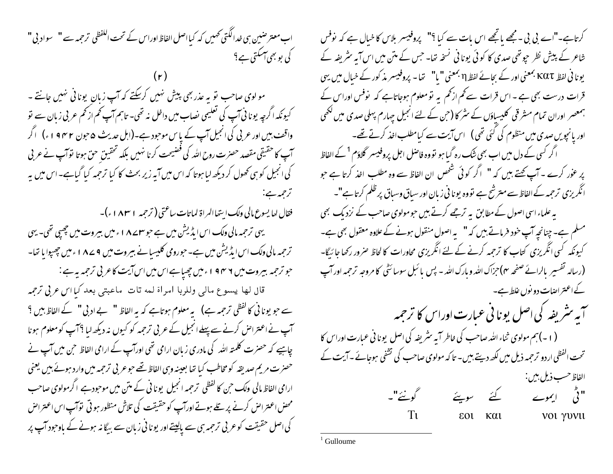اب معتر صبین ہی خدالکَتی تھمیں کہ کیااصل الفاظ اوراس کے تحت الکفظی ترحمِہ سے " سواد بی" کی بو بھی آسکتی ہے؟

مو لوی صاحب تو به عذر بھی پیش نہیں کرسکتے کہ آپ زبان پونانی نہیں جانتے ۔ کیونکہ اگرچہ یونا ٹی آپ کی تعلیمی نصاب میں داخل نہ تھی۔ تاہم آپ کم از کم عربی زبان سے تو واقف بیں اور عربی کی انجیل آپ کے پاس موحبود ہے۔(اہل حدیث ۵حبون ۴۴۲ و ۱ ء) ۔اگر آپ کا حقیقی مقصد حصرت روح اللہ کی فضیحت کرنا نہیں بلکہ تحقیق حق ہوتا توآپ نے عربی کی انجیل کو ہی کھول کر دیکھ لیا ہوتا کہ اس میں آیہ زیر بحث کا کیا ترجمہ کیا گیاہے۔اس میں یہ ترحمه ہے:

فقال لعا يسوع مالي ولك ايتفاالمراة لماتات ساعتي (ترجمه ١٨٣١ء) -

یہی ترجمہ مالی ولک اس ایڈیشن میں ہے حوس A ۷ ءمیں بیروت میں چھپی تھی۔ یہی ترحمہ مالی ولک اس ایڈیشن میں ہے۔حورومی کلیسیانے بیروت میں 4 ے ۱۸ ء میں چھپوایا تھا-

جو ترجمہ بیروت میں ۶ ۴ 9 اءمیں چھپاہےاس میں اس آیت کاعربی ترجمہ یہ ہے : قال لها يسوع مالي وللربا امراة لمه تات ماعبتي بعد كيا اس عرفي ترجمه سے حو یونا ٹی کا گفظی ترحمہ ہے) یہ معلوم ہوتاہے کہ یہ الفاظ " بے ادبی " کے الفاظ بیں ؟ آپ نے اعتراض کرنے سے پہلے انجیل کے عربی ترجمہ کو کیوں نہ دیکھ لیا ؟آپ کومعلوم ہونا چاہیے کہ حصرت کلمتہ اللہ کی مادری زبان ارامی تھی اورآپ کے ارامی الفاظ حن میں آپ نے حصرت مریم صدیقہ کو مخاطب کیا تھا بعینہ وہی الفاظ تھے جوعر بی ترحمہ میں وارد ہوئے ہیں یعنی ارامی الفاظ مالی ولک حن کا لفظی ترحمہ انجیل یونا فی کے متن میں موحود ہے اگرمولوی صاحب محص اعتراض کرنے پر تلے ہوتے اورآپ کو حقیقت کی تلاش منظور ہو تی توآپ اس اعتراض کی اصل حقیقت کوعر ٹی ترحمہ ہی سے پالیتے اور یونا فی زبان سے بیگا نہ ہونے کے باوحود آپ پر

کرتاہے۔"اے بی بی ۔مجھے پانچھے اس مات سے کیا ؟" پروفیسر بلاس کا خبال ہے کہ نوفس شاعر کے پیش نظر حیوتھی صدی کا کوئی یونانی نسخہ تھا۔ جس کے متن میں اس آیہ سٹریفہ کے یونا فی لفظ KQT بمعنی اور کے بجائے لفظP بمعنی " یا" تھا۔ پروفیسر مذ کور کے خیال میں یہی قرات درست بھی ہے ۔اس قرات سے کم از کم یہ تو معلوم ہوجاتاہے کہ پوفس اوراس کے ہمعصر اوران تمام مشرقی کلیساؤں کے سٹر کا (حٖن کے لئے انجیل جہارم پہلی صدی میں لکھی اور یانچویں صدی میں منظوم کی گئی تھی) اس آیت سے کیامطلب اخذ کرتے تھے۔ ا گر کسی کے دل میں اب بھی شُک رہ گیا ہو تووہ فاصل اجل پروفیسر گلاؤم <sup>1</sup> کے الفاظ پر عور کرے ۔ آپ کھتے ہیں کہ " اگر کوئی شخص ان الفاظ سے وہ مطلب اخذ کرتا ہے حبو انگریزی ترحمہ کے الفاظ سے مترشح ہے تووہ یونا فی زبان اور سباق وسباق پر ظلم کرتا ہے"۔ یہ علماء اسی اصول کے مطابق یہ ترجھے کرتے ہیں حومولوی صاحب کے نزدیک بھی مسلم ہے۔ چنانچہ آپ خود فرماتے ہیں کہ " بہ اصول منقول ہونے کے علاوہ معقول بھی ہے۔ کیونکہ کسی انگریزی کتاب کا ترجمہ کرنے کے لئے انگریزی محاورات کا لحاظ صرور رکھا جا رّیگا-(رسالہ تفسیر بالرائے صفحہ مہ)حزاک اللہ و مارک اللہ - پس یا ئبل سوسائٹی کا مروجہ ترجمہ اور آپ کے اعتر اصات دو نوں غلط ہے۔ آیہ <sup>م</sup>شریفہ کی اصل یونا فی عبارت اوراس کا ترجمہ (۱۔)ہم مولوی ثناء اللہ صاحب کی خاطر آیہ سٹریفہ کی اصل یونا فی عبارت اوراس کا تحت الفظی اردو ترحمہ ذیل میں لکھ دیتے ہیں۔ تا کہ مولوی صاحب کی تشفی ہوجائے ۔ایت کے الفاظ حسب ذيل بين :<br>ا " ٹی ایموے کئے سویئے گونئے"۔  $T\mathbf{u}$ εοι και νοι γυνιι

Gulloume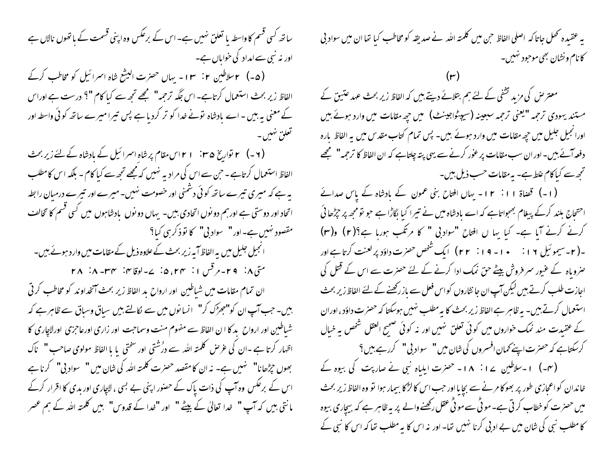ساتھ کسی قسم کا واسطہ یا تعلق نہیں ہے۔اس کے برعکس وہ اپنی قسمت کے باتھوں نالاں ہے اور نہ نبی سے امداد کی خواباں ہے۔ (۵-) ۲سلاطین ۲: ۱۳ - یہاں حصرت البیشع شاہ اسرائیل کو مخاطب کرکے الفاظ زیر بحث استعمال کرتاہے۔اس جگہ ترحمہ" مجھے تجھ سے کیا کام "؟ درست ہے اوراس کے معنی بہ بیں ۔اے مادشاہ تونے غدا کو تر کردیا ہے پس تیرا میرے ساتھ کوئی واسطہ اور تعلق نهيں۔ الفاظ استعمال کرتاہے ۔حبن سے اس کی مرادیہ نہیں کہ مجھے تحیے سے کیا کام ۔ بلکہ اس کامطلب یہ ہے کہ میری تیرے ساتھ کوئی دشمنی اور خصومت نہیں۔ میرے اور تیرے درمیان را بطہ اتحاد اور دوستی ہے اور ہم دو نوں اتحادی بیں۔ یہاں دو نوں یادشاہوں میں کسی قسم کا تخالف مقصود نہیں ہے۔اور" سواد بی" کا توذکر ہی کیا؟ انجیل جلیل میں یہ الفاظ آپہ زیر بحث کے علاوہ ذیل کے مقامات میں وارد ہوئے ہیں۔ متی ۸: ۲۹-مرقس ۱: ۲۴، ۵: ۷-لوقایق: ۲۸-۸: ۲۸ ان تمام مقامات میں شیاطین اور ارواح بد الفاظ زیر بحث آنخداوند کو مخاطب کرتی بیں۔ حب آپ ان کو"حجڑک کر" انسانوں میں سے لکالتے بیں سیاق وسیاق سے ظاہر ہے کہ شیاطین اور ارواح ید کا ا ن الفاظ سے مفهوم منت وسماحت اور زاری اورعاجزی اورلاچاری کا اظہار کرتا ہے ۔ان کی عرص کلمتہ اللہ سے درُشتی اور سختی یا یا الفاظ مولوی صاحب " ناک بھوں جڑھانا" نہیں ہے۔ نہ ان کا مقصد حصرت کلمتہ اللہ کی شان میں " سواد بی" کرنا ہے اس کے برعکس وہ آپ کی ذات پاک کے حصور اپنی بے بسی ، لاچاری اور بدی کا اقرار کرکے مانتی ہیں کہ آپ " غدا تعالیٰ کے بیٹے " اور "غدا کے قدوس" ہیں کلمتہ اللہ کے ہم عصر

یہ عقیدہ تھل جاتا کہ اصلی الفاظ حن میں کلمتہ اللہ نے صدیقہ کو مخاطب کیا تھا ان میں سواد پی کانام ونشان بھی موحود نہیں۔

معتر ص کی مزید تشفی کے لئے ہم بتلائے دیتے ہیں کہ الفاظ زیر بحث عہد عتیق کے مستند یہودی ترحمہ "یعنی ترحمہ سبعینہ (سیپٹواجینٹ) میں حیھ مقامات میں وارد ہوئے بیں اورانجیل جلیل میں جپھ مقامات میں وارد ہوئے ہیں۔ پس تمام کتاب مقدس میں یہ الفاظ بارہ دفعہ آئے ہیں۔اور ان سب مقامات پر عور کرنے سے یہی پنہ چلتاہے کہ ان الفاظ کا ترجمہ" مجھے تحبِّصت کیا کام غلط ہے۔ یہ مقامات حسب ذیل بیں۔

(۱۔) قصاۃ ۱۱: ۱۲۔ یہاں افتاح بنی عمون کے بادشاہ کے پاس صدائے احتحاج بلند کرکے پیغام بھجواتاہے کہ اے بادشاہ میں نے تیبرا کیا لگاڑاہے جو تومجھ پر چڑھائی کرنے کرنے آیا ہے۔ کیا یہا ں افتاح "سواد بی " کا مرتکب ہوریا ہے؟(٢) و(٣) ۔( ۲۔سیموئیل ۱۲: م ۰ – ۱۹: ۲۲) ایک شخص حصرت داؤد پر لعنت کرتا ہے اور صروباہ کے عنیور سمر فروش بیٹے حق نمک ادا کرنے کے لئے حصرت سے اس کے قتل کی اجازت طلب کرتے ہیں لیکن آپ ان جا نثاروں کواس فعل سے باز رکھنے کے لئے الفاظ زیر بحث استعمال کرتے ہیں۔ بہ ظاہر ہے الفاظ زیر بحث کا بہ مطلب نہیں ہوسکتا کہ حصرت داؤد ، اوران کے عقیدت مند نمک خواروں میں کوئی تعلق نہیں اور نہ کوئی صحیح العقل شخص بہ خیال کرسکتاہے کہ حصرت اپنے *نم*ان افسروں کی شان میں " سواد بی" کررہے ہیں ؟ (۳۔) ۱۔سلاطین ۱۷: ۱۸- حصرت ایلیاہ نبی نے صاربت کی بیوہ کے خاندان کواعجازی طور پر بھوکا مرنے سے بجا یا اور حب اس کا لڑکا بیمار ہوا تو وہ الفاظ زیر بحث میں حصرت کو خطاب کرتی ہے۔موٹی سےموٹی عقل رکھنے والے پر بہ ظاہر ہے کہ بیچاری بیوہ کا مطلب نبی کی شان میں بے ادبی کرنا نہیں تھا۔ اور نہ اس کا یہ مطلب تھا کہ اس کا نبی کے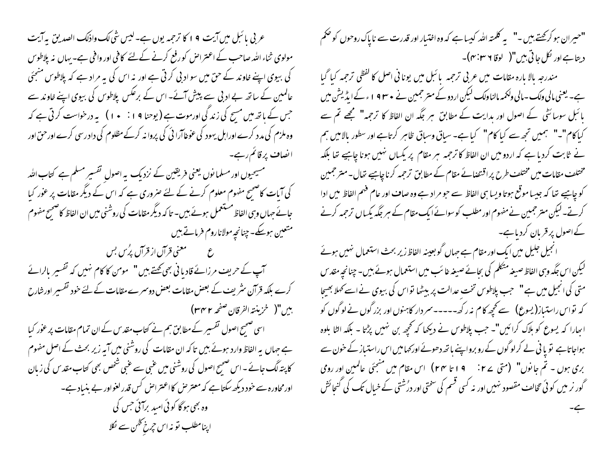عربی پائبل میں آیت ۹ ا کا ترجمہ یوں ہے۔لیس شی لک واذلک الصدیق بہ آیت مولوی ثناء اللہ صاحب کے اعتراض کو رفع کرنے کےلئے کافی اور وافی ہے۔ بہاں نہ پلاطوس کی بیوی اپنے خاوند کے حن میں سواد بی کرتی ہے اور نہ اس کی بہ مراد ہے کہ پلاطوس منعِمَی عالمین کے ساتھ بے ادبی سے پیش آئے۔ اس کے برعکس پلاطوس کی بیوی اپنے خاوند سے جس کے باتھ میں مسح کی زند کی اورموت ہے ( یوحنا ۹ ا : • ۱ ) ہہ درخواست کر ٹی ہے کہ وہ ملزم کی مدد کرے اوراہل یہود کی عوٰغاآرا ٹی کی پروا نہ کرکے مظلوم کی داد رسی کرے اور حق اور ا نصاف پرقائم رہے۔ مسیحیوں اور مسلما نوں یعنی فریقین کے نزدیک پہ اصول تفسیر مسلم ہے کتاب اللہ کی آیات کاضحیح مفہوم معلوم کرنے کے لئے صروری ہے کہ اس کے دیگر مقامات پر عور کیا جانے جہاں وہی الفاظ مستعمل ہوئے ہیں۔ تا کہ دیگر مقامات کی روشنی میں ان الفاظ کاضحیح مفہوم متعین ہوسکے۔ چنانچہ مولاناروم فرماتے ہیں ع مسلم معنی قرآن از قرآن پُرُس بس سمب کے حریف مرزائے قادیا فی بھی <u>تھ</u>تے ہیں "سمومن کا کام نہیں کہ تفسیر بالرائے کرے بلکہ قرآن سٹریف کے بعض مقامات بعض دوسرے مقامات کے لئے خود تفسیر اورشارح بين"( خزينته الفرقان صفحه ٢٣٢) اسی صحیح اصول تفسیر کے مطابق ہم نے کتاب مقد س کے ان تمام مقامات پر عور کیا ہے جہاں یہ الفاظ وارد ہوئے بیں تاکہ ان مقامات کی روشنی میں آیہ زیر بحث کے اصل مفہوم کا پتہ لگ جائے ۔اس صحیح اصول کی روشنی میں عنبی سے عنبی شخص بھی کتاب مقد س کی زیان اورمحاورہ سے خود دیکھ سکتا ہے کہ معتر ص کااعتراض کس قدر لغواور بے بنیاد ہے۔ وہ بھی ہو گا کوئی امید برآئی جس کی اپنامطلب نو نہ اس جرخ گٹن سے لکلا

"حسِران ہو کر کہتے ہیں ۔" پہ کلمتہ ا<sub>للّٰہ</sub> کہیا ہے کہ وہ اختیار اور قدرت سے ناپاک روحوں کو صحم دیتا ہے اور لکل جا تی بیں"( لوقا ۶ س<sup>م:</sup>۴)۔ مندرجہ بالا مارہ مقامات میں عربی ترجمہ پائبل میں یونا فی اصل کا لفظی ترجمہ کیا گیا ہے۔ یعنی مالی ولک۔ مالی ولکمہ مالنا ولک لیکن اردوکے متر جمین نے ممتا ۱۹۳۹ء کے ایڈیشن میں پائبل سوسائٹی کے اصول اور بدایت کے مطابق ہر جگہ ان الفاظ کا ترجمہ" مجھے تم سے کیا کام"۔" ہمیں تجھ سے کیا کام" کیا ہے۔ ساق وساق ظاہر کرتاہے اور سطور بالا میں ہم نے ثابت کردیا ہے کہ اردو میں ان الفاظ کا ترحمہ ہر مقام پر پکساں نہیں ہونا چاہیے تھا بلکہ مختلف مقامات میں مختلف طرح پر اقتضائے مقام کے مطابق ترحمہ کرنا چاہیے تعال۔ متر حمین کو چاہیے تھا کہ جیسا موقع ہوتا ویسا ہی الفاظ سے حو مراد ہے وہ صا**ف** اور عام فہم الفاظ میں ادا کرتے۔لیکن متر جمین نےمفهوم اور مطلب کوسوائے ایک مقام کے ہر جگہ یکساں ترجمہ کرنے کے اصول پر قریان کردیاہے۔

انجیل جلیل میں ایک اور مقام ہے جہاں گو بعینہ الفاظ زیر بحث استعمال نہیں ہوئے لیکن اس جگہ وہی الفاظ صیغہ متکلم کی بحائے صیغہ غائب میں استعمال ہوئے ہیں۔ چنانچہ مقد س متی کی انجیل میں ہے" جب پلاطوس تخت عدالت پر بیٹھا نواس کی بیوی نے اسے کھلا بھیجا کہ نواس راستیاز(یسوع) سے تحیھ کام نہ رکھ۔۔۔۔۔سر دار کاہنوں اور بزر گوں نے لوگوں کو ابھارا کہ یسوع کو ہلاک کرائیں"۔ جب پلاطوس نے دیکھا کہ تحجھ بن نہیں پڑتا ۔ بلکہ الٹا بلوہ ہواجاتاہے تو یا فی لے کرلوگوں کے رو برواپنے باتھ دھوئے اور <sub>ک</sub>ھامیں اس راستیاز کے خون سے بری ہوں ۔ تم جانوں" (متی ۲۷: ۱۹ تا ۲۴) اس مقام میں منجئی عالمین اور رومی گور نر میں کوئی تخالف مقصود نہیں اور نہ کسی قسم کی سختی اور درُشتی کے خیال تک کی گنجائش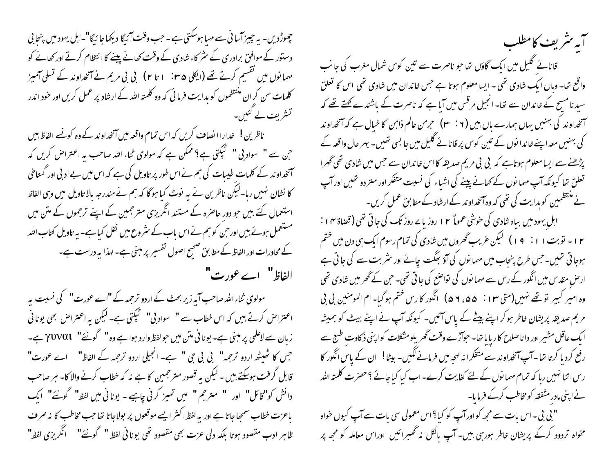چھوڑ دیں۔ یہ چیز آسا فی سے مہیا ہوسکتی ہے ۔ جب وقت آئیگا دیکھاجا ئیگا"۔اہل یہود میں پنجا پی دستور کے موافق برادری کے سٹر کاء شادی کے وقت کھانے پینے کا انتظام کرتے اور کھانے کو مہمانوں میں نقسیم کرتے تھے (ایکلی ۳۵ : ۱ تا ۲) بی بی مریم نے آنخداوند کے تسلی آمیز کلمات سن کر ان منتظموں کو بدایت فرما ٹی کہ وہ کلمتہ اللہ کے ارشاد پر عمل کریں اور خود اندر تشریف لے کئیں۔

ناظرین ! پھدارا انصاف کریں کہ اس تمام واقعہ میں آنخداوند کے وہ کونے الفاظ بیں جن سے " سواد بی " گَیْجَتی ہے؟ ممکن ہے کہ مولوی ثناء اللّٰہ صاحب بہ اعتراض کریں کہ آنخداوند کے کلمات طیبات کی ہم نے اس طور پر تاویل کی ہے کہ اس میں بے ادبی اور گستاخی کا نشان نہیں رہا۔لیکن ناظرین نے یہ نوٹ کیا ہوگا کہ ہم نے مندرجہ بالا تاویل میں وہی الفاظ استعمال کئے بیں حبو دور حاصرہ کے مستند انگریزی متر جمین کے اپنے ترجموں کے متن میں مستعمل ہوئے ہیں اور حن کو ہم نے اس باب کے سثر وع میں نقل کیا ہے۔ یہ تاویل کتاب اللہ کے محاورات اور الفاظ کے مطابق صحیح اصول تفسیر پر مبنی ہے۔ لہذا یہ درست ہے۔ الفاظ" اے عورت"

مولوی ثناءاللہ صاحب آیہ زیر بحث کے اردو ترحمہ کے "اے عورت" کی نسبت یہ اعتراض کرتے ہیں کہ اس خطاب سے " سواد بی" گیگتی ہے۔ لیکن یہ اعتراض بھی یونا فی زبان سے لاعلمی پر مبنی ہے۔ یونا فی متن میں حولفظ وارد ہوا ہے وہ " گونئے" YUVαl ہے۔ جس کا ٹھیٹھ اردو ترجمہ" پی پی جی " ہے۔ انجیلی اردو ترجمہ کے الفاظ" اے عورت" قابل گرفت ہوسکتے ہیں ۔ لیکن یہ قصور متر جمین کا ہے نہ کہ خطاب کرنے والا کا۔ ہر صاحب دانش کو"قائل" اور " مترجم" میں تمیز کرنی چاہیے - یونانی میں لفظ" گونئے" ایک باعزت خطاب سمحِهاجاتا ہے اور یہ لفظ اکثر ایسے موقعوں پر بولاجاتا تھا جب مخاطب کا نہ صرف ظاہرِ ادب مقصود ہوتا بلکہ دلی عزت بھی مقصود تھی یونانی لفظ " گونئے" ۔ انگریزی لفظ"

سمستريف كامطلب قانائے گلیل میں ایک گاؤں تھا جو ناصرت سے تین کوس شمال مغرب کی جانب واقع تھا۔ وہاں ایک شادی تھی ۔ ایسا معلوم ہوتا ہے جس خاندان میں شادی تھی اس کا تعلق سید نامسح کے خاندان سے تھا۔ انجیل مرقس میں آیا ہے کہ ناصرت کے باشندے کھتے تھے کہ ۔<br>سمنحداوند کی بہنیں یہاں ہمارے ہاں بیں ( ۲ : ۳) حرمن عالم ذاہن کا خیال ہے کہ آنخداوند کی بہنیں معہ اپنے خاندا نوں کے تین کوس پر قانائے گلیل میں جا بسی تھیں۔ ہہر حال واقعہ کے پڑھنے سے ایسا معلوم ہوتاہے کہ بی بی مریم صدیقہ کا اس خاندان سے جس میں شادی تھی گھرا تعلق تھا کیونکہ آپ مہمانوں کے کھانے پینے کی اشیاء کی نسبت متفکر اور متر دو تھیں اور آپ نے منتظمین کوہدایت کی تھی کہ وہ آنخداوند کے ارشاد کے مطابق عمل کریں۔ اہل یہود میں بیاہ شادی کی خوشی عموماً ۲ ا روز یا سے روز تک کی جاتی تھی (قضاۃ ۱۴ : ۱۲ - نوبت ۱۱: ۱۹ ) کیکن غریب گھروں میں شادی کی تمام رسوم ایک ہی دن میں ختم ہوجاتی تھیں۔جس طرح پنجاب میں مہمانوں کی آؤ بھگت جائے اور سٹر بت سے کی جاتی ہے ارض مقد س میں انگور کے رس سے مہما نوں کی نواضع کی جاتی تھی۔ حٖن کے گھر میں شادی تھی وہ امیر کبیر نو تھے نہیں(متی ٣ ا : \_ ۵ ، ٢ ۵ ) \_انگور کارس ختم ہوگیا۔ام المومنین بی بی مریم صدیقہ پریشان خاطر ہوکر اپنے بیٹے کے پاس آئیں۔ کیونکہ آپ نے اپنے بیٹ کو ہمیشہ ا یک عاقل مشیر اور دا ناصلاح کاریا با تھا۔ حوالڑے وقت گھریلومشکلات کواپنی ذکاوت طبع سے رفع کرد یا کرتا تھا۔آپ آنخداوند سے متفکرانہ لہحہ میں فرمانے لگیں- بیٹا! ان کے پاس انگور کا ریں اتنا نہیں رہا کہ تمام مہما نوں کے لئے کفایت کرے۔ اب کیا کیا جائے ؟حصرت کلمتہ ا<sub>للّٰہ</sub> نے اپنی مادر مشفقہ کو مخاطب کرکے فرمایا۔

" بی بی - اس بات سے مجھ کواورآپ کو کیا؟ اس معمولی سی بات سے آپ کیوں حواہ مخواہ تردود کرکے پریشان خاطر ہورہی ہیں۔ آپ مالکل نہ تھسرائیں اوراس معاملہ کو مجھ پر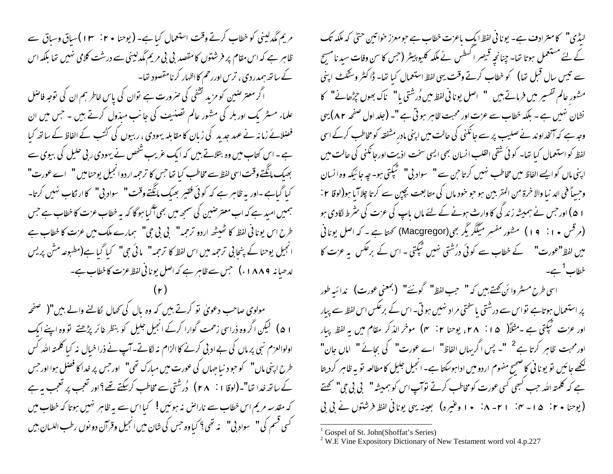مریم مگدلینی کو خطاب کرتے وقت استعمال کیا ہے۔ (یوحنا ۲۰ ° ۱۳)سیاق وساق سے ظاہر ہے کہ اس مقام پر فرشتوں کامقصد بی بی مریم مگدلینی سے درشت کلامی نہیں تھا بلکہ اس کے ساتھ ہمدردی ، تریں اوررحم کااظہار کرنامقصود تھا۔

اگر معترضین کو مزید تشفی کی صرورت ہے توان کی پاس خاطر ہم ان کی توجہ فاصل علماء مسٹر یک اوربلر کی مثور عالم تصنیف کی جانب میذول کرتے ہیں ۔ جس میں ان فضلائے زمانہ نے عہد جدید کی زبان کا مقابلہ یہودی ، ربیوں کی کٹتب کے الفاظ کے ساتھ کیا ہے ۔ اس کتاب میں وہ بتلاتے ہیں کہ ایک عریب شخص نے یہودی ربی حلیل کی بیوی سے بھیک مانگتے وقت اسی لفظ سے مخاطب کیا تھا جس کا ترجمہ اردوانجیل پوحنامیں " اے عورت" کیا گیاہے -اور یہ ظاہر ہے کہ کوئی فقیر بھیک مانگتے وقت " \_ سواد پی" کا ارتکاب نہیں کرتا- \_ ہمیں امید ہے کہ اب معتر ضین کی سمجھ میں بھی آگیا ہو گا کہ یہ خطاب عزت کا خطاب ہے جس طرح اس یونانی لفظ کا ٹھیٹھ اردو ترحمہ" بی بی حی" ہمارے ملک میں عزت کا خطاب ہے انجیل یوحنا کے پنجابی ترجمہ میں اس لفظ کا ترجمہ" مائی جی" کیا گیا ہے(مطبوعہ مش پریس لدھیانہ ۱۸۸۹ء) جس سے ظاہر ہے کہ اصل یونانی لفظ عزت کاخطاب ہے۔

مولوی صاحب دعویٰ تو کرتے ہیں کہ وہ پال کی تھال لکانے والے ہیں"( صفحہ ۱ ۵) گیکن اگر وہ ذراسی زحمت گوارا کرکے انجیل جلیل کو بنظر غائر پڑھتے تو وہ اپنے ایک اولوالعزم نبی پر ماں کی بے ادبی کرنے کا الزام نہ لگاتے۔آپ نے ذرا خیال نہ کیا کلمتہ اللہ کس طرح اپنی ماں" کو حود نیا جہاں کی عورت میں مبارک تھی" اور جس پر غداکا فضل ہوا اور جس کے ساتھ خدا تھا"۔(لوقا ۱ : ۲۸ ) دُرشتی سے مخاطب کرسکتے تھے؟اور تعجب پر تعجب پہ ہے کہ مقدسہ مریم اس خطاب سے ناراض نہ ہوئیں ! کیا اس سے بہ ظاہر نہیں ہوتا کہ خطاب میں <sup>ک</sup>سی قسم کی" سواد بی" نه تھی؟ کیاوہ جس کی شان میں انجیل وقرآن دو نوں رطب اللسان بی<u>ں</u>

لیڈی" کامترادف ہے۔ یونا فی لفظ ایک باعزت خطاب ہے حومعزز خواتین حتیٰ کہ ملکہ تک کے لئے مستعمل ہوتا تھا۔ چنانچہ قبیصر اکسطس نے ملکہ کلیو پیٹر (جس کا سن وفات سید نامسح سے تیس سال قبل تھا) کو خطاب کرتے وقت یہی لفظ استعمال کیا تھا۔ ڈاکٹر وسٹکٹ اپنی مشور عالم تفسير ميں فرماتے ہيں " اصل يوناني لفظ ميں دُرشتی يا" ناك بھوں جرِّھانے" كا نشان نہیں ہے - بلکہ خطاب سے عزت اور محبت ظاہر ہو تی ہے "۔ (جلد اول صفحہ ۸۲) یہی وجہ ہے کہ آنخداوند نے صلیب پر سے جانکنی کی حالت میں اپنی مادر مشفقہ کو مخاطب کرکے اسی لفظ کواستعمال کیا تھا۔ کوئی شقی القلب انسان بھی ایسی سخت اذیت اورجانکنی کی حالت میں اپنی ماں کوایے الفاظ میں مخاطب نہیں کرتاحیں سے " سواد بی" گیگتی ہو۔ جہ جائیکہ وہ انسان وحسطاً في الد نيا والاخرة من المقربين ہو حو خود مال كى متابعت بچپن سے كرتا چلا ً ما ہو(لوقا ٢ : ۱ ۵) اور حس نے ہمیشہ زند گی کا وارث ہونے کے لئے ماں پاپ کی عزت کی سٹرط لگادی ہو (مرقس • ۱ : ۹ ) ) متهور مفسر میگگر یگر بھی(Macgregor) نحمتا ہے ۔ کہ اصل یونانی میں لفظ"عورت" کے خطاب سے کوئی درُشتی نہیں ٹیکتی - اس کے برعکس یہ عزت کا خطاب<sup>1</sup>ہے۔

اسی طرح مسٹر وائن کہتے ہیں کہ " حب لفظ" گونئے" (بمعنی عورت) ندائبہ طور پر استعمال ہوتاہے نواس سے درشتی یاسختی مراد نہیں ہوتی۔اس کے برعکس اس لفظ سے پیار اور عزت گَبِکتی ہے ۔مثلاً( ۲۸ : ۲۸، یوحنا ۲ : ۴) موخر الذکر مقام میں یہ لفظ پیار اور محبت ظاہر کرتا ہے <sup>2</sup> "۔ پس اگر بہاں الفاظ" اے عورت" کی بحائے " اماں جان" کھھے جائیں تو یونا نی کا صحیح مفهوم اردو میں اداہوسکتا ہے۔ انجیل جلیل کامطالعہ تو یہ ظاہر کردیتا ہے کہ کلمتہ اللہ جب کسمی کسی عورت کو مخاطب کرتے نوآپ اس کو ہمیشہ" پی بی جی" تھتے (یوحنا ۲۰ تا ۱۵ - ۲۰ تا ۲۰ - ۸ نیسو اوغیره) بعینه یهی یونانی لفظ فرشتوں نے پی پی

Gospel of St. John(Shoffat's Series)

<sup>&</sup>lt;sup>2</sup> W.E Vine Expository Dictionary of New Testament word vol 4.p.227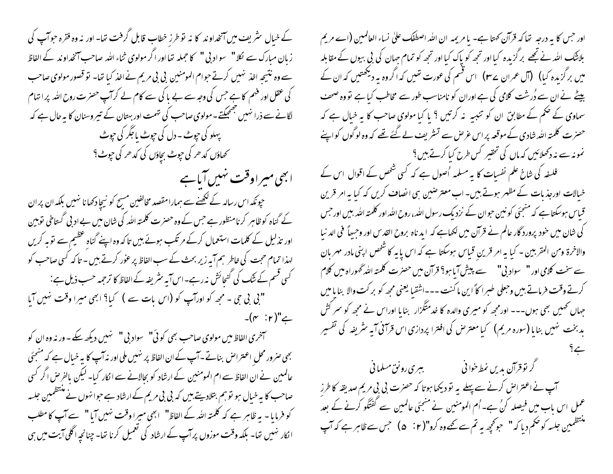کے خبال سٹریف میں آنخداوند کا نہ نوطرز خطاب قابل گرفت تھا- اور نہ وہ فقرہ حوآپ کی زیان مبارک سے لگل" سواد بی " کا حجملہ تھا اور اگر مولوی ثناء اللہ صاحب آنخداوند کے الفاظ سے وہ نتیجہ اخذ نہیں کرتے جوام المومنین بی بی مریم نے اخذ کیا تھا۔ تو قصور مولوی صاحب کی عقل اور فہم کا ہے جس کی وجہ سے بے ما کی سے کام لے کرآپ حصرت روح اللہ پر اتہام لگانے سے ذرا نہیں بھجھکتے۔مولوی صاحب کی نہمت اور بہتان کے تیر وسنان کا بہ حال ہے کہ پہلو کی حبوٹ ۔ دل کی حبوٹ پاجگر کی حبوٹ محماؤں کدھر کی جوٹ بچاؤں کی کدھر کی ج<u>و</u>ٹ؟

ابھی میراوقت نہیں آباہے حپونکہ اس رسالہ کے لکھنے سے ہمارامقصد مخالفین مسح کو نیچا دکھانا نہیں بلکہ ان پر ان کے گناہ کوظاہر کرنامنظور ہے جس کے وہ حصرت کلمتہ اللہ کی شان میں بے ادبی گستاخی نوبین اور تذلیل کے کلمات استعمال کرکے مرتکب ہوئے ہیں تاکہ وہ اپنے گناہ عظیم سے نوبہ کریں لہذا تمام حجت کی خاطر ہم آیہ زیر بحث کے سب الفاظ پر عور کرتے ہیں - تا کہ کسی صاحب کو کسی قسم کے ننگ کی گنجائش نہ رہے۔اس آیہ سٹریفہ کے الفاظ کا ترحمہ حسب ذیل ہے : "بی بی جی ۔ مجھ کو اورآپ کو (اس بات سے ) کیا؟ ابھی میرا وقت نہیں آیا  $-(r : r)" \rightleftarrows$ 

سمخری الفاظ میں مولوی صاحب بھی کوئی" سواد بی " نہیں دیکھ سکے - ور نہ وہ ان کو بھی صرور محل اعتراض بناتے۔آپ کے ان الفاظ پر نہیں ملی اور نہ آپ کا یہ خیال ہے کہ منتجئی عالمین نے ان الفاظ سے ام المومنین کے ارشاد کو بحالانے سے الکار کیا۔ لیکن بالفرض اگر کسی صاحب کا یہ خیال ہو تو ہم بتلادیتے ہیں کہ بی بی مریم کے ارشاد ہے حوا نہوں نے منتظمین جلسہ کو فرمایا - یہ ظاہر ہے کہ کلمتہ اللہ کے الفاظ" ابھی میرا وقت نہیں آیا " سے آپ کا مطلب ا نکار نہیں تھا۔ بلکہ وقت موزوں پر آپ کے ارشاد کی تعمیل کرنا تھا۔ چنانچہ اگلی آیت میں ہی

اور جس کا یہ درجہ تھا کہ قرآن کھتا ہے۔ یا مریمہ ان اللہ اصطفَا علیٰ نساء العالمین (اے مریم بلاننگ اللہ نے تجھے بر گزیدہ کیا اور تجھ کو پاک کیا اور تجھ کو تمام جہان کی بی بیوں کے مقابلہ میں برگزندہ کیا**) (آ**ل عمران سے **۲)** اس قسم کی عورت تھیں کہ اگروہ بہ دیکھتیں کہ ان کے بیٹے نے ان سے دُرشت کلامی کی ہے اوران کو نامناسب طور سے مخاطب کیا ہے تو وہ صحف سماوی کے حکم کے مطابق ان کو تنبیہ یہ کرتیں ؟ یا کیا مولوی صاحب کا بہ خیال ہے کہ حصرت کلمتہ اللہ شادی کے موقعہ پر اس عرص سے تسٹریف لے گئے تھے کہ وہ لوگوں کواپنے نمونہ سے نہ دکھلائیں کہ ماں کی تحقیر کس طرح کیا کرتے ہیں ؟

فلسفہ کی شاخ علم نفسات کا یہ مسلمہ اُصول ہے کہ کسی شخص کے اقوال اس کے خیالات اورجذ بات کے مظہر ہوتے بیں۔ اب معتر صبین ہی انصاف کریں کہ کیا یہ امر قرین قیاس ہوسکتا ہے کہ منجئی کو نین حوان کے نزدیک رسول اللہ، روح اللہ اور کلمتہ اللہ بیں اور حس کی شان میں خود پرورد گار عالم نے قرآن میں لکھاہے کہ اید ناہ بروح القدس اور وجساً فی الد نبا والاخرة ومن المقربين - كيا يه امر قرينٍ قياس ہوسكتا ہے كہ اس يا يہ كا شخص اپنى مادر مهربان سے سخت کلامی اور " \_ سواد بی" \_ سے پیش آیا ہو؟ قرآن میں حصرت کلمتہ اللہ گھوراہ میں کلام كرتے وقت فرماتے بين وحعلى طبيرا كاً اين ماكنت ---اشقيا يعني مجھ كو بركت والا بنايا ميں ۔<br>حہاں کھمیں بھی ہوں۔۔۔ اور مجھ کو میری والدہ کا خدمتگزار بنایا اوراس نے مجھ کو سر کش بدبخت نہیں بنایا (سورہ مریم) کیامعترض کی افترا پردازی اس قرآنی آیہ سٹریفہ کی تفسیر

گر نوقرآن بدیں نمط خوانی مسلمانی کے مسلمانی کے ایک ایران آپ نے اعتراض کرنے سے پہلے یہ تو دیکھا ہوتا کہ حصرت بی بی مریم صدیقہ کا طرز عمل اس باب میں فیصلہ کنُ ہے۔ اُم المومنین نے منجئی عالمین سے گفتگو کرنے کے بعد منتظمین جلسہ کوضم دیا کہ" جونچھ یہ تم سے گھے وہ کرو"( G ` t ) جس سے ظاہر ہے کہ آپ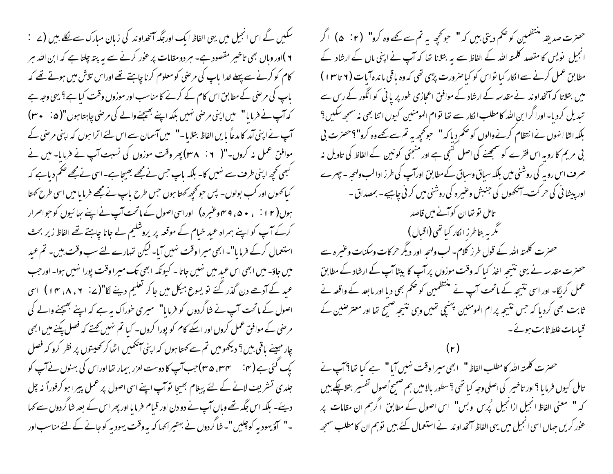سکیں گے اس انجیل میں یہی الفاظ ایک اور جگہ آنخداوند کی زبان مبارک سے نکلے بیں (2 ٪ ۲ )اور وباں بھی تاخیبر مقصود ہے۔ ہر دو مقامات پر عور کرنے سے یہ پتہ چلتا ہے کہ ابن اللہ ہر کام کو کرنے سے پہلے خدا پاپ کی مرضی کومعلوم کرنا چاہئے تھے اوراس تلاش میں ہوتے تھے کہ یاپ کی مرضی کے مطابق اس کام کے کرنے کا مناسب اور موزوں وقت کیا ہے؟ یہی وجہ ہے کہ آپ نے فرمایا" میں اپنی مرحنی نہیں بلکہ اپنے بھیجنے والے کی مرحنی چاہتا ہوں"( a : + ۳) آپ نے اپنی آمد کا مدعاً پایں الفاظ بتلایا۔" میں آسمان سے اس لئے اترا ہوں کہ اپنی مرضی کے موافق عمل نہ کروں۔"( ۲۰ ` ۳۸) پھر وقت موزوں کی نسبت آپ نے فرمایا۔ میں نے گبھی کچھ اپنی طرف سے نہیں کا- بلکہ پاپ جس نے مجھے بھیجا ہے- اسی نے مجھے حکم دیا ہے کہ کیا کھوں اور کب بولوں۔ پس حو کحچھ کھتا ہوں جس طرح پاپ نے مجھے فرمایا میں اسی طرح کھتا ہوں( ۱۲ نی می می و میں کی اوراسی اصول کے ماتحت آپ نے اپنے پھائنیوں کو حبواصرار کرکے آپ کو اپنے ہمراہ عبد خیام کے موقعہ پر پروشکیم لے جانا چاہتے تھے الفاظ زیر بحث استعمال کرکے فرمایا"۔ ابھی میرا وقت نہیں آیا۔ لیکن تہارے لئے سب وقت ہیں۔ تم عید میں جاؤ۔ میں ابھی اس عبد میں نہیں جاتا۔ کیونکہ ابھی تک میرا وقت پورا نہیں ہوا۔ اورجب عید کے آدھے دن گذر گئے تو یسوع ہیکل میں جا کر تعلیم دینے لگا"(ے: ۲، ۸، ۴) اسی اصول کے ماتحت آپ نے شاگردوں کو فرمایا" میری خوراک پہ ہے کہ اپنے بھیجنے والے کی مرحنی کے موافق عمل کروں اور اسکے کام کو پورا کروں۔ کیا تم نہیں کہتے کہ فصل پکنے میں ابھی چار مہینے ماقی بیں ؟ دیکھومیں تم سے کھتا ہوں کہ اپنی آنکھیں اٹھا کر کھیتوں پر نظر کرو کہ فصل کپ گئی ہے (۴۰ ٪ سمیں ۳۵)جب آپ کا دوست لعزر بیمار تنااوراس کی بہنوں نے آپ کو جلدی تسٹریف لانے کے لئے پیغام بھیجا توآپ اپنے اسی اصول پر عمل پیرا ہو کرفوراً نہ چل دیئے۔ بلکہ اس جگہ تھے وہاں آپ نے دو دن اور قبام فرما یا اور پھر اس کے بعد شاگردوں سے کہا ۔" کؤ یہودیہ کوچلیں "۔ شاگردوں نے بہتیراکہا کہ یہ وقت یہودیہ کوجانے کے لئے مناسب اور

حضرت صدیقہ منتظمین کو حکم دیتی ہیں کہ " جو تحی<sub>ص</sub>ہ تم سے کھے وہ کرو" (e : r ) اگر انجیل نویس کا مقصد کلمتہ اللہ کے الفاظ سے یہ بتلانا تھا کہ آپ نے اپنی ماں کے ارشاد کے مطابق عمل کرنے سے الکار کیا نواس کو کیاصرورت پڑی تھی کہ وہ یاقی ماندہآبات (۲ تا ۱۳ ) میں بتلاتا کہ آنخداوند نے مقدسہ کے ارشاد کے موافق اعجازی طور پر یا ٹی کو انگور کے رس سے تبدیل کردیا۔اوراگرا بن اللہ کامطلب الکار سے تھا نوام المومنین کیوں اتنا بھی نہ سمجھ سکیں ؟ بلكہ الٹا انہوں نے انتظام كرنے والوں كو ضخم ديا كہ " حوڭچھ بہ تم سے كھے وہ كرو"؟حصرت بى بی مریم کا رویہ اس فقرے کو سمجھنے کی اصل گنجی ہے اور منجئی کو نبین کے الفاظ کی تاویل نہ صر ف اس رویہ کی روشنی میں بلکہ سیاق وسیاق کے مطابق اورآپ کی طرز ادالب ولہحہ ۔ چہرے اور پیشا نی کی حرکت۔آنکھوں کی جنبش وعنیرہ کی روشنی میں کر نی چاہیے۔ بمصداق -تامل نو تھاان کوآنے میں قاصد گم به بتاطرز انکار کیا تھی(اقبال ) حصرت کلمتہ اللہ کے قول طرز کلام۔ لب ولہجہ اور دیگر حرکات وسکنات وعنیرہ سے حصرت مقدسہ نے یہی نتیجہ اخذ کیا کہ وقت موزوں پر آپ کا بیٹا آپ کے ارشاد کے مطابق عمل کر لگا۔ اور اسی نتیجہ کے ماتحت آپ نے منتظمین کو حکم بھی دیا اور ما بعد کے واقعہ نے ثابت بھی کردیا کہ جس نتیجہ پرام المومنین پہنچی تھیں وہی نتیجہ صبح تھا اور معتر صنین کے قباسات غلط ثابت ہوئے۔

حصرت کلمتہ اللہ کا مطلب الفاظ " ابھی میراوقت نہیں آیا " ہے کیا تعا؟ آپ نے تامل کیوں فرما یا ؟اور تاخیبر کی اصلی وجہ کیا تھی ؟سطور بالا میں ہم صحیح اُصول تفسیر بتلاپکے ہیں کہ " معنی الفاظ انجیل ازانجیل گپرس وبس" اس اصول کے مطابق اگرہم ان مقامات پر عوْر کریں حہاں اسی انجیل میں یہی الفاظ آنخداوند نے استعمال کئے بیں توہم ان کا مطلب سمجھ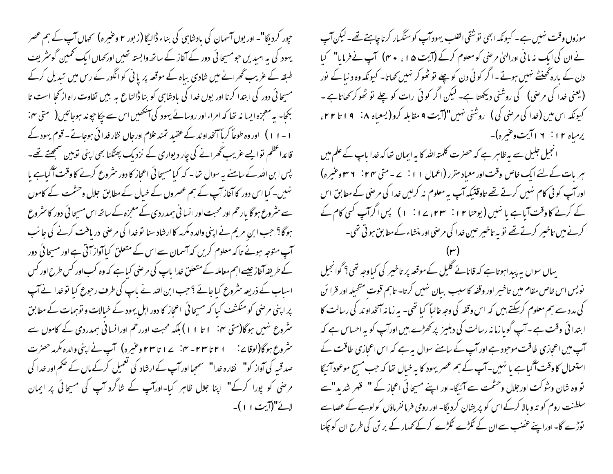موزوں وقت نہیں ہے۔ کیونکہ ابھی نوشقی القلب یہودآپ کوسنگیار کرناچاہتے تھے۔لیکن آپ نے ان کی ایک نہ مانی اورانہیٰ مرضی کومعلوم کرکے (آیت ۵۱، ۴۰) آپ نے فرمایا" کیا دن کے بارہ گھنٹے نہیں ہوتے۔اگر کوئی دن کو چلے تو ٹھوکر نہیں کھاتا۔ کیونکہ وہ د نیا کے نور (یعنی غدا کی مرضی) کی روشنی دیکھتا ہے۔ لیکن اگر کوئی رات کو چلے تو ٹھوکر کھاتاہے ۔ کیونکه اس میں (غدا کی مرضی کی ) روشنی نهیں"(آیت ۹ مقابلہ کرو (یسعیاہ ۸: ۹ ا تا ۲۲، یرمیاه ۲۱: ۱۲اتیت وغیره)-انجیل جلیل سے ہہ ظاہر ہے کہ حصرت کلمتہ اللہ کا بہ ایمان تعا کہ خدا باپ کے علم میں

ہر بات کے لئے ایک خاص وقت اور معیاد مقرر (اعمال ۱۱: ۲ – متی ۲۴: ۳ ۳ وعنیرہ) اور آپ کوئی کام نہیں کرتے تھے تاوقتیکہ آپ یہ معلوم نہ کرلیں غدا کی مرحنی کے مطابق اس کے کرنے کاوقت آیاہے یا نہیں (یوحنا ۱۲ : ۳۳، ۲۱ : ۱) پس اگرآپ کسی کام کے کرنے میں تاخیبر کرتے تھے تو بہ تاخیبر عین خدا کی مرضی اور منشاء کے مطابق ہو تی تھی۔

یہاں سوال بہ پبداہوتا ہے کہ قانائے گلیل کےموقعہ پر تاخیر کی کیاوجہ تھی؟ گوانجیل نویس اس *خاص م*قام میں تاخیر اور وقفہ کا سبب بیان نہیں کرتا- تاہم قوت متحیلہ اور قرا ئن کی مدد سے ہم معلوم کرسکتے بیں کہ اس وقفہ کی وجہ غالباً کیا تھی۔ یہ زمانہ آنخداوند کی رسالت کا ابتدا ئی وقت ہے ۔آپ گویا زما نہ رسالت کی دہلیز پر کھڑے ہیں اورآپ کو یہ احساس ہے کہ آپ میں اعجازی طاقت موحبود ہے اور آپ کے سامنے سوال بیہ ہے کہ اس اعجازی طاقت کے استعمال کاوقت آگیا ہے یا نہیں۔آپ کے ہم عصر یہود کا بہ خیال تعا کہ جب مسح موعود آئیگا تو وہ شان وشو کت اور جلال وحشمت سے آئیگا-اور اپنے مسیحا ئی اعجاز کے " قہر شدید"سے سلطنت روم کو تہ و مالا کرکے اس کو پریشان کردیگا- اور رومی فرما نفرماؤں کو لوہے کے عصا سے توڑے گا- اوراپنے عضب سے ان کے گھڑے گڑڑے کرکے ممہار کے بر تن کی طرح ان کو چکنا

جپور کرد نگا"۔ اور یوں آسمان کی یادشاہی کی بناء ڈالیگا (زبور ۲ وعنیرہ) پھماں آپ کے ہم عصر یہود کی یہ امیدیں حومسیحا ئی دور کے آغاز کے ساتھ وابستہ تھیں اور کھاں ایک تھمین گوسٹریف طبقہ کے غریب گھرانے میں شادی بیاہ کے موقعہ پر یا ٹی کوانگور کے رس میں تبدیل کرکے مسیحا ئی دور کی ابتدا کرنا اور یوں خدا کی بادشاہی کو بنا ڈالناع ہہ بیں تفاوت راہ از کحا است تا بکجا۔ بہ معجزہ ایسا نہ تعا کہ امراء اور روسائے یہود کی آنکھیں اس سے جکا حیو ند ہوجا تیں ( متی ہن: ۱ - ۱ ۱ ) اور وہ طوعاً کرماً آنخداو ند کے عقید تمند علام اورجاں نثار فدا ئی ہوجاتے - قوم یہود کے قائداعظم نوایے عریب گھرانے کی چار دیواری کے نزدیک پھٹکنا بھی اپنی نوہین سمجھتے تھے۔ بس ابن اللہ کے سامنے یہ سوال تھا۔ کہ کیا مسیحا ئی اعجاز کا دور سٹروع کرنے کا وقت آگیاہے یا نہیں۔ کیا اس دور کا آغاز آپ کے ہم عصروں کے خیال کے مطابق جلال وحشمت کے کاموں سے سٹروع ہو گا بارحم اور محبت اور انسا فی ہمدردی کے معجزہ کے ساتھ اس مسیحا ئی دور کا سٹروع ہوگا؟ حب ابن مریم نے اپنی والدہ مکرمہ کاارشاد سنا نو خدا کی مرحنی دریافت کرنے کی جانب آپ متوجہ ہوئے تا کہ معلوم کریں کہ آسمان سے اس کے متعلق کباآواز آتی ہے اور مسیحا ئی دور کے طریقہ آغاز جیسے اہم معاملہ کے متعلق خدا باپ کی مرضی کیا ہے کہ وہ کب اور کس طرح اور کس اسیاب کے ذریعہ سثروع کیا جائے ؟حب ابن اللہ نے پاپ کی طرف رحوع کیا تو <sub>خ</sub>یدا نے آپ پر اپنی مرصٰی کو منکشف کیا کہ مسیحا ئی اعجاز کا دور اہل یہود کے خیالات و توہمات کے مطابق سٹروع نہیں ہوگا(ستی ہن ۱ تا ۱ ا ) بلکہ محبت اوررحم اورانسانی ہمدردی کے کاموں سے سٹروع ہو گا(لوقاۓ: ا ٢ تا ٢٣ - ٢٠ ∠ ا تا ٢٣ وغیرہ) آپ نے اپنی والدہ مکرمہ حصرت صدقسہ کی آواز کو" نقارہ خدا" سمھااور آپ کے ارشاد کی تعمیل کرکے ماں کے ضمم اور خدا کی مر صنی کو پورا کرکے" اپنا جلال ظاہر کیا-اورآپ کے شاگرد آپ کی مسیحاتی پر ایمان لائے"(آیت ۱۱)۔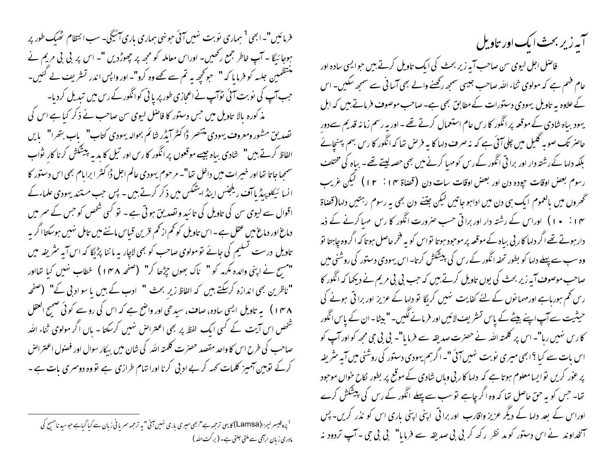فرمائیں"۔ابھی<sup>1</sup> ہماری نوبت نہیں آئی حونہی ہماری باری آئیگی۔سب انتظام ٹھیک طور پر ہوجا رُبِکا ۔ آپ خاطر جمع رکھیں۔ اوراس معاملہ کو مجھ پر چھوڑدیں "۔ اس پر بی بی مریم نے منتظمین جلسہ کو فرمایا کہ " حو محچھ یہ تم سے تھے وہ کرو"۔ اور واپس اندر تسٹریف لے کئیں۔ جب آپ کی نوبت آئی نوآپ نے اعجازی طور پر یا نی کوانگور کے رس میں تبدیل کردیا-مذ کورہ بالا تاویل میں جس دستور کا فاصل لیوی سن صاحب نے ذکر کیا ہے اس کی تصدیق مشور ومعروف یهودی متنصر ڈاکٹر ایڈر شائم بحوالہ یہودی کتاب" باب بتھرا" بایں الفاظ کرتے ہیں" یخادی بیاہ جیسے موقعوں پر انگور کا رس اور تیل کا بدیہ پیشکش کرنا کار یواب سمجیا جاتا تھا اور خیبرات میں داخل تھا"۔ مرحوم یہودی عالم اجل ڈا کٹر ابرایام بھی اس دستور کا انسا ئیکلو پیڈیا آف ریلجنس اینڈ ایشکس میں ذکر کرتے ہیں ۔ پس جب مستند یہودی علماءکے اقوال سے لیوی سن کی تاویل کی تائید و تصدیق ہوتی ہے ۔ نو کسی شخص کو جس کے سمر میں دماغ اور دماغ میں عقل ہے ۔اس تاویل کو تھم از تھم قرین قباس ماننے میں تامل نہیں ہوسکتا اگر بہ تاویل درست نسلیم کی جائے تومولوی صاحب کو بھی لاچار بہ ماننا پڑنگا کہ اس آیہ سٹریفہ میں "مسیح نے اپنی والدہ مکرمہ کو " ناک بھوں جڑھا کر" (صفحہ ۱۴۸) خطاب نہیں کیا تھااور "ناظرین بھی اندازہ کرسکتے ہیں کہ الفاظ زیر بحث " ادب کے بیں یا سو ادبی کے" (صفحہ ۱۳۸) پہ تاویل ایسی سادہ، صاف، سیدھی اور واضح ہے کہ اس کی روسے کوئی صحیح العقل شخص اس آیت کے کسی ایک لفظ پر بھی اعتراض نہیں کرسکتا - ہاں اگر مولوی ثناء اللہ صاحب کی طرح اس کا واحد مقصد حصرت کلمته الله کی شان میں بیکار سوال اور فصنول اعتراض کرکے توہین آمیز کلمات <sub>ک</sub>ھہ کر بے ادبی کرنا اورا تہام طرازی ہے تو وہ دوسری بات ہے ۔

<sup>1</sup> پروفیسر لیمز (Lamsa) کا بی ترحمہ ہے"ابھی میری باری نہیں آئی" یہ ترحمہ سریانی زبان سے کیا گیاہے حوسید نامسچ کی مادری زبان ارائمی سے ملتی جلتی ہے۔ ( بر کت اللہ ) ۔<br>آبہ زیر بحث ایک اور تاویل

فاصل اجل لیوی سن صاحب آیہ زیر بحث کی ایک تاویل کرتے ہیں حوالیی سادہ اور عام فہم ہے کہ مولوی ثناء اللہ صاحب جیسی سمجھ رکھنے والے بھی آسا فی سے سمجھ سکیں۔ اس کے علاوہ بہ تاویل یہودی دستورات کے مطابق بھی ہے۔صاحب موصوف فرماتے بیں کہ اہل یہود بیاہ شادی کے موقعہ پرانگور کا رس عام استعمال کرتے تھے - اور پہ رسم زمانہ قدیم سےدور حاصر تک صوبہ گلیل میں چلی آئی ہے کہ نہ صرف دلہا کا بہ فر ص تھا کہ انگور کا رس بہم پہنچائے بلکہ دلہا کے رشتہ دار اور برا تی انگور کے رس کو مہیا کرنے میں بھی حصہ لیتے تھے۔ بیاہ کی مختلف رسوم بعض اوقات حپوده دن اور بعض اوقات سات دن (قضاة ۱۴ : ۱۲ ) ليكن غريب تحھروں میں بالعموم ایک ہی دن میں اداہوجاتیں لیکن جتنے دن بھی یہ رسوم رہتیں دلہا(قصاۃ ۱۴ : ۱۰) اوراس کے رشتہ دار اور برا تی حب صرورت انگور کا رس مہیا کرنے کے ذمہ ِ دارہوتے تھے اگر دلہا کار بی بیاہ کےموقعہ پر موحود ہوتا نواس کو بہ فخر حاصل ہوتا کہ اگروہ جاہتا نو وہ سب سے پہلے دلہا کو بطور تحفہ انگور کے رس کی پیشکش کرتا۔ اس یہودی دستور کی روشنی میں صاحب موصوف آیہ زیر بحث کی یوں تاویل کرتے ہیں کہ جب پی پی مریم نے دیکھا کہ انگور کا رس تھم ہورہاہے اور مہما نوں کے لئے کفایت نہیں کر مگا تو دلہا کے عزیز اور برا قی ہونے کی حیثیت سے آپ اپنے بیٹے کے پاس تشریف لائیں اور فرمانے لگیں۔"بیٹا۔ان کے پاس انگور کا رس نہیں رہا"۔اس پر کلمتہ اللہ نے حصرت صدیقہ سے فرمایا"۔ بی بی جی مجھ کواور آپ کو اس بات سے کیا ؟ابھی میری نوبت نہیں آئی "۔اگرہم یہودی دستور کی روشنی میں آبہ سٹریفہ تھا۔ جس کو بہ حق حاصل تھا کہ وہ اگر چاہے تو سب سے پہلے انگور کے رس کی پیشکش کرے اوراس کے بعد دلہا کے دیگر عزیز واقارب اور برا تی اپنی اپنی باری اس کو نذر کریں۔ پس آنخداوند نے اس دستور کو مد نظر رکھ کر بی بی صدیقہ سے فرمایا" بی بی جی ۔آپ تردود نہ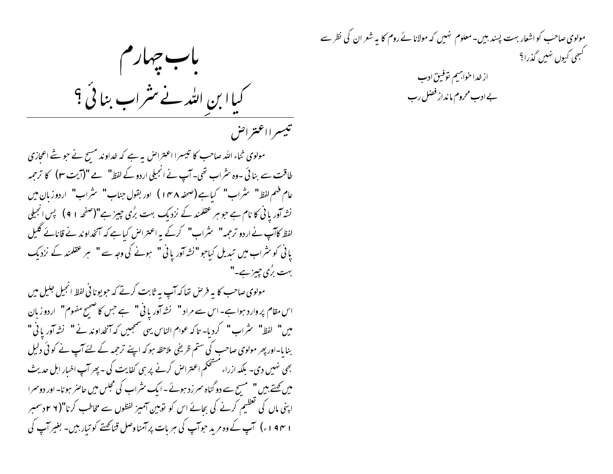باب جهارم کیاا بن اللہ نے مثراب بنائی ؟ تبيسرا اعبتراض

مولوی ثناء اللہ صاحب کا تبیسرا اعتراض بہ ہے کہ خداوند مسح نے حو شے اعجازی طاقت سے بنائی ۔وہ سٹراب تھی۔ آپ نے انجیلی اردو کے لفظ" ہے "(آیت ٣) کا ترجمہ نشہ آور یا نی کا نام ہے جو ہر عقلمند کے نزدیک بہت برُی چیز ہے"(صفحہ ۱ ۹) پس انجیلی لفظ کاآپ نے اردو ترجمہ" یشراب" کرکے بہ اعتراض کیاہے کہ آنخداوند نے قانائے گلیل یانی کو سٹراب میں تبدیل کیاجو "نشہ آور یانی" ہونے کی وجہ سے " ہر عقلمند کے نزدیک بہت برُی حییز ہے۔"

مولوی صاحب کا یہ فرص تعا کہ آپ یہ ثابت کرتے کہ حویونانی لفظ انجیل جلیل میں اس مقام پر وارد ہوا ہے۔اس سے مراد " نشہ آور یا ٹی " ہے جس کا صحیح مفهوم " اردو زبان ميں" لفظ" سثراب" كرديا- تاكہ عوام الناس يهى سمجييں كہ آنخداوند نے" نشہ آوريانى" بنایا-اور پھر مولوی صاحب کی ستم ظریفی ملاحظہ ہو کہ اپنے ترحمہ کے لئے آپ نے کوئی دلیل بھی نہیں دی۔ بلکہ ازراء مشتخکم اعتراض کرنے پر ہی کفایت کی - پھر آپ اخبار اہل حدیث میں کچتے ہیں " مسیح سے دو گناہ سمر زد ہوئے ۔ایک سثراب کی مجلس میں حاصر ہونا۔اور دوسمرا اپنی ماں کی تعظیم کرنے کی بحائے اس کو توہین آمیز لفظوں سے مخاطب کرنا"( ۲ ۲دسمبر ۱ ۱۹۴ ء) آپ کے وہ مرید حوآپ کی ہر بات پر آمناوصل قناصحتے کو تیار ہیں- بغیر آپ کی

مولوی صاحب کو اشعار بہت پسند بیں۔معلوم نہیں کہ مولانا ئے روم کا یہ شعر ان کی نظر سے گہجی کیوں نہیں گذرا؟

از خدا خوانهيم توفيق ادب بے ادب محروم ما نداز فضل رب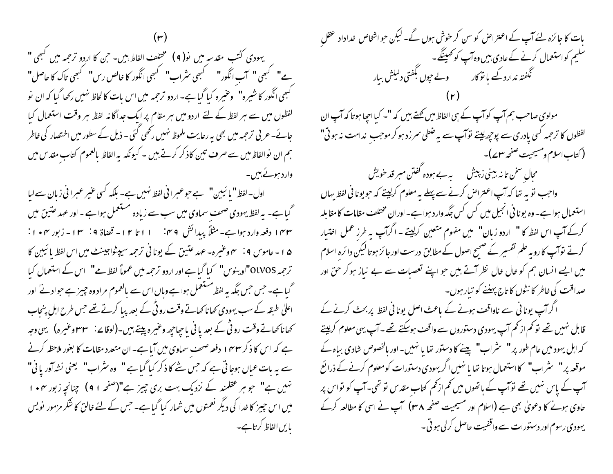یهودی کُتب مقدسهِ میں نو( ۹ ) مختلف الفاط بیں۔ حن کا اردو ترجمہ میں کبھی " گہجی انگور کا شیرہ" وعنیرہ کیا گیا ہے۔اردو ترجمہ میں اس بات کا لحاظ نہیں رکھا گیا کہ ان نو لفظوں میں سے ہر لفظ کے لئے اردو میں ہر مقام پر ایک جداگانہ لفظ ہر وقت استعمال کیا جانے۔ عربی ترجمہ میں بھی یہ رعایت ملحوظ نہیں رکھی گئی ۔ ذیل کے سطور میں اختصار کی خاطر ہم ان نوالفاظ میں سے صرف تین کاذ کر کرتے ہیں ۔ کیونکہ بہ الفاظ بالعموم کتاب مقدس میں وارد ہوئے بیں۔

اول-لفظ" یا ئیبین" ہے جوعبرا فی لفظ نہیں ہے۔ بلکہ کسی عنیر عبرانی زبان سے لبا گیا ہے۔ یہ لفظ یہودی صحف سماوی میں سب سے زیادہ مستعمل ہوا ہے - اور عہد عتیق میں ۴۳ ا دفعه وارد ہوا ہے۔ مثلاً پیدائش ۹۴. ۱۱ تا ۱۲ - قضاة ۹: ۱۳ - زبور ۴۰ + ۱: ۵۱۔ عاموس ۹: ہم وعنیرہ۔ عہد عتین کے یونانی ترجمہ سیپٹواجیسنے میں اس لفظ یا ئیپن کا ترجمہ OlVOS"اوینوس" کیا گیا ہے اور اردو ترجمہ میں عموماً لفظ ہے" اس کے استعمال کیا گیا ہے۔ جس جس جگہ یہ لفظ مستعمل ہوا ہے وہاں اس سے مالعموم مراد وہ جییز ہے حوادثے اور اعلیٰ طبقہ کے سب یہودی کھاناکھاتے وقت رو ٹی کے بعد پیا کرتے تھے جس طرح اہل پنجاب کھاناکھاتے وقت رو ٹی کے بعد یا نی یا جیاحیھ وعنیرہ پیتے ہیں۔(لوقا بے: ۳۳ وعنیرہ) یہی وجہ ہے کہ اس کا ذکر ۱۴۳ وفعہ صحف سماوی میں آیا ہے۔ان متعدد مقامات کا بغور ملاحظہ کرنے سے یہ بات عباں ہوجاتی ہے کہ حس شے کا ذکر کبا گیا ہے " وہ سٹراب" یعنی نشہ آور یا نی" نہیں ہے" جو ہر عقلمند کے نزدیک بہت بری چیز ہے"(صفحہ ۹۱) چنانچہ زبور ۴۰ + ا میں اس چیز کا خدا کی دیگر نعمتوں میں شمار کیا گیا ہے۔ جس کے لئے خالق کا شکر مزمور نویس بایں الفاظ کرتاہے۔

بات کا جا ئزہ لئے آپ کے اعتراض کو سن کر خوش ہوں گے۔ لیکن حو اشخاص خداداد عقل سلیم کواستعمال کرنے کے عادی بیں وہ آپ کو *حہیننگے۔*<br>نگیم کواستعمال گنفتہ ندارد ک<sup>ے</sup> با تو کار مصلحت ولیاتش بیار مولوی صاحب ہم آپ کوآپ کے ہی الفاظ میں کھتے ہیں کہ "۔ کیا احیا ہوتا کہ آپ ان لفظوں کا ترجمہ کسی یادری سے پوچھ لیتے نوآپ سے یہ غلطی سرزد ہو کرموجب ندامت نہ ہوتی" ( كتاب اسلام ومسيحيت صفحه سلمه) – محال سخن تا نہ بینی زبیش ہے ہے ہودہ کفتن مبر قد خویش واجب توبہ تعا کہ آپ اعتراض کرنے سے پہلے یہ معلوم کرلیتے کہ حویونانی لفظ یہاں استعمال ہوا ہے۔ وہ یونا فی انجیل میں کس کس جگہ وارد ہوا ہے۔ اوران مختلف مقامات کامقابلہ کرکے آپ اس لفظ کا " اردو زبان" میں مفهوم متعین کرلیتے ۔ اگرآپ بہ طرز عمل افتیار کرتے توآپ کا رویہ علم تفسیر کے صبیح اصول کے مطابق درست اورجا ئز ہوتا لیکن دا ئرہ اسلام میں ایسے انسان ہم کو خال خال نظر آتے ہیں جو اپنے تعصبات سے بے نیاز ہوکر حق اور صداقت کی خاطر کا نٹوں کا تاج پہننے کو تیار ہوں۔ اگر آپ یونانی سے ناواقف ہونے کے ماعث اصل یونانی لفظ پر بحث کرنے کے قابل نہیں تھے تو کم از کم آپ یہودی دستوروں سے واقف ہوسکتے تھے ۔ آپ یہی معلوم کرلیتے موقعہ پر" ہثراب" کااستعمال ہوتا تھا یا نہیں اگر یہودی دستورات کومعلوم کرنےکے ذرائع آپ کے پاس نہیں تھے توآپ کے ہاتھوں میں تھم از کھم کتاب مقد س نو تھی۔آپ کو نواس پر حاوی ہونے کا دعویٰ بھی ہے (اسلام اور مسیحیت صفحہ ۳۸) آپ نے اسی کا مطالعہ کرکے یہودی رسوم اور دستورات سے واقفیت حاصل کرلی ہو تی ۔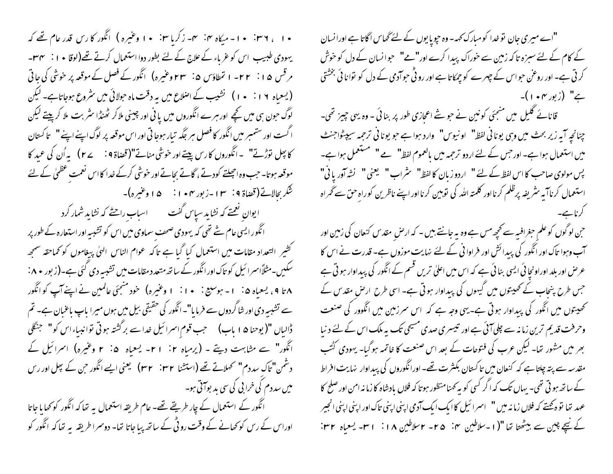۱۰ ، ۳۶ : ۱۰- میلاه ۴: ۳- زکریا ۳: ۱۰ وعنیره ) انگور کا رس قدر عام تھے کہ یہودی طبیب اس کو غرباء کے علاج کے لئے بطور دوا استعمال کرتے تھے(لوقا • ا : ۳۴۔ مر قس ۱۵: ۲۲- ا تمطاؤس ۵: ۲۳ وعنیره) انگور کے فصل کے موقعہ پر خوشی کی جاتی (یسعیاہ ۱۶ : • ۱ ) نشیب کے اصلاع میں یہ دقت ماہ حولائی میں سٹروع ہوجاتاہے۔ لیکن لوگ حون ہی میں کچھ اور ہرے انگوروں میں یا نی اور چینی ملاکر ٹھنڈا سٹر بت ملا کرپیتے لیکن ا گست اور ستمبر میں انگور کا فصل ہر جگہ تیار ہوجا تی اور اس موقعہ پر لوگ اپنے اپنے " یا کسان كا بِعِل نورِّ نے" ۔انگوروں كارس پيسے اور خوشى مناتے"(قصاۃ 9 : براُن كى عبد كا موقعہ ہوتا۔ حب وہ اجھلتے کودتے ، گاتے بحاتےاور خوشی کرکے خدا کااس نعمت عظمیٰ کے لئے شکر بجالاتے(قضاۃ ۹ : ۳ ۱ -زبور ۴۰ • ۱ : ۵ ۱ وغیرہ)۔ ا یوان نعمتے کہ نشاید سیاس گفت ہے ۔ اسباب راحتے کہ نشاید شمار کرد انگور ایسی عام ستے تھی کہ یہودی صحف سماوی میں اس کو تشبیہ اور استعارہ کے طور پر کشیر التعداد مقامات میں استعمال کبا گبا ہے تاکہ عوام الناس الهٰی پیغاموں کو کھاحقہ سمجھ سکیں۔مثلاًاسمرا ئیل کو تاک اور انگور کے ساتھ متعد د مقامات میں تشبیہ دی گئی ہے۔(زبور ۸۰ : ۸ تا ۹ ، یسعیاه ۵ : ۱ - ہوسیع : ۱۰ أ - ۱ وغیره) حنود منجئی عالمین نے اپنے آپ کوانگور سے تشبیہ دی اور شاگردوں سے فرما یا"۔انگور کی حقیقی بیل میں ہوں میرا باپ باعمان ہے۔ تم ڈالباں "(یوحنا ۵ ا ماب) سمجب قوم اسرائیل خداسے بر گشتہ ہوتی توانیباءاس کو" جنگلی انگور" سے مشابہت دیتے ۔ (پرمیاہ ۲: ۲۱- یسعیاہ ۵: ۲ وغیرہ) اسرائیل کے دشمن" تاک سددم" نحملاتے تھے (استشنا ۳۲ : ۳۲) یعنی ایسے انگور حن کے پھل اور رس میں سددم کی خرابی کی سی بد بوآتی ہو۔ انگور کے استعمال کے چار طریقے تھے۔ عام طریقہ استعمال بہ تھا کہ انگور کو کھا ما جاتا اوراس کے رس کو کھانے کے وقت رو ٹی کے ساتھ پیا جاتا تھا- دوسمرا طریقہ یہ تھا کہ انگور کو

"اے میری جان نو خدا کو مبارک کہہ- وہ حچویا یوں کے لئے گھاس اگاتا ہے اورا نسان کے کام کے لئے سبزہ تاکہ زمین سے خوراک پیدا کرے اور"مے" حبوانسان کے دل کو خوش کرتی ہے۔ اور روعن حبواس کے چہرے کو چمکا تا ہے اور رو ٹی حبوآدمی کے دل کو توانا ئی بخشتی ے" (زبور ۱۰۴)-

قانائے گلیل میں منجئی کونین نے حویشے اعجازی طور پر بنائی - وہ یہی چیز تھی۔ چنانچہ آپہ زیر بحث میں وہی یونانی لفظ" او نیوس" وارد ہوا ہے جو یونانی ترجمہ سیپٹواجنٹ میں استعمال ہوا ہے۔ اور حس کے لئے اردو ترحمہ میں بالعموم لفظ" ہے " مستعمل ہوا ہے۔ یس مولوی صاحب کا اس لفظ کے لئے " اردو زبان کا لفظ" یشراب " یعنی " نشہ آور یا فی" استعمال کرنا آیہ سثریفہ پرظلم کرنا اور کلمتہ اللہ کی نوبین کرنا اور اپنے ناظرین کوراہ حق سے گھراہ کرناہے۔

ح ن لوگوں کو علم حبغرافیہ سے تحچھ مس ہے وہ یہ جانتے ہیں ۔ کہ ارص مقدس کنعان کی زمین اور آب وہوا تاک اور انگور کی پیدائش اور فراوا فی کے لئے نہایت موزوں ہے۔ قدرت نے اس کا عرض اور بلد اوراونجا ئی ایسی بنا ئی ہے کہ اس میں اعلیٰ تریں قسم کے انگور کی پیداوار ہو تی ہے جس طرح پنجاب کے کھیتوں میں گیہوں کی پیداوار ہوتی ہے۔ اسی طرح ارص مقدس کے تحصیتوں میں انگور کی پیداوار ہوتی ہے۔یہی وجہ ہے کہ اس سرزمین میں انگوور کی صنعت وحرفت قدیم ترین زمانہ سے چلی آئی ہے اور تیسری صدی مسیحی تک یہ ملک اس کے لئے دنیا بھر میں مشور تھا۔ لیکن عرب کی فتوحات کے بعد اس صنعت کا خاتمہ ہو گیا۔ یہودی کٹتب مقدسہ سے پتہ چلتا ہے کہ کنعان میں تا کستان بکثرت تھے۔ اورانگوروں کی پیداوار نہایت افراط کے ساتھ ہو تی تھی۔ یہاں تک کہ اگر کسی کو بہ <sub>کھن</sub>ا منظور ہوتا کہ فلاں یادشاہ کا زما نہ امن اور صلح کا عہد تھا تو ہ کھتے کہ فلاں زمانہ میں " اسرائیل کاایک ایک آدمی اپنی اپنی تاک اور اپنی اپنی انجیر کے نیچے چین سے بیٹھتا تھا "(۱۔سلاطین ہن ۲۵- ۲سلاطین ۱۸: ۱۳- یسعیاہ ۲۳: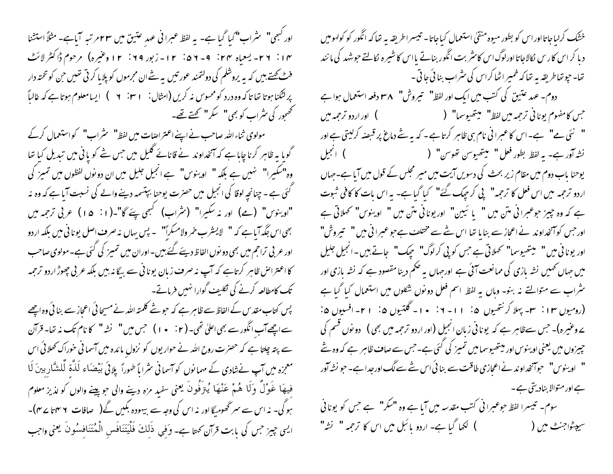١٣: ٢٦- يسعاه ٢٣: ٥-٥١: ٦١- زبور ٢٩: ١٢ وعنيره) مرحوم ڈاکٹر لائٹ فٹ کھتے ہیں کہ یہ یروشلم کی دولتمند عور تیں یہ شے ان مجرموں کو پلایا کر ٹی تھیں جن کو تختہ دار پرلٹکنا ہوتا تھا تاکہ وہ درد کومحسوس نہ کریں (امثال: ٢٠١٠ - ٢ ) ایسامعلوم ہوتا ہے کہ غالباً تحصحور کی سٹراپ کو بھی" کہ کہ" کہتے تھے۔

گویا بہ ظاہر کرنا چایا ہے کہ آنخداوند نے قانائے گلیل میں جس شے کو یا فی میں تبدیل کیا تھا وہ"سکیرا" ہنیں ہے بلکہ " اوینوس" ہے انجیل جلیل میں ان دونوں لفظوں میں تمیز کی گئی ہے ۔ چنانچہ لوقا کی انجیل میں حصرت یوحنا بپتسمہ دینے والے کی نسبت آیا ہے کہ وہ نہ "اوینوس" (مے) اور نہ سکیرا" (سٹراب) کبھی پئے گا"۔(۱: ۵۱) عربی ترجمہ میں بھی اس جگہ آیا ہے کہ " لایسٹر ب خمر ولامسکراً" ۔ پس یہاں نہ صرف اصل یونا فی میں بلکہ اردو اور عر پی تراجم میں بھی دو نوں الفاظ دیئے گئے بیں۔اوران میں تمیز کی گئی ہے۔مولوی صاحب کا اعتراض ظاہر کرتاہے کہ آپ نہ صرف زبان یونا نی سے بیگا نہ بیں بلکہ عربی چھوڑ اردو ترحمہ تک کامطالعہ کرنے کی نکلیف گوارا نہیں فرماتے۔

یس کتاب مقدس کے الفاظ سے ظاہر ہے کہ حبو شے کلمتہ اللہ نے مسیحا ئی اعجاز سے بنائی وہ اچھے سے اچھےآب انگور سے بھی اعلیٰ تھی۔ ( ۲ : • ) ) حبس میں " نشہ " کا نام تک نہ تھا۔ قرآن سے پتہ چلتا ہے کہ حصرت روح اللہ نے حوار یوں کو نزولِ مائدہ میں آسمانی خوراک کھلائی اس معجزہ میں آپ نےشادی کے مہمانوں کو آسمانی سٹرا یاً طہوراً پلائی بَیْضَاء لَذَّةِ لَلشَّارِبِینَ لَا فيهَا غَوْلٌ وَلَا هُمْ عَنْهَا يُتِرَفُونَ يعني سفيدِ مزه دينے والی حوِيينے والوں کو لذيز معلوم ہو گی۔ نہ اس سے سمرٹھومیگا اور نہ اس کی وجہ سے بیہودہ بکیں گے( صافات ۲ سہ تا ۲ سم)۔ ایسی چیز جس کی بابت قرآن کھتا ہے۔ وَفي ذَلكَ فَلْيَتَنَافَس الْمُتَنَافِسُونَ يعني واجب

خشک کرلیاجاتااوراس کو بطور میوه منقیٰ استعمال کیاجاتا- تیسراطریقه به تعاکه انگور کو کولهومیں د یا کر اس کار س نکالاجاتا اورلوگ اس کاسٹر بت انگور بنانے یا اس کا شیر ہ نکالتے حوشہد کی ما نند تھا۔ حپو تھاطریقہ یہ تھا کہ خمیر اٹھا کراس کی سٹراب بنا ئی جا تی ۔ دوم- عهد عتین کی کتب میں ایک اور لفظ" تیروش" ۳۸ دفعہ استعمال ہوا ہے جس كامفهوم يوناني ترحمه ميں لفظ" ليتھيوسما" ( ( ) اور اردو ترحمه ميں " نئی ہے" ہے۔اس کاعبرانی نام ہی ظاہر کرتاہے۔ کہ یہ ستٰے دماغ پر قبصنہ کرلیتی ہے اور یوحنا باب دوم میں مقام زیر بحث کی دسویں آیت میں میر مجلس کے قول میں آیا ہے۔جہاں اردو ترحمہ میں اس فعل کا ترحمہ" پی کر حِیک نَسَےَ" کیا گیا ہے۔ یہ اس بات کا کافی شبوت ہے کہ وہ چیز حوعبرانی متن میں " یا ئیین" اور یونانی متن میں " او ینوس" تحملاتی ہے اور حس کو آنخداوند نے اعجاز سے بنایا تھا اس نئے سے مختلف ہے حبو عبرانی میں " سیروش" اور یونانی میں" پیتھیوسما" تھملاتی ہے جس کو پی کرلوگ" ہچک" جاتے ہیں۔انجیل جلیل میں جہاں تھمیں نشہ بازی کی ممانعت آئی ہے اورجہاں یہ ضکم دینا مقصود ہے کہ نشہ بازی اور یشراب سے متوالتے نہ بنو۔ وہاں یہ لفظ اسم فعل دونوں شکلوں میں استعمال کیا گیا ہے (رومیوں ۱۳ : سم- پہلا کرنتھیوں ۵: ۱۱- ۱: • ۱- گلتیوں ۵: ۱۲- افسیوں ۵: ے وعنیرہ)۔ جس سےظاہر ہے کہ یونا فی زبان انجیل (اور اردو ترحمہ میں بھی ) ۔دونوں قسم کی چیزوں میں یعنی او ینوس اور میتھیوسمامیں تمیز کی گئی ہے۔جس سے صاف ظاہر ہے کہ وہ شے " او بنوس" حواتخداوند نےاعجازی طاقت سے بنائی اس شے سے لگ اورجدا ہے۔حو نشہ آور ہے اور متوالا بنادیتی ہے۔ سوم۔ تیسرا لفظ حوعبرانی کتب مقدسہ میں آیا ہے وہ "سکر" ہے جس کو یونانی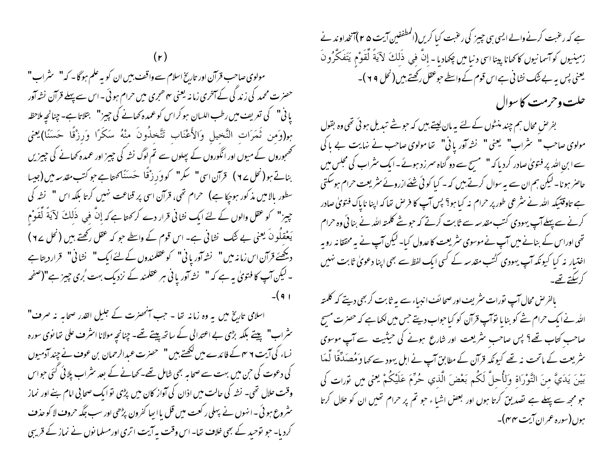مولوی صاحب قرآن اور تاریخ اسلام سے واقف بیں ان کو یہ علم ہوگا۔ کہ" یشراب" حصرت محمد کی زند کی کے آخری زمانہ یعنی ہم ھجری میں حرام ہوئی۔اس سے پہلے قرآن نشہ آور پانی" کی تعریف میں رطب اللسان ہو کر اس کو عمدہ کھانے کی چیز" بتلاتا ہے۔ چنانچہ ملاحظہ بِمِرْوَمِن ثَمَرَاتِ النَّخِيلِ وَالأَعْنَابِ تَتَّخِذُونَ مِنْهُ سَكَرًا وَرِزْقًا حَسَنًا)يعني مجمجوروں کے میوں اور انگوروں کے پھلوں سے تم لوگ نشہ کی چیز اور عمدہ کھانے کی چیزیں بناتے ہو(نحل ٢٤ ) قرآن اسی" سکر" کووَرِزْقًا حَسَنَاکهتاہے جو کتب مقدسہ میں (جیسا سطور بالامیں مذکور ہوجکا ہے) حرام تھی، قرآن اسی پر قناعت نہیں کرتا بلکہ اس " نشہ کی حِيرْ" كو عقل والوں كے لئے ايك نشانى قرار دے كرىمحتا ہے كہ إنّ في ذَلِكَ لآيَةً لِّقَوْمِ يَعْقِلُونَ يعني بے شَك نشاني ہے۔ اس قوم كے واسطے حو كہ عقل ركھتے ہيں (نحل ٢٤) دیکھئے قرآن اس زمانہ میں" نشہ آوریا ٹی" کوعقلمندوں کے لئےایک" نشانی" قراردیتاہے ۔ لیکن آپ کا فتویٰ یہ ہے کہ " نشہ آور یا نی ہر عقلمند کے نزدیک بہت بُری چیز ہے"(صفحہ

اسلامی تاریخ میں یہ وہ زمانہ تھا - جب آنٹھنرت کے جلیل القدر صحابہ نہ صرف" سٹراب" پیتے بلکہ بڑی بے اعتدالی کے ساتھ پیتے تھے۔ چنانچہ مولانا اسٹرف علی تھا نوی سورہ نساء کی آیت ۲ میں کے فائدے میں لکھتے ہیں "صحضرت عبدالرحمان بن عوف نے چند آدمیوں کی دعوت کی حن میں بہت سے صحابہ بھی شامل تھے۔کھانے کے بعد سٹراب پلائی گئی حواس وقت حلال تھی۔ نشہ کی حالت میں اذان کی آواز کان میں پڑی توایک صحابی امام ہنے اور نماز سٹر وع ہو ئی ۔ انہوں نے پہلی رکعت میں قل یا اپیا کفرون پڑھی اور سب جگہ حرو**ف لا کو حذ**ف کردیا۔ حبو توحید کے بھی خلاف تھا۔ اس وقت پہ آیت اتری اورمسلمانوں نے نماز کے قریبی ہے کہ رعبت کرنے والے ایسی ہی جییز کی رعبت کیا کریں (المطففین آیت ۴۵)آنخداوند نے زمينيوں كوآسمانيوں كاكھانا پينا اسى دنيا ميں چكھاديا - إِنَّ فِي ذَلِكَ لآيَةً لِّقَوْمٍ يَتَفَكَّرُونَ یعنی پس پہ بے ننک نشا نی ہے اس قوم کے واسطے حوعقل رکھتے ہیں ( نحل ٩٩ )۔ حلت وحرمت كاسوال

بفرض محال ہم چند منٹوں کے لئے یہ مان لیتے ہیں کہ حوثے تبدیل ہو ئی تھی وہ بقول مولوی صاحب " سٹراب" یعنی" نشہ آور یانی" تھا مولوی صاحب نے نہایت بے پا کی سے ابن اللہ پر فتویٰ صادر کردیا کہ " مسیح سے دو گناہ سمرزد ہوئے۔ایک سٹراب کی مجلس میں حاصر ہونا۔لیکن ہم ان سے پہ سوال کرتے ہیں کہ - کیا کوئی شئے ازروئے سثر یعت حرام ہوسکتی ہے تاوقتیکہ اللہ نے سٹرعی طور پر حرام نہ کیا ہو؟ پس آپ کا فرص تھا کہ اپنا ناپاک فتویٰ صادر کرنے سے پہلے آپ یہودی کتب مقدسہ سے ثابت کرتے کہ حبوشے کلمتہ اللہ نے بنائی وہ حرام تھی اوراس کے بنانے میں آپ نے موسوی سٹر یعت کا عدول کیا۔ لیکن آپ نے یہ محققا نہ روپہ اختیار نہ کیا کیونکہ آپ یہودی کٹتب مقدسہ کے کسی ایک لفظ سے بھی اپنا دعویٰ ثابت نہیں كرسكتے تھے.

بالفرص محال آپ نورات سثر یف اور صحائف انبساء سے بیہ ثابت کر بھی دیتے کہ کلمتہ اللہ نے ایک حرام شے کو بنایا توآپ قرآن کو کیا حواب دیتے جس میں لکھاہے کہ حصرت مسح صاحب کتاب تھے؟ پس صاحب نثر یعت اور شارع ہونے کی حیثیت سے آپ موسوی سٹریعت کے ماتحت نہ تھے کیونکہ قرآن کے مطابق آپ نے اہل یہود سے کہا وَمُصَدِّقًا لَّمَا بَيْنَ يَدَيَّ منَ التَّوْرَاة وَلِأُحلَّ لَكُم بَعْضَ الَّذي حُرِّمَ عَلَيْكُمْ يعني ميں نورات كي حبو مجھ سے پہلے ہے تصدیق کرتا ہوں اور بعض اشیاء حبو تم پر حرام تھیں ان کو حلال کرتا ہوں(سورہ عمران آیت مہم)۔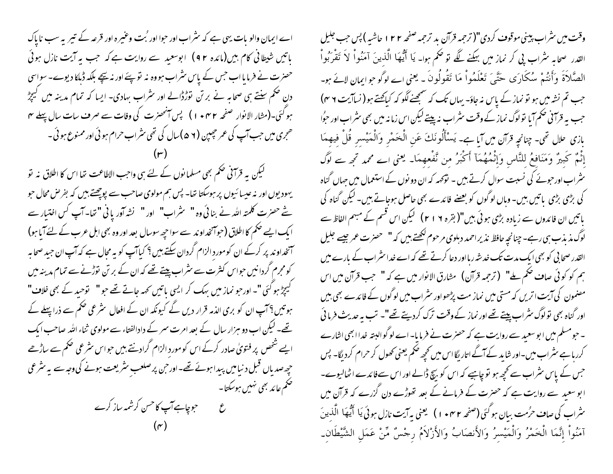اے ایمان والو بات یہی ہے کہ سثراب اور حوا اور <sup>م</sup>ُت وعنیرہ اور قرعہ کے تیمر یہ سب ناپاک باتیں شیطانی کام بیں(مائدہ ۹۲) ابوسعید سے روایت ہے کہ جب یہ آیت نازل ہوئی حصرت نے فرمایا اب جس کے پاس سٹراب ہووہ نہ تو پئے اور نہ پیچے بلکہ ڈپکا دیوے۔ سواسی دن حکم سنتے ہی صحابہ نے بر تن توڑڈالے اور سثراب بہادی- ایسا کہ تمام مدینہ میں گیچڑ ہو گئی۔(مثار الانوار صفحہ ۱۰۴۲ ) پس آنمحصرت کی وفات سے صرف سات سال پہلے مہ ھجری میں حب آپ کی عمر حچیبن (۵ ۲ )سال کی تھی سثراب حرام ہو ئی اور ممنوع ہو ئی ۔

لیکن یہ قرآنی ضحم بھی مسلما نوں کے لئے ہی واجب الاطاعت تھا اس کا اطلاق نہ تو یہودیوں اور نہ عیسا ئیوں پر ہوسکتا تھا۔ پس ہم مولوی صاحب سے پوچھتے ہیں کہ بفر حس محال حو شے حصرت کلمتہ اللہ نے بنائی وہ " ینٹراب" اور " نشہ آور یا نی "تھا۔ آپ کس اختیار سے ا یک ایسے ضمم کا اطلاق (حواسخداوند سے سواحپھ سوسال بعد اور وہ بھی اہل عرب کے لئے آیا ہو) ۔<br>سمنحداوند پر کرکے ان کوموردِ الزام گردان سکتے ہیں؟ کیا**آپ کو یہ مجال ہے کہ آپ ان** جید صحابہ ِ کومجرم گردانیں حواس کثرت سے *مثر*اب پیتے تھے کہ ان کے بر <sup>م</sup>ن قوڑنے سے تمام مدینہ میں گیچڑ ہو گئی "۔اورحبو نماز میں بہک کر ایسی باتیں کہہ جاتے تھے حبو " لتوحید کے بھی خلاف" ہو تیں ؟ آپ ان کو بری الذمہ قرار دیں گے کیونکہ ان کے افعال سٹر عی حکم سے ذرا پہلے کے تھے۔ لیکن اب دو ہزار سال کے بعد امرت سمر کے دادالفتاء سے مولوی ثناء اللہ صاحب ایک ایے شخص پر فتویٰ صادر کرکے اس کو موردِ الزام گرادیئے بیں حواس سٹرعی صحم سے ساڑھے حپھ صدیاں قبل د نیامیں پیدا ہوئے تھے۔اور حن پر صلعبِ سٹریعت ہونے کی وجہ سے یہ سٹر عی حکم عائد بھی نہیں ہوسکتا۔ ع ہے۔ جوچاہے آپ کاحسن کرشمہ ساز کرے

وقت میں سٹراب پینی موقوف کردی"( ترجمہ قرآن بد ترحمہ صفحہ ۲۲ ا حاشیہ ) پس حب جلیل القدر صحابہ سُراب پی کر نماز میں بہکنے لگے تو حُکم ہوا۔ یَا أَیُّهَا الَّذِینَ آمَنُواْ لاَ تَقْرَبُواْ الصَّلاَةَ وَأَنتُمْ سُكَارَى حَتَّىَ تَعْلَمُواْ مَا تَقُولُونَ ـ يعني اے لوگوجوايمان لائے ہو۔ جب تم نشہ میں ہو نو نماز کے پاس نہ جاؤ- یہاں تک کہ سمجھنے لگو کہ کیاکھتے ہو ( نساآیت ۴ ۴) جب یہ قرآنی حکم آیا تولوگ نماز کے وقت سثراب نہ پیتے لیکن اس زمانہ میں بھی سثراب اور حوُا بازي علل تھي۔ چنانچ قرآن ميں آيا ہے۔ يَسْأَلُونَكَ عَنِ الْخَمْرِ وَالْمَيْسِرِ قُلْ فِيهِمَا إِنَّمٌ كَبِيرٌ وَمَنَافعُ لِلنَّاسِ وَإِنْهُهُمَآ أَكْبَرُ من تَّفْعهمَا۔ يعني اے محمد تجِم سے لوگ سٹراب اورحونے کی نسبت سوال کرتے ہیں ۔ نوّحہہ کہ ان دو نوں کے استعمال میں حہاں گناہ کی بڑی بڑی پاتیں بیں۔ وہاں لو گوں کو بعضے فائدے بھی حاصل ہوجاتے ہیں۔ لیکن گناہ کی باتیں ان فائدوں سے زیادہ بڑی ہوئی بیں"( بقرہ ٢ ١ ٢) گیکن اس قسم کے مبہم الفاظ سے لوگ مذیذب ہی رہے۔ چنانچہ حافظ نذیر احمد دہلوی مرحوم لکھتے ہیں کہ " حصرت عمر جیسے جلیل القدر صحا بی کو بھی ایک مدت تک خدشہ رہااور دعا کرتے تھے کہ اے خداسٹراب کے بارے میں ہم کو کوئی صاف حکم ملے" (ترجمہ قرآن) مشارق الانوار میں ہے کہ " حب قرآن میں اس مصنمون کی آیت اتریں کہ مستی میں نماز مت پڑھواور سثراب میں لوگوں کے فائدے بھی بیں اور گناہ بھی نولوگ سٹراب پیتے تھے اور نماز کے وقت ترک کردیتے تھے"۔ تب یہ حدیث فرمائی ۔ حبو مسلم میں ابو سعید سے روایت ہے کہ حصرت نے فرمایا۔ اے لو گوالبتہ خداا بھی اشارے کررہا ہے سٹر اب میں۔اور شاید کے آگے اتار بگا اس میں تحجیہ ضخم یعنی تھول کر حرام کردیگا۔ پس جس کے پاس سٹراب سے کجھ ہو تو چاہیے کہ اس کو بیچ ڈالے اور اس سےفائدے اٹھالیوے۔ ابو سعید سے روایت ہے کہ حصرت کے فرمانے کے بعد تھوڑے دن گزرے کہ قرآن میں سثراب کی صاف حرُمت بیان ہو گئی (صفحہ ۴ میں ۱ ، یعنی بہ آیت نازل ہوئی یَا ۖ أَیُّهَا الَّذینَ آمَنُواْ إِنَّمَا الْخَمْرُ وَالْمَيْسرُ وَالأَنصَابُ وَالأَزْلَامُ رجْسٌ مِّنْ عَمَلِ الشَّيْطَانِ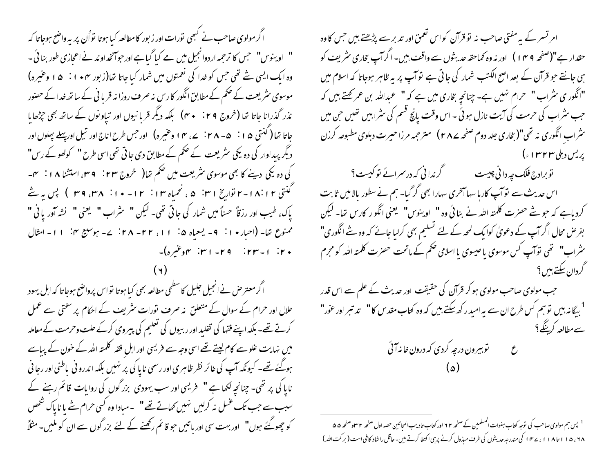ا گر مولوی صاحب نے کسمی نورات اور زبور کا مطالعہ کیا ہوتا نواُن پر یہ واضح ہوجاتا کہ " او بینوس" حبس کا ترحمہ اردوانجیل میں مے کیا گیاہے اورحوآنخداو ند نے اعجازی طور بنائی ۔ وہ ایک ایسی شے تھی جس کو خدا کی نعمتوں میں شمار کیا جاتا تھا(زبور ۴۰ + ۱ : ۵ ا وعنیرہ) موسوی سٹر یعت کے حکم کے مطابق انگور کارس نہ صرف روزانہ قریا فی کے ساتھ خدا کے حصور نذر گذرانا جاتا تھا (خروج ۴۹ : ۳۰) بلکہ دیگر قربانیوں اور تیاو نوں کے ساتھ بھی جڑھایا جاتا تھا ( کنتی ۱۵ : ۰۵ – ۲۸ : ۲۷ وغیره) اورجس طرح اناج اور تیل اورپہلے پجلوں اور دیگر پیداوار کی دہ یکی سثر یعت کے صحم کے مطابق دی جاتی تھی اسی طرح " کولھو کے رس" کی دہ یکی دینے کا بھی موسوی سٹریعت میں حکم تعا( خروج ۲۳: ۴ میں استشنا ۱۸: سم-گنتی ۲۰۱۸ ا-۲ تواریخ ۳۱ نه ۵ ، نحمیاه ۱۳ : ۱۲ - ۱۰ : ۳۸، ۳۹ ) پس یه نئے ياك، طيب اور رزقاً حسناً ميں شمار كى جاتى تھى- ليكن " \_ سثراب " \_ يعنى " \_ نشه آور يا فى " ممنوع تعا- (احبار • ۱ : ۹ - يسعياه ۵ : ۱۱، ۲۲ - ۲۸ : ۷- بوسيع ۴ : ۱۱- امثال ۲۰ | - ۲۳ | - ۲۹ | ۲۰ | ۴ | مهوغیره)-

اگر معتر حن نے انجیل جلیل کا سطحی مطالعہ بھی کیا ہوتا تواس پرواضح ہوجاتا کہ اہل یہود حلال اور حرام کے سوال کے متعلق نہ صرف نورات سٹریف کے احکام پر سختی سے عمل کرتے تھے۔ بلکہ اپنے فقہا کی تقلید اور ربیوں کی تعلیم کی پیروی کرکے حلت وحرمت کے معاملہ میں نہایت علو سے کام لیتے تھے اسی وجہ سے فریسی اور اہل فقہ کلمتہ اللہ کے خون کے پیاسے ہوگئے تھے۔ کیونکہ آپ کی غائر نظر ظاہری اور رسمی ناپا کی پر نہیں بلکہ اندرو فی باطنی اور رجا فی نایا کی پر تھی۔ چنانچہ لکھا ہے " فریسی اور سب یہودی بزرگوں کی روایات قائم رہنے کے سہب سے جب تک غسل نہ کرلیں نہیں کھاتے تھے" ۔مبادا وہ کسی حرام شے پا ناپاک شخص کو چھوگئے ہوں" اور بہت سی اور ہاتیں حو قائم رکھنے کے لئے بزر گوں سے ان کو ملیں۔ مثلاً

امر تسر کے بہ مفتی صاحب نہ تو قرآن کواس تعمق اور تدبر سے پڑھتے بیں جس کا وہ حقدار ہے"(صفحہ ۹ مه ۱ ) اور نہ وہ کماحقہ حدیثوں سے واقف بیں۔ اگرآپ بخاری سثر یف کو ہی جانتے جو قرآن کے بعد اصح الکتب شمار کی جاتی ہے توآپ پر بہ ظاہر ہوجاتا کہ اسلام میں "انگوری سٹراب" حرام نہیں ہے۔ چنانچہ بخاری میں ہے کہ" عبداللہ بن عمر کھتے ہیں کہ جب سثراب کی حرمت کی آیت نازل ہوئی ۔ اس وقت پانچ قسم کی سثرابیں تھیں جن میں <sup>م</sup>شراب انگوری نه تھی"( بخاری جلد دوم صفحه ۲۸۷) متر جمه مرزا حیرت دہلوی مطبوعه کرزن یریس دہلی ۱۳۲۳ء)

توبرادج فلک چه دانی چیست مسلم گرندانی که در *سر*ائے تو کیست؟ اس حدیث سے نوآپ کاربا سہا آخری سہارا بھی گر گیا۔ ہم نے سطور بالامیں ثابت کردیاہے کہ حبو ستے حصرت کلمتہ ا<sub>للّٰہ</sub> نے بنائی وہ " او ینوس" یعنی انگو ر کارس ت<sub>فا</sub>۔ لیکن بفرض محال اگر آپ کے دعویٰ کوابک لمحہ کے لئے تسلیم بھی کرلیا جائے کہ وہ شے انگوری" سٹراب" تھی نوآپ کس موسوی باعیسوی یا اسلامی صحم کے ماتحت حصرت کلمتہ اللہ کو مجرم گردان سکتے ہیں ؟

جب مولوی صاحب مولوی ہو کر قرآن کی حقیقت اور حدیث کے علم سے اس قدر <sup>1</sup> ریگا نہ بیں تو ہم کس طرح ان سے یہ امبد رکھ سکتے ہیں کہ وہ کتاب مقد س کا " تد تبر اور عور " سے مطالعہ کرپنگے؟ 

 $\circ$ 

<sup>1</sup> پس ہم مولوی صاحب کی <sub>لوّ</sub>جہ کتاب ہفوات المسلمین کے صفحہ ٢٢ اور کتاب تادیب المجاتین حصہ اول صفحہ ٢ س<sub>ا</sub>وصفحہ ۵۵ ۱۸، ۱۱۵، ۱۱۵، ۱۱۸)، سیسم اگی مندرجه حدیثوں کی طرف مبذول کرنے پر بی اکتفا کرتے ہیں۔عاقل راشاد کافی است ( برکت اللہ )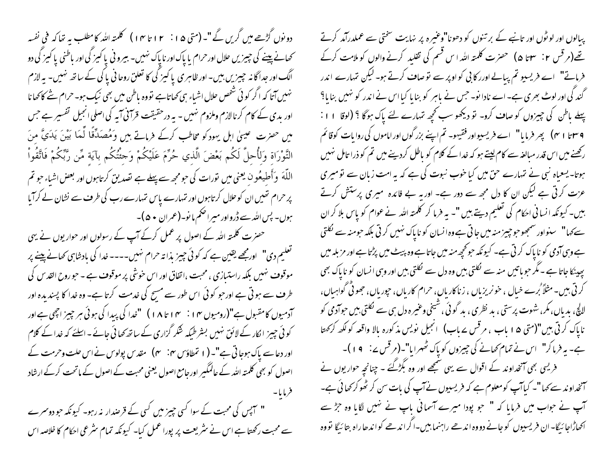دونوں گڑھے میں گریں گے "۔ (متی ۱۵ : ۱۲ تا ۱۴) کلمتہ اللہ کامطلب یہ تعاکہ فی نفسہ کھانے پینے کی چیزیں حلال اور حرام یا پاک اور ناپاک نہیں۔ بیرو فی یا کیز کی اور باطنی یا کیز کی دو الگ اور جداگا نہ چیزیں بیں- اور ظاہری یا کیز کی کا تعلق روحا فی یا کی کے ساتھ نہیں- یہ لازم نہیں آتا کہ اگر کوئی شخص حلال اشیاء ہی کھاتاہے نووہ باطن میں بھی نیک ہو۔ حرام شے کاکھانا اور بدی کے کام کرنالازم وملزوم نہیں - یہ درحقیقت قرآنی آیہ کی اصلی انجیل تفسیر ہے جس میں حصرت عینیٰ اہل یہودکو مخاطب کرکے فرماتے ہیں وَمُصَدِّقًا لَّمَا بَیْنَ یَدَیَّ مِنَ التَّوْرَاة وَلأُحلَّ لَكُم بَعْضَ الَّذي حُرِّمَ عَلَيْكُمْ وَحِثْتُكُم بآيَة مِّن رَّبِّكُمْ فَاتَّقُواْ اللَّهَ ۖ وَأَطيعُون يعني ميں تورات كى حومجھ سے پہلے ہے تصدیق كرتاہوں اور بعض اشیاء حو تم پر حرام تھیں ان کوحلال کرتاہوں اور تہارے پاس تہارے رب کی طرف سے نشان لے کرآیا ہوں۔ پس اللہ سے ڈرواور میراضم ما نو۔(عمران • ۵)۔

حصرت کلمتہ اللہ کے اصول پر عمل کرکے آپ کے رسولوں اور حوار یوں نے یہی تعلیم دی" اورمجھے یقین ہے کہ کوئی چیز بذا تہ حرام نہیں۔۔۔۔خدا کی بادشاہی کھانے پینے پر موقوف نہیں بلکہ راستیازی ، محبت ،اتفاق اور اس خوشی پر موقوف ہے ۔ حبو روح القد س کی طرف سے ہو تی ہے اور حبو کو ئی اس طور سے مسح کی خدمت کرتا ہے۔ وہ خدا کا پسند بدہ اور آدمیوں کامقبول ہے"(رومیوں میں ایسی ۱ میں ایل کی پیدا کی ہیدا کی ہوئی ہر چیپز ایجی ہے اور '' کو ئی چیز انکار کے لائق نہیں بشرطیکہ شکر گزاری کے ساتھ کھائی جائے ۔اسلئے کہ خدا کے کلام اور دعاسے پاک ہوجا تی ہے"۔ (۱ تمطاؤس ۴۰: ۴) مقدس پولوس نے اس حلت وحرمت کے اصول کو بھی کلمتہ اللہ کے عالمگیر اورجامع اصول یعنی محبت کے اصول کے ماتحت کرکے ارشاد فرمايا-" سہیں کی محبت کے سوا کسی چیز میں کسی کے قرصدار نہ رہو۔ کیونکہ حو دوسرے

سے محبت رکھتا ہے اس نے سٹریعت پر پورا عمل کیا۔ کیونکہ تمام سٹر عی احکام کا خلاصہ اس

پبالوں اور لوٹوں اور تانبے کے بر تنوں کو دھونا"وعنیرہ پر نہایت سختی سے عملدرآمد کرتے تھے(مرقس ۲<sup>:</sup> ۳ تا ۵) حصرت کلمتہ اللہ اس قسم کی تقلید کرنے والوں کو ملامت کرکے فرماتے" اے فریسیو تم پبالے اورر کا بی کو اوپر سے نوصاف کرتے ہو۔ لیکن تہارے اندر گندگی اور لوٹ بھری ہے۔ اے نادا نو۔ جس نے پاہر کو بنا یا کیا اس نے اندر کو نہیں بنا یا؟ پہلے ماطن کی چیزوں کو صاف کرو۔ تو دیکھو سب کحچھ تہارے لئے پاک ہوگا ؟ (لوقا ١١: ۴ سنا ۳۱) پھر فرمایا" اے فریسیواور فقیہو۔ تم اپنے بزرگوں اور اماموں کی روایات کوقائم رکھنے میں اس قدر مبالغہ سے کام لیتے ہو کہ خدا کے کلام کو باطل کردینے میں تم کو ذرا تامل نہیں ہوتا- یسعیاہ نبی نے تہارے حق میں کیا خوب نبوت کی ہے کہ یہ امت زبان سے تو میری عزت کرتی ہے لیکن ان کا دل مجھ سے دور ہے۔ اور یہ بے فائدہ میری پر ستش کرتے بیں۔ کیونکہ انسا فی احکام کی تعلیم دیتے ہیں "۔ یہ فرما کر کلمتہ اللہ نے عوام کو پاس بلا کر ان سے کہا" سنواور سمجھوحوحپیز منہ میں جاتی ہے وہ انسان کو ناپاک نہیں کرتی بلکہ حومنہ سے نکلتی ہے وہی آدمی کو نا پاک کر ٹی ہے۔ کیونکہ حو تحچھ منہ میں جاتا ہے وہ پیٹ میں پڑتا ہے اور مزبلہ میں پہینکا جاتا ہے ۔ مگر حویاتیں منہ سے لکلتی بیں وہ دل سے لکلتی بیں اور وہی انسان کو ناپاک بھی ۔<br>کرتی ہیں۔ مثلاً <sup>م</sup>رے خیال ، خونریزیاں ، زناکاریاں، حرام کاریاں، جوریاں، جھوٹی گواہیاں، لالچ، بدیاں،مکر، شہوت پرستی ، بد نظری ، بد گوئی ،شیٹحی وعنیرہ دل ہی سے نکلتی بیں حوآدمی کو ناپاک کرتی بیں"(متی ۵ ا باب ، مرقس سے باب) انجیل نویس مذکورہ بالا واقعہ کو لکھ کرکھتا ہے۔ یہ فرماکر" اس نے تمام کھانے کی چیزوں کو پاک ٹھہرایا"۔(مرقس پے: ۹۱)۔ فریسی بھی آنخداوند کے اقوال سے یہی سمجھے اور وہ بگڑگئے - چنانچہ حواریوں نے آنخداوند سے کہا "۔ کیاآپ کومعلوم ہے کہ فریسیوں نےآپ کی بات سن کر ٹھوکر کھائی ہے۔ آپ نے حواب میں فرمایا کہ " حو پودا میرے آسمانی باپ نے تہیں لگایا وہ جڑے اکھاڑاجا ئیگا- ان فریسیوں کو جانے دووہ اندھے راہنما ہیں-اگرا ندھے کواندھاراہ بتائیگا نووہ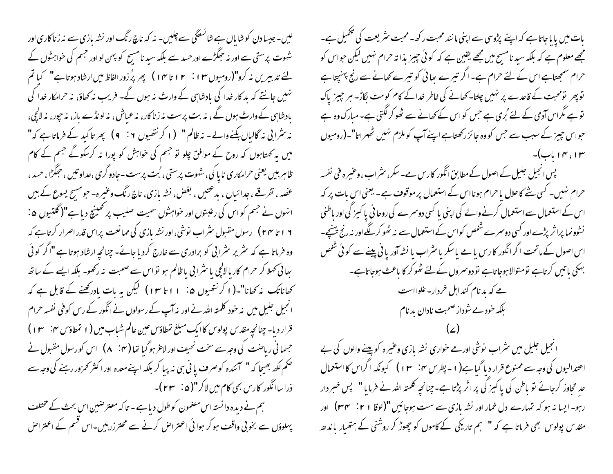لیں۔جیسا دن کو شاباں ہے شائسٹگی سے چلیں۔ نہ کہ ناچ رنگ اور نشہ بازی سے نہ زناکاری اور شہوت پرستی سے اور نہ حِمَکڑے اور حسد سے بلکہ سید نامسیح کو پہن لواور جسم کی خواہشوں کے لئے تدبیریں نہ کرو"(رومیوں ۱۲ : ۱۲ تا ۱۴) پھر پُرزور الفاظ میں ارشاد ہوتا ہے" کیا تم نہیں جانتے کہ ید کار خدا کی یادشاہی کے وارث نہ ہوں گے۔ فریب نہ کھاؤ، نہ حرامکار خدا کی بادشاہی کے وارث ہوں گے ، نہ بت پرست نہ زناکار، نہ عباش ، نہ لونڈے باز، نہ جور، نہ لالچی، نہ سٹرانی نہ گالیاں بکنے والے - نہ ظالم " ( ا کر نتھیوں ٢ : ٩ ) پھر تا کید کے فرماتا ہے کہ" میں ہہ کھتاہوں کہ روح کے موافق چلو تو جسم کی خواہش کو پورا نہ کرسکوگے جسم کے کام ظاہر بیں یعنی حرامکاری ناپا کی، شہوت پرستی ، بُت پرست -جادو گری ،عداو تیں ، حِمَکَرُا ، حسد ، عصہ ، تفرقے ، جدائباں ، بدعتیں ، بغض، نشہ بازی، ناچ رنگ وعنیرہ- حومسح یسوع کے ہیں انہوں نے جسم کو اس کی رعبتوں اور خواہشوں سمیت صلیب پر کھینیچ دیا ہے"(گلتیوں ۵ : ۱۶ تا ۲۴) رسول مقبول سثراب نوشی، اور نشه بازی کی ممانعت پراس قدر اصرار کرتا ہے کہ وہ فرماتا ہے کہ سٹریر سٹرا بی کو برادری سے خارج کردیا جائے- چنانچہ ارشاد ہوتا ہے "اگر کوئی بھائی تھلا کر حرام کاریا لالچی یا سٹرا بی یا ظالم ہو نواس سے صحبت نہ رکھو۔ بلکہ ایسے کے ساتھ کھاناتک نہ کھانا"۔(۱ کرنتھیوں ۵: ۱۱ تا ۱۳) لیکن یہ بات یادرکھنے کے قابل ہے کہ انجیل جلیل میں نہ خود کلمتہ اللہ نے اور نہ آپ کے رسولوں نے انگور کے رس کوفی نفسہ حرام قرار دیا- چنانچه مقدس پولوس کا ایک مبلغ تمطاؤس عین عالم شباب میں (۱ تمطاؤس ۴: ۱۳) حسمانی ریاضت کی وجہ سے سخت نحیف اور لاعر ہوگیا تھا ( م : A ) اس کو رسول مقبول نے ذراساانگور کاریں بھی کام میں لاکر"(۵<sup>:</sup> ۲۳)۔ ہم نے دیدہ دانستہ اس مصنمون کوطول دیا ہے - تا کہ معتر صبین اس بحث کے مختلف پہلوؤں سے بخو بی واقف ہو کر ہوا ئی اعتراض کرنے سے محترزر بیں۔اس قسم کے اعتراض

بات میں پایاجاتا ہے کہ اپنے پڑوسی سے اپنی ما نند محبت رکھ۔محبت سٹریعت کی تکمیل ہے۔ مجھے معلوم ہے کہ بلکہ سید نامسیح میں مجھے یقین ہے کہ کوئی چیز بذا تہ حرام نہیں لیکن حواس کو حرام سمجھتاہے اس کے لئے حرام ہے۔ اگر تیرے بھائی کو تیرے کھانے سے رنج پہنچتا ہے توپھر تومحبت کے قاعدے پر نہیں چلتا۔کھانے کی خاطر خداکے کام کومت بگاڑ۔ ہر چیز پاک توہے مگراس آدمی کے لئے 'بری ہے جس کواس کے کھانے سے ٹھو کر لگتی ہے۔ مبارک وہ ہے حواس جیپز کے سبب سے جس کو وہ جائز رکھتاہے اپنے آپ کو ملزم نہیں ٹھہراتا"۔(رومیوں پس انجیل جلیل کے اصول کے مطابق انگور کارس ہے۔سکر، سثراب ، وعنیرہ فی نفسہ حرام نہیں۔ کسی شے کاحلال یا حرام ہونا اس کے استعمال پر موقوف ہے۔ یعنی اس بات پر کہ

اس کے استعمال سے استعمال کرنے والے کی اپنی یا کسی دوسمرے کی روحا فی پاکیز کی اور باطنی نشوونما پرا ٹرپڑے اور کسی دوسرے شخص کواس کے استعمال سے نہ ٹھو کر لگے اور نہ رنج بہنیچ۔ اس اصول کے ماتحت اگرانگور کارس بامے پاسکر با سثراب با نشہ آور یا ٹی پینے سے کوئی شخص بہکی باتیں کرتاہے تومتوالاہوجاتاہے نو دوسروں کے لئے ٹھوکر کا باعث ہوجاتاہے۔ ہے کہ بدنام کنداہل خردار۔ غلوااست بلکہ خود ہے شوداز صحبت نادان بد نام

انجیل جلیل میں سثراب نوشی اورمے خواری نشہ مازی وعنیرہ کوپینے والوں کی بے اعتدالیوں کی وجہ سے ممنوع قرار دیا گیا ہے(۱۔پطرس مہ: ۱۳ ) کیونکہ اگراس کا استعمال حد تحاوز کرجائے نو باطن کی پاکیز کی پر اثر پڑتا ہے۔چنانچہ کلمتہ اللہ نے فرمایا " پس خبر دار رہو۔ایسا نہ ہو کہ تہارے دل خمار اور نشہ بازی سے ست ہوجائیں "(لوقا ۲۱: م ۳۳) اور مقد س پولوس بھی فرماتا ہے کہ " ہم تاریکی کے کاموں کو چھوڑ کر روشنی کے ہتھیار باندھ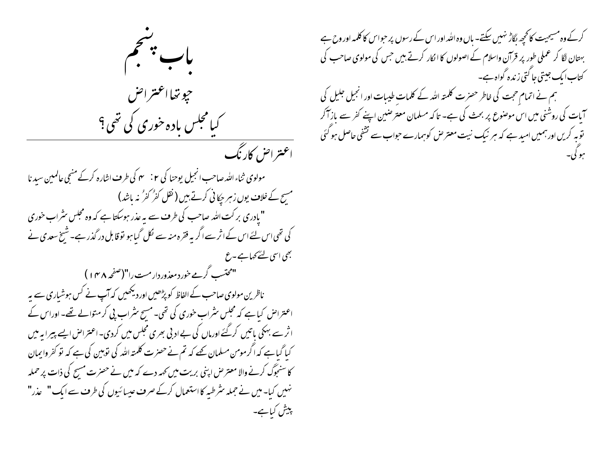

کرکے وہ مسیحیت کانحجھ لگاڑ نہیں سکتے۔ باں وہ اللہ اور اس کے رسوں پر حبواس کا کلمہ اور وح ہے بہتان لگا کر عملی طور پر قرآن واسلام کے اصولوں کا انکار کرتے ہیں جس کی مولوی صاحب کی کتاب ایک جیتی جا کتی زندہ گواہ ہے۔ ہم نے اتمام حجت کی خاطر حصرت کلمتہ اللہ کے کلمات طیبات اور انجیل جلیل کی آبات کی روشنی میں اس موصوع پر بحث کی ہے۔ تا کہ مسلمان معترضین اپنے کفر سے باز آکر توبہ کریں اور ہمیں امید ہے کہ ہر نیک نیت معترض کوہمارے حواب سے تشفی حاصل ہو گئی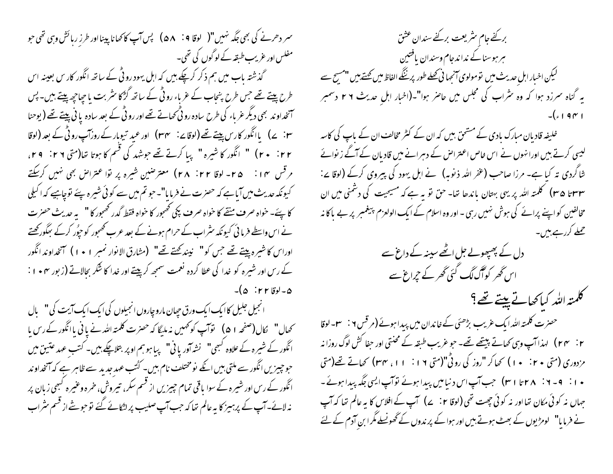سمر دھرنے کی بھی جگہ نہیں"( لوقا 4 : ۵۸) پس آپ کا کھانا پینااور طرزِ رہائش وہی تھی حو مفلس اور عریب طبقہ کے لوگوں کی تھی۔ گذشتہ باب میں ہم ذکر کرچکے ہیں کہ اہل یہود روٹی کے ساتھ انگور کار س بعینہ اس طرح پیتے تھے جس طرح بنحاب کے عرباء رو ٹی کے ساتھ گڑکا سٹربت یا جیاجپر پیتے ہیں۔ پس آنخداوند بھی دیگر عرباء کی طرح سادہ رو ٹی تھا۔تے تھے اور رو ٹی کے بعد سادہ یا ٹی پیتے تھے ( یوحنا َ ٣: ے) ہااَنگور کارس پیتے تھے (لوقا ∠: ٣٠٢) اور عبد تیوہار کے روزآپ رو ٹی کے بعد (لوقا ۲۲: ۲۰) " انگور کا شیرہ" پیا کرتے تھے جوشہد کی قسم کا ہوتا تعا(متی ۲۹: ۲۹، مرقس ۱۴: ۲۵- لوقا ۲۲: ۲۸) معترضین شیره پر توا عتراص بھی نہیں کرسکتے کیونکہ حدیث میں آیاہے کہ حصرت نے فرمایا"۔ حبو تم میں سے کوئی شیرہ پئے توچاہیے کہ اکیلی کا پئے۔ خواہ صرف منقے کا خواہ صرف پکی تھمجور کا خواہ فقط گدر تھمجور کا " یہ حدیث حصرت نے اس واسطے فرما ٹی کیونکہ سٹراب کے حرام ہونے کے بعد عرب کھمجور کو حپوُر کرکے مجگور کھتے اوراس كاشيره پيتے تھے جس كو" نيندكھتے تھے" (مشارق الانوار نمبر ١٠٠١) آنخداوند انگور کے رس اور شیرہ کو خدا کی عطا کردہ نعمت سمجھ کرپیتے اور خدا کا شکر بحالاتے (زبور ~ • ۱ :  $\sqrt{\Delta}$  : ۲۲ کوقا

انجیل جلیل کاایک ایک ورق حیان مارو چاروں انجیلوں کی ایک ایک آیت کی " پال انگور کے شیرہ کے علاوہ کبھی" نشہ آور یا ٹی" پیا ہو ہم او پر بتلا چکے ہیں۔ کتب عہد عتین میں حو چیزیں انگور سے ملتی بیں انکے نومختلف نام بیں۔ کُٹپ عہد جدید سے ظاہر ہے کہ آنخداوند انگور کے رس اور شیرہ کے سوا یاقی تمام چیزیں از قسم سکر، تیروش، خرہ وعنیرہ کبھی زبان پر نہ لائے-آپ کے پرہیز کا بہ عالم تعا کہ جب آپ صلیب پر لٹکائے گئے توجو شے از قسم مثر اب

بركفے جام مثر يعت بركفے سندان عشق ہر ہوسناکے نداندجام وسندان یافتین لیکن اخبار اہل حدیث میں تومولوی آنجہا ٹی تھلے طور پرننگے الفاظ میں تھتے ہیں "مسیح سے یه گناه سرزد ہوا که وه سراب کی مجلس میں حاصر ہوا"۔(اخبار اہل حدیث ۲۶ دسمبر

خلیفہ قادیان مبارک بادی کے مشحق بیں کہ ان کے کٹر مخالف ان کے باپ کی کاسہ لیسی کرتے ہیں اورا نہوں نے اس خاص اعتراض کے دہرانے میں قادیان کے آگے زیوائے شاگردی تہ کیا ہے۔ مرزا صاحب (عفر اللہ ذیوبہ) نے اہل یہود کی پیروی کرکے (لوقا پے: سیس (۳۵ سم) کلمته الله پر یهی بهتان باندها تعا- حق تو به ہے که مسیحیت کی دشمنی میں ان مخالفین کو اپنے پرائے کی ہوش نہیں رہی ۔ اور وہ اسلام کے ایک الولعزم پیغمبر پر بے پاکا نہ حملے کررہے،میں۔

> دل کے پھپھولے جل اٹھے سینہ کے داغ سے اس گھر کوآگ لگ گئی گھر کے حمراغ سے

كلمته اللهر كياكھاتے پيتے تھے ؟

حصرت کلمتہ اللہ ایک غریب بڑھئی کے خاندان میں پیدا ہوئے (مرقس ۲ <sup>:</sup> س<sub>ا</sub> – لوقا مزدوری (متی ۲۰ : ۱۰) کھا کر "روز کی روٹی"(متی ۱۱: ۱۱، ۳۴) کھاتے تھے(متی • ۱ : 9 - ۲ : ۲۸ تا ۳۱ ) جب آپ اس د نبامیں پیدا ہوئے نوآپ ایسی جگہ پیدا ہوئے ۔ جہاں نہ کوئی مکان تھااور نہ کوئی چھت تھی **(لوقا ۲**∶ے) آپ کے افلاس کا یہ عالم تھا کہ آپ نے فرمایا" لومڑیوں کے بھٹ ہوتے ہیں اور ہوا کے پر ندوں کے گھونسلے مگر ابن آدم کے لئے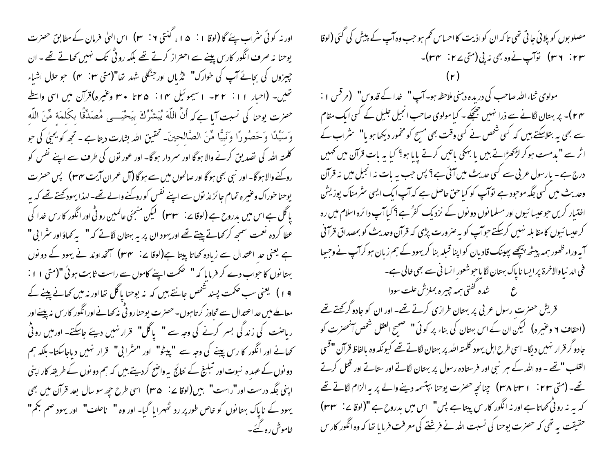اور نہ کوئی سٹراب پئے گا (لوقا ۱ نہ ۵ ا ، گنتی ۲ نہ ۲۰ ) اس اللی فرمان کے مطابق حصرت یوحنا نہ صرف انگور کاریں پینے سے احتراز کرتے تھے بلکہ روٹی تک نہیں کھاتے تھے ۔ ان جییزوں کی بجائے آپ کی خوارک" طڑیاں اور جنگلی شہد تھا"(متی ۲۰ m) جو حلال اشیاء تعليں- (احبار ٢١: ٢٢- السيموئيل ١٢: ٢٥: ٣٠ وغيره)قرآن ميں اسى واسط حضرت يوحنا كي نسبت آيا ہےكہ أَنَّ اللَّهَ يُبَشِّرُكَ بِيَحْيَـــي مُصَدِّقًا بِكَلِمَةٍ مِّنَ اللَّهِ وَ سَيِّدًا وَحَصُودًا وَنَبِيًّا مِّنَ الصَّالِحينَ۔ تَحقيقِ الله بِشارت ديتا ہے - تحمه كو يحيٰي كي حو کلمتہ اللہ کی تصدیق کرنے والا ہوگا اور سمردار ہوگا- اور عور نوں کی طرف سے اپنے نفس کو روکنے والا ہو گا۔ اور نسی بھی ہو گا اور صالحوں میں سے ہو گا (آل عمران آیت ۳۴) پس حصرت یوحنا خوراک وعنیرہ تمام جائزلذ نوں سے اپنے نفس کو روکنے والے تھے۔ لہذا یہود کھتے تھے کہ بہر عطا کردہ نعمت سمجھ کر کھاتے پیتے تھے اور بہود ان پر یہ بہتان لگاتے کہ " یہ کھاؤ اور سٹرا بی " ہے یعنی حد اعتدال سے زیادہ کھاتا پیتا ہے(لوقا پے: یہ مس) آنخداوند نے یہود کے دو نوں بہتا نوں کا حبواب دے کر فرما یا کہ " صحمت اپنے کاموں سے راست ثابت ہوئی "(متی ۱۱: ۱۹) یعنی سب حکمت پسند شخص جانتے ہیں کہ یہ یوحنا پاگل تھا اور نہ میں کھانے پینے کے معاملے میں حد اعتدال سے تجاوز کر تا ہوں۔حصرت یوحنارو ٹی نہ کھانے اورانگور کارس نہ پینے اور ر ماحنت کی زندگی بسر کرنے کی وجہ سے " پاگل" قرار نہیں دیئے جاسکتے۔ اور میں روٹی کھانے اور انگور کا رس پینے کی وجہ سے "پیٹو" اور "سٹرا بی" قرار نہیں دیاجاسکتا- بلکہ ہم دو نوں کے عہد ہ نبوت اور تبلینے کے نتائج بہ واضح کردیتے بیں کہ ہم دو نوں کے طریقہ کار اپنی اپنی جگہ درست اور"راست" ہیں(لوقا <sup>ہے:</sup> **۳۵)** اسی طرح حی<sub>ص</sub>سو سال بعد قرآن میں بھی یہود کے ناپاک بہتا نوں کو خاص طور پر رد ٹھہرایا گیا۔ اور وہ " ناحلف" اور یہود صم بکم" خاموش رہ گئے۔

مصلو بوں کو پلائی جا ٹی تھی تاکہ ان کواذیت کا احساس تھم ہو جب وہ آپ کے پیش کی گئی (لوقا ۳۳ : ۳۶) توآپ نے وہ بھی نہ پی (متی ۲۷ : ۳۴ – ۲۳)۔ مولوی ثناءالله صاحب کی دریده دہنی ملاحظہ ہو۔آپ " خدا کے قدوس" (مرقس ا : ۴۴)۔ پر بہتان لگانے سے ذرا نہیں جھچکے۔ کیامولوی صاحب انجیل جلیل کے کسی ایک مقام سے بھی یہ بتلاسکتے ہیں کہ کسی شخص نے کسی وقت بھی مسیح کو مخمور دیکھا ہو یا" سٹراب کے اثر سے **"بد**مست ہو کر لڑکھڑاتے ہیں یا بہلکی باتیں کرتے یایا ہو؟ کیا یہ بات قرآن میں تھمیں درج ہے۔ مارسول عربی سے کسی حدیث میں آئی ہے؟ پس جب یہ بات نہ انجیل میں نہ قرآن وحدیث میں کسی جگہ موحود ہے توآپ کو کیاحن حاصل ہے کہ آپ ایک ایسی سٹرمناک پوزیش اختیار کریں حوعیسا ئیوں اور مسلما نوں دو نوں کے نزدیک کفر ُہے؟ کیاآپ دائرہ اسلام میں رہ کرعیسا ئیوں کامقابلہ نہیں کرسکتے حوا<sub>ک</sub> کو یہ *صرورت پڑی کہ قر*آن وحدیث کو بمصداق قرآنی ۔<br>ایہ وراء ظھور ہمہ بیٹھ بیچھے پ<u>ج</u>ینک قادیان کواپنا قبلہ بنا کریہود کے ہم زبان ہو کر**ا**پ نے وجی<sub>ت</sub>ا فی الد نیاوالاخرۃ پرایسا ناپاک بہتان لگایاجوشعور انسا فی سے بھی عالی ہے۔ ع قسمت منشده گفتی ہمہ چیره بمغزش علت سودا قریش حصرت رسول عربی پر بهتان طرازی کرتے تھے۔ اور ان کو جادو گرکھتے تھے (احقا**ف ۲ و**عنیرہ) لیکن ان کے اس بہتان کی بناء پر کوئی " صحیح العقل شخص آنحصرت کو جادو گر قرار نہیں دیگا-اسی طرح اہل یہود کلمتہ اللہ پر بہتان لگاتے تھے کیونکہ وہ بالفاظ قرآن "قسی القلب " تھے ۔ وہ اللہ کے ہبر نبی اور فرستادہ رسول پر بہتان لگاتے اور ستاتے اور قتل کرتے تھے۔ (متی ٢٣ : ٣٨ ٣٨) جنانچہِ حصرٰت یوحنا ببتسمہ دینے والے پر یہ الزام لگاتے تھے

کہ یہ نہ رو ٹی تھاتا ہے اور نہ انگور کار س پیتا ہے پس" اس میں بدروح ہے "(لوقا <sub>ک</sub>ے: ۳۳)

حقیقت په تھی که حصرت یوحنا کی نسبت الله نے فرشتے کی معرفت فرمایا تھا کہ وہ انگور کار س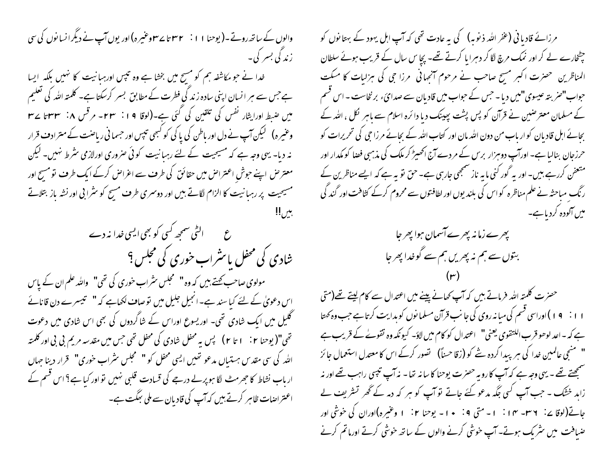والوں کے ساتھ روتے۔(یوحنا ۱ ا : ۲۳۲ تا ۲۳۷ عنیرہ)اور یوں آپ نے دیگرا نسائوں کی سی ز ندگی بسیر کی ۔ خدا نے حو مکاشفہ ہم کو مسیح میں بخشا ہے وہ تیبس اورہیانیت کا نہیں بلکہ ایسا ہے جس سے ہر انسان اپنی سادہ زند گی فطرت کے مطابق بسر کرسکتا ہے۔ کلمتہ اللہ کی تعلیم میں صبط اورایثار نفس کی تلقین کی گئی ہے۔(لوقا ۱۹: ۲۳۔ مرقس ۸: ۳۳ تا ۲۲۔ وعنیرہ) گیکن آپ نے دل اور باطن کی پاکی کو کسجی تیبس اور جسمانی ریاضت کے مترادف قرار نہ دیا۔ یہی وجہ ہے کہ مسیحیت کے لئے رہبانیت کوئی صروری اورلازمی سٹرط نہیں۔ لیکن معتر حن اپنے حوش اعتراض میں حقائق کی طرف سے اعراض کرکے ایک طرف تو مسج اور مسیحیت پر رہبانیت کا الزام لگاتے ہیں اور دوسری طرف مسح کو سٹرا بی اور نشہ باز بتلاتے ع ہے الٹی سمجھ کسی کو بھی ایسی خدا نہ دے شادی کی محفل یا *مثر*اب خوری کی مجلس <sup>؟</sup> مولوی صاحب بھتے ہیں کہ وہ " ممجلس سثراب خوری کی تھی" واللہ علم ان کے پاس اس دعویٰ کے لئے کیا سند ہے۔انجیل جلیل میں توصاف لکھاہے کہ " شمیسرے دن قانائے گلیل میں ایک شادی تھی۔ اور یسوع اوراس کے شاگردوں کی بھی اس شادی میں دعوت تھی"( یوحنا ۲ : ۱ تا ۲ ) پس یہ محفل شادی کی محفل تھی جس میں مقدسہ مریم بی بی اور کلمتہ الله کی سی مقدس ہستیاں مدعو تھیں ایسی محفل کو "سمجلس سثراب خوری" قرار دینا جہاں

ار پاپ نشاط کا جھرمٹ لگا ہو پر لے درجے کی قسادت قلبی نہیں تو اور کیا ہے؟ اس قسم کے

اعتراضات ظاہر کرتے ہیں کہ آپ کی قادیان سے ملی بھگت ہے۔

مرزائے قادیا فی (عفر اللہ ذینوبہ) کی یہ عادت تھی کہ آپ اہل یہود کے بہتا نوں کو چٹخارے لے کر اور نمک مرچ لگا کر دہرایا کرتے تھے۔ پچا س سال کے قریب ہوئے سلطان المناظرین حضرت اکبر مسج صاحب نے مرحوم آنجہانی ً مرزا حی کی ہزلیات کا میکت حواب"صر بنہ عیسوی"میں دیا۔ حس کے حواب میں قادیان سے صدائ َء برنخاست - اس قسم کے مسلمان معترضین نے قرآن کو پس پشت پہینک دیا دائرہ اسلام سے باہر لکل ، اللہ کے بحائے اہل قادیان کوار ماب من دون اللہ مان اور کتاب اللہ کے بحائے مرزا حی کی تحریرات کو حرزجان بنالیا ہے۔ اورآپ دوہزار برس کے مردے آج اکھیڑ کر ملک کی مذہبی فضا کو مکدار اور متعفن کررہے ہیں۔ اور یہ گور کنی ما یہ ناز سنجھی جارہی ہے۔ حق تو یہ ہے کہ ایسے مناظرین کے ر نگ مباحثہ نے علم مناظرہ کواس کی بلند یوں اور لطافتوں سے محروم کرکے کثافت اور گند کی میں آلودہ کردیاہے۔

حصرت کلمتہ اللہ فرماتے ہیں کہ آپ کھانے پینے میں اعتدال سے کام لیتے تھے(متی ا ا : 9 ) اوراسی قسم کی مبا نہ روی کی جا نب قرآن مسلما نوں کو بدایت کرتا ہے جب وہ کھتا ہے کہ - اعد لوھو قرب اللتقوى یعنی" اعتدال کو کام میں لاؤ- کیونکہ وہ تقولے کے قریب ہے " منتجی عالمین خدا کی ہر پیدا کردہ شے کو (زقا حسناً) تصور کرکے اس کا معتدل استعمال جائز ستمجھتے تھے - یہی وجہ ہے کہ آپ کا رویہ حصرت یوحنا کا سا نہ تھا - نہ آپ تیپی راہب تھے اور نہ زاہد خشک ۔ جب آپ کسی جگہ مدعو کئے جاتے تو آپ کو ہر کہ دمہ کے گھر تشریف لے جاتے(لوقا پے: ٣٦- ١٣- ١٠ : - متى ٩: • ١ - يوحنا ٢: ١ وغيره)اوران كى خوشى اور صّیافت میں سٹر یک ہوتے۔ آپ خوشی کرنے والوں کے ساتھ خوشی کرتے اورماتم کرنے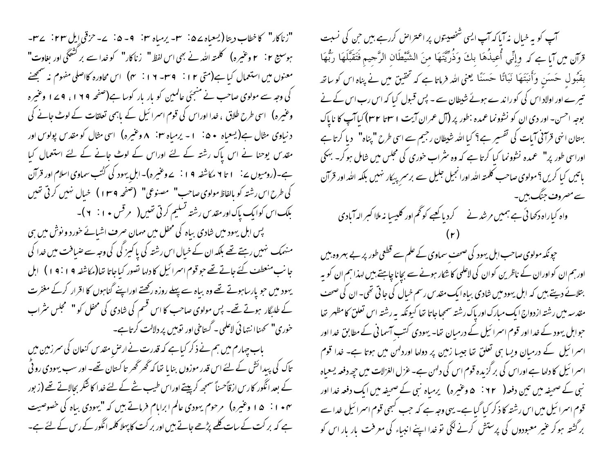"زناکار" کا خطاب دیتا (یسعیاہ ۷۵ نے ۳۰- پرمیاہ ۲۰ – ۵۰ – ۵۰ – سرقی ایل ۲۳ نے س ہوسیج ۲ : ۲ وعنیرہ) گلمتہ اللہ نے بھی اس لفظ " زناکار" کو خدا سے بر کشَّنگی اور بغاوت" معنوں میں استعمال کیا ہے(متی ۱۲ : ۳۹- ۱۲ : ۳) اس محاورہ کااصلی مفهوم نہ سمجھنے کی وجہ سے مولوی صاحب نے منجئی عالمین کو بار بار کوسا ہے(صفحہ ۱۲۹، ۱۷۹ وعنیرہ وعنیرہ) اسی طرح طلاق ، خدا اوراس کی قوم اسمرائیل کے باہمی تعلقات کے لوٹ جانے کی د نیاوی مثال ہے( یعیاہ ۵۰ i - پرمیاہ ۲۰ مربع میرہ) اسی مثال کو مقدس پولوس اور مقدس یوحنا نے اس یاک رشتہ کے لئے اوراس کے لوٹ جانے کے لئے استعمال کیا ہے۔(رومیوں ے: ۱ تا ۲ مکاشفہ ۱۹ : ے وعیرہ)۔اہلِ یہود کی کُٹب سماوی اسلام اور قرآن کی طرح اس رشته کو بالفاظ مولوی صاحب" مصنوعی" (صفحه ۱۳۹) خیال نهیں کرتی تھیں بلک اس کوایک پاک اور مقدس رشته تسلیم کرتی تھیں( پر قس ۱۰ : ۲)۔

پس اہل یہود میں شادی بیاہ کی محفل میں مہمان صرف اشیائے خورد و نوش میں ہی منہمک نہیں رہتے تھے بلکہ ان کے خیال اس رشتہ کی پاکیز کی کی وجہ سے صیافت میں خدا کی جانب منعطف کئے جاتے تھے حو قوم اسرائیل کا دلہا تصور کیاجاتا تھا(مکاشفہ ۱۹: ۱۹) اہل یہود میں حو پارساہوتے تھے وہ بیاہ سے پہلے روزہ رکھتے اوراپنے گناہوں کا اقرار کرکے مغفرت کے طلبگار ہوتے تھے۔ پس مولوی صاحب کا اس قسم کی شادی کی محفل کو "سمجلس سٹراب خوری" نحمناا نتہائی لاعلمی۔ گستاخی اور نوہیں پر دلالت کر تاہے۔

باب چہارم میں ہم نے ذکر کیا ہے کہ قدرت نے ارضِ مقد س کنعان کی سر زمین میں تاک کی پیدائش کے لئے اس قدر موزوں بنایا تھا کہ گھر گھر تاکستان تھے۔ اور سب یہودی رو ٹی کے بعد انگور کا رس ازقاًحسناً سمجھ کرپیتے اوراس طیب شے کے لئے خدا کا شکر بجالاتے تھے (زبور ۱۰۴ : ۱۵ وغیره) مرحوم یهودی عالم ابراہام فرماتے ہیں کہ "یہودی بیاہ کی خصوصیت ہے کہ بر کت کے سات کلیے پڑھے جاتے بیں اور بر کت کا پہلا کلمہ انگور کے رس کے لئے ہے۔

آپ کو یہ خیال نہ آپا کہ آپ ایسی شخصیتوں پر اعتراض کررہے ہیں جن کی نسبت قرَآن مِن آيا ہے کہ وِإِنِّي أُعِيذُهَا بِكَ وَذُرِّيَّتَهَا مِنَ الشَّيْطَانِ الرَّجِيمِ فَتَقَبَّلَهَا رَبُّهَا بقَبُول حَسَن وَأَنبَتَهَا نَبَاتًا حَسَنًا يُعني الله فرماتا ہے کہ تحقیق میں نے پناہ اس کو ساتھ تیر سے اور اولاد اس کی کو را ند سے ہوئے شیطان سے - پس قبول کیا کہ اس رب اس کے نے بوجه احسن- اور دی ان کو نشوونما عمده :طور پر (آل عمران آیت ۱ سینا ۳۲) کیا آپ کا ناپاک بہتان انہی قرآنی آبات کی تفسیر ہے؟ کیا اللہ شیطان رجیم سے اسی طرح "پناہ" دیا کرتا ہے اوراسی طور پر" عمدہ نشوونما کیا کرتا ہے کہ وہ سثراب خوری کی مجلس میں شامل ہوکر۔ بہکی باتیں کیا کریں؟مولوی صاحب کلمتہ ا<sub>للّٰہ</sub> اورانجیل جلیل سے برسر <sub>بیک</sub>ار نہیں بلکہ اللّٰہ اور قرآن سے مصروف جنگ ہیں۔ واہ کیاراہ دکھائی ہے ہمیں مرشد نے کر دیا کعبے کو گھم اور کلیسیا نہ ملاا کسر الہ آبادی

حیونکہ مولوی صاحب اہل یہود کی صحف سماوی کے علم سے قطعی طور پر بے بہر وہ بیں اورہم ان کواوران کے ناظرین کوان کی لاعلمی کا شکار ہونے سے بچانا چاہئے،میں لہذا ہم ان کو یہ بتلائے دیتے ہیں کہ اہل یہود میں شادی بیاہ ایک مقدس رسم خیال کی جاتی تھی۔ان کی صحف مقدسه میں رشتہ ازدواج ایک مبارک اور پاک رشتہ سمجاجاتا تھا کیونکہ پہ رشتہ اس تعلق کامظہر تھا حبوابل یہود کے خدا اور قوم اسمرا ئیل کے درمیان تھا۔ یہودی کتب آسما فی کے مطابق خدا اور اسرائیل کے درمیان ویسا ہی تعلق تھا جیسا زمین پر دولھا اوردلہن میں ہوتا ہے۔ خدا قوم اسمرا ئیل کا دلھا ہے اوراس کی برگزیدہ قوم اس کی دلہن ہے۔ عزل الغزلات میں حچھ دفعہ یسعباہ نبی کے صحیفہ میں تین دفعہ( ۶۲ ` ۵ وعنیرہ) یرمیاہ نبی کے صحیفہ میں ایک دفعہ خدا اور قوم اسمرا ئیل میں اس رشتہ کا ذکر کیا گیا ہے۔ یہی وجہ ہے کہ جب کبھی قوم اسمرا ئیل خدا سے برگشتہ ہوکر عنیر معبودوں کی پرستش کرنے لگی تو خدا اپنے انبیاء کی معرفت یار بار اس کو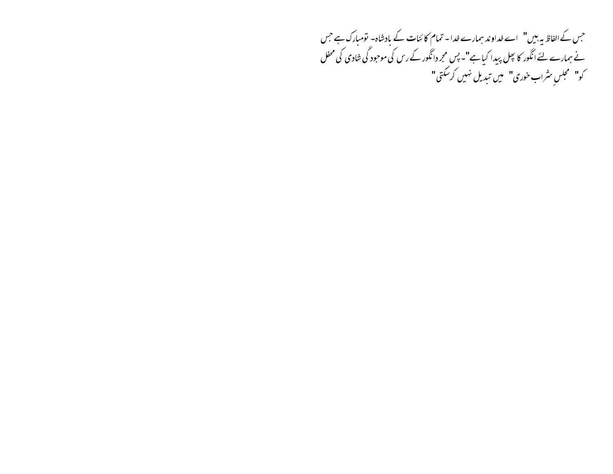جس کے الفاظ میہ بیں" اے خداوند ہمارے خدا۔ تمام کا ئنات کے بادشاہ- تومبارک ہے جس نے ہمارے لئے انگور کا بچل پیدا کیاہے"۔ پس مجر دانگور کے رس کی موجود گی شادی کی محفل کو" مجل*ں مثر*اب خوری" میں تبدیل نہیں کرسکتی"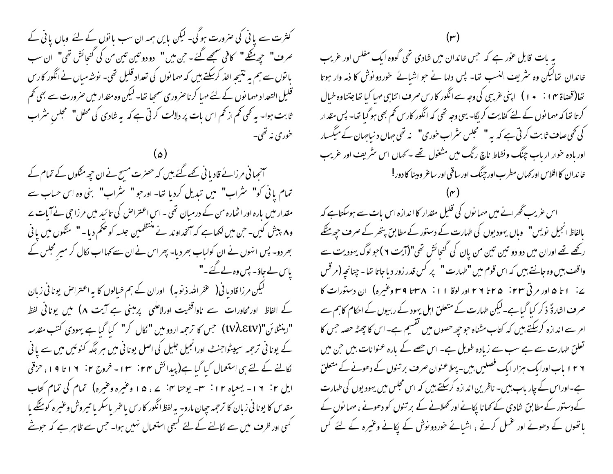کثرت سے یا ٹی کی صرورت ہوگی۔ لیکن پایں ہمہ ان سب پانوں کے لئے وہاں یا ٹی کے صرف" حيِّصتَكَ " كافي سُمجَصتُ -حين مين " دودو تين تين من كي كَنحائش تھي" ان سب با نوں سے ہم بہ نتیجہ اخذ کرسکتے ہیں کہ مہما نوں کی تعداد قلیل تھی۔ نوشہ میاں نےانگور کارس قلیل التعداد مہما نوں کے لئے مہیا کر ناصر وری سمجیا تھا۔ لیکن وہ مقدار میں صر ورت سے بھی تھم ثابت ہوا۔ یہ تحمی تھم از تھم اس بات پر دلالت کرتی ہے کہ یہ شادی کی محفل" محجلس سثراب خوري نه تھي۔

سمجمانی مرزائے قادیانی <u>بھے گئے ہیں</u> کہ حصرت مسح نے ان حی<sub>ص</sub>مثکوں کے تمام کے تمام یانی کو" سثراب" میں تبدیل کردیا تھا- اور حبو " سثراب" بنی وہ اس حساب سے مقدار میں بارہ اور اٹھارہ من کے درمیان تھی - اس اعتراض کی تائید میں مرزا حی نے آبات سے و۸ پیش کیں۔ حن میں لکھا ہے کہ آنخداوند نے منتظمین جلسہ کو ضحم دیا۔" مٹکوں میں یا فی بھردو۔ پس انہوں نے ان کولیاب بھر دیا۔ پھر اس نے ان سے کہا اب لکال کر میر مجلس کے یاس لے جاؤ۔ پس وہ لے گئے۔"

لیکن مرزا قادیا فی( عفرالله ذیوبه) اوران کے ہم خیالوں کا یہ اعتراض یونا فی زبان کے الفاظ اور محاورات سے ناوا قفیت اورلاعلمی پر مبنی ہے آیت ۸) میں یونانی لفظ "اینٹلائن"(UVÀElV) جس کا ترجمہ اردو میں " کال کر" کہا گیا ہے یہودی کتب مقدسہ کے یونانی ترجمہ سیپٹواجنٹ اورانجیل جلیل کی اصل یونانی میں ہر جگہ کنوئیں میں سے یانی لکالنے کے لئے ہی استعمال کیا گیا ہے(پیدائش مہ<del>ن ۱</del>۳ - خروج ۲ : ۱۶ تا ۱۹، حزقی ایل ۲: ۱۲- یسعیاه ۱۲: س- پوحنا ۴: ۷، ۵ ا وغیره وغیره) تمام کی تمام کتاب مقد س کا یونا نی زبان کا ترجمه حیان مارو- به لفظ انگور کارس با خمر باسکر با تبیروش وعنیره کومشگے با کسی اور ظرف میں سے لکالنے کے لئے کبھی استعمال نہیں ہوا۔ جس سے ظاہر ہے کہ حبوشے

یہ بات قابل عوٰر ہے کہ حس خاندان میں شادی تھی گووہ ایک مفلس اور عریب خاندان تحالیکن وہ سثریف النسب تھا۔ پس دلہا نے حو اشیائے خوردو نوش کا ذمہ وار ہوتا تعا(قضاة ٣٠ : • • ) ) اپني غريبي کي وجه سے انگور کارس صرف اتناہي مهيا کيا تعاجتناوه خيال کرتا تھا کہ مہما نوں کے لئے کفایت کریگا۔ یہی وجہ تھی کہ انگور کارس کم بھی ہوگیا تھا۔ پس مقدار کی تھی صاف ثابت کرتی ہے کہ یہ " محجلس سٹراب خوری" نہ تھی جہاں د نیاجہان کے میکسیار اور مادہ خوار ار ماب چنگ ونشاط ناچ رنگ میں مشغول تھے ۔ کہاں اس سٹریف اور عریب خاندان کاافلاس اور <sub>ک</sub>ماں مطرب اور چنگ اور ساقی اور ساعر و بینا کا دور!

اس غریب گھرانے میں مہمانوں کی قلیل مقدار کا اندازہ اس بات سے ہوسکتاہے کہ مالفاظ انجیل نویس" وہاں یہودیوں کی طہارت کے دستور کے مطابق پتھر کے صرف حچھ مُٹکے رکھے تھے اوران میں دو دو تین تین من پان کی گنجائش تھی"(آیت ۲)حو لوگ یہودیت سے واقف بين وه جانتے ہيں كہ اس قوم ميں "طهارت " پر كس قدر زور ديا جاتا تھا - چنانچہ (مر قس ے: ۱ تا ۵ اور مرتی ۲۳: ۲۵ تا ۲ ۲ اور لوقا ۱۱: ۳۸ تا ۳۹ وغیرہ) ان دستورات کا صرف اشارۃً ذکر کیا گیا ہے۔لیکن طہارت کے متعلق اہل یہود کے ربیوں کے احکام کاہم سے امر سے اندازہ کرسکتے ہیں کہ کتاب مشناہ حو حیے حصوں میں گقسیم ہے۔ اس کا چھٹہ حصہ جس کا تعلق طہارت سے ہے سب سے زیادہ طویل ہے۔ اس حصے کے بارہ عنوانات بیں جن میں ۱۲۶ ماب اورایک ہزار ایک فصلیں بیں-پہلاعنوان صرف بر تنوں کے دھونے کے متعلق ہے۔اوراس کے چار پاب بیں۔ ناظرین اندازہ کرسکتے ہیں کہ اس مجلس میں یہودیوں کی طہارت کےدستور کے مطابق شادی کے کھانا پکانے اور تھلانے کے بر تنوں کو دھونے ، مہما نوں کے پانھوں کے دھونے اور غسل کرنے ، اشیائے خوردو نوش کے پکانے وعنیرہ کے لئے کس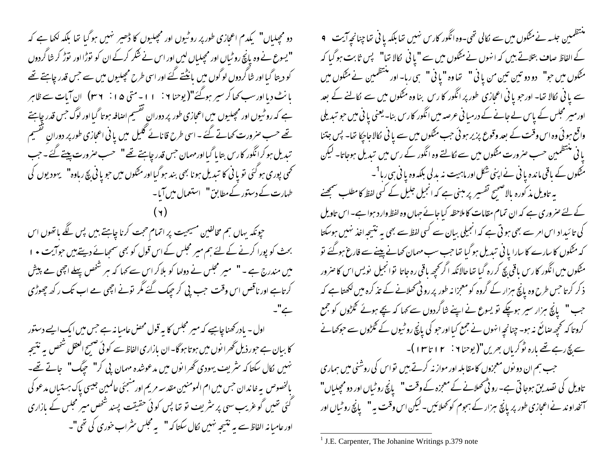دو مچیلباں" کیدم اعجازی طور پر روٹیوں اور مچیلیوں کا ڈھیر نہیں ہوگیا تھا بلکہ لکھا ہے کہ " یسوع نے وہ پانچ روٹیاں اور مجیلیاں لیں اور اس نے شکر کرکے ان کو نوڑا اور نوڑ کر شا گردوں کو دیتا گیا اور شاگردوں لوگوں میں بانڈنتے گئے اور اسی طرح مجعلیوں میں سے جس قدر چاہتے تھے یانٹ دیا اورسب کھا کر سپر ہوگئے"( یوحنا ۲ : ۱۱ - متی ۱۵ : ۳ × ۳) ان آبات سے ظاہر ہے کہ روٹیوں اور مچپلیوں میں اعجازی طور پر دوران گفسیم اضافہ ہوتا گیا اور لوگ جس قدر چاہئے تھے حسب صرورت کھاتے گئے ۔ اسی طرح قانائے گلیل میں یا فی اعجازی طور پر دوران گقسیم تبدیل ہو کرانگور کارس بتا پا گیااورمہمان جس قدر چاہئے تھے" حسب صرورت پیتے گئے۔جب نځمی پوری ہو گئی تو یا نی کا تبدیل ہونا بھی بند ہو گیااور مٹکوں میں حو یا نی بچ رباوہ"۔ یہودیوں کی طہارت کے دستور کےمطابق" استعمال میں آیا۔

حپونکہ یہاں ہم مخالفین مسیحیت پر اتمام حجت کرنا چاہتے ہیں پس لگے باتھوں اس بحث کو پورا کرنے کے لئے ہم میر مجلس کے اس قول کو بھی سمجائے دیتے ہیں حوالیت • ا میں مندرج ہے ۔ " میر مجلس نے دولھا کو بلاکر اس سے کہا کہ ہر شخص پہلے اچھی ہے پیش کرتاہے اور ناقص اس وقت حب پی کر حیک گئے مگر تونے اچھی مے اب تک رکھ چھوڑی ہے"۔

اول - یادر کھنا چاہیے کہ میر مجلس کا یہ قول محض عامیا نہ ہے جس میں ایک ایسے دستور کا بیان ہے حور ذیل گھرا نوں میں ہوتا ہو گا۔ان مازاری الفاظ سے کوئی صحیح العقل شخص پہ نتیجہ نہیں نکال سکتاکہ سٹریف یہودی گھرا نوں میں مدعوشدہ مہمان پی کر" سچگ" ہاتے تھے۔ بالخصوص بيه خاندان حس ميں ام المومنين مقدسه مريم اورمنتجئي عالمين جيسي پاک ہستياں مدعو کي کئی تھیں گوغریب سہی پر سٹریف تو تھا پس کوئی حقیقت پسند شخص میر مجلس کے بازاری اور عامیا نہ الفاظ سے یہ نتیجہ نہیں کال سکتا کہ " یہ مجلس سٹراب خوری کی تھی"۔

ستشمین جلسہ نے مٹکوں میں سے لکالی تھی۔وہ انگور کارس نہیں تھابلکہ یا فی تھاجپنانچہ آیت 9 کے الفاظ صاف بتلاتے ہیں کہ انہوں نے متگوں میں سے "یا فی لکالا تھا" پس ثابت ہو گیا کہ مشکوں میں حو" دو دو تین تین من یا نی " تھاوہ "یا نی " ہی رہا- اور منتظمین نے مٹکوں میں سے یا فی لکالا تھا۔ اور حبو یا فی اعجازی طور پر انگور کا رس بنا وہ مٹکوں میں سے لکالنے کے بعد اورمیر مجلس کے پاس لے جانے کے درمبانی عرصہ میں انگور کارس بنا۔ یعنی یا نی میں حو تبدیلی واقع ہو ئی وہ اس وقت کے بعد وقوع پزیر ہو ئی حب مٹکوں میں سے یا فی لکالاجاجکا تھا۔ پس جتنا یا فی منتظمین حسب صرورت مطَّوں میں سے لکالتے وہ انگور کے رس میں تبدیل ہوجاتا۔ لیکن مش*گوں کے* باقی ماندہ یا نی نے اپنی شکل اور ماہیت نہ بدلی بلکہ وہ یا نی ہی رہا<sup>1</sup>۔ یہ تاویل مذکورہ بالاصحیح تفسیر پر مبنی ہے کہ انجیل جلیل کے کسی لفظ کامطلب صمجھنے کے لئے صروری ہے کہ ان تمام مقامات کا ملاحظہ کیا جائے جہاں وہ لفظ وار دیہوا ہے۔ اس تاویل کی تائیداد اس امر سے بھی ہو تی ہے کہ انجیلی بیان سے کسی لفظ سے بھی بہ نتیجہ اخذ نہیں ہوسکتا کہ مٹکوں کا سارے کا سارا یا ٹی تبدیل ہوگیا تھا جب سب مہمان کھانے پینے سے فارغ ہوگئے تو مٹکوں میں انگور کا رس یاقی بچ کر رہ گیا تھا حالانکہ اگر کجھ باقی رہ جاتا توانجیل نویس اس کا صرور ذکر کرتا جس طرح وہ پانچ ہزار کے گروہ کومعمِزا نہ طور پر رو ٹی محلانے کے تذکرہ میں لکھتا ہے کہ جب " پانچ ہزار سیر ہوچکے تو یسوع نے اپنے شاگردوں سے کہا کہ پچے ہوئے گلڑوں کو جمع کروتا کہ تحچیہ صائع نہ ہو۔ چنانچہ انہوں نے جمع کیااورحبو کی پانچ روٹیوں کے گلڑوں سے حوکھانے سے بچ رہے تھے بارہ ٹو کریاں بھریں"(یوحنا ۲ <sup>:</sup> ۱۳ تا ۱۳)۔ جب ہم ان دو نوں معجزوں کا مقابلہ اور مواز نہ کرتے ہیں تواس کی روشنی میں ہماری تاویل کی نصدیق ہوجا تی ہے۔ رو ٹی تھلانے کے معمِزہ کے وقت" پانچ روٹیاں اور دو مجلیاں" آنخداوند نے اعجازی طور پر پانچ ہزار کے ہجوم کو تھلائیں۔لیکن اس وقت پہ" پانچ روٹبال اور

<sup>&</sup>lt;sup>1</sup> J.E. Carpenter, The Johanine Writings p.379 note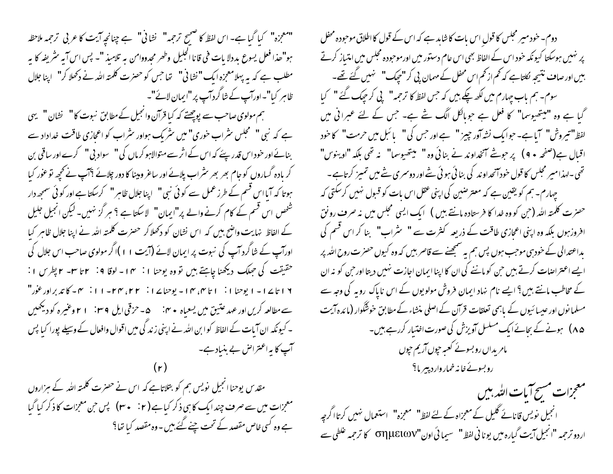"معجزه" كيا گبا ہے- اس لفظ كا صحيح ترحمه" نشا في" ہے چنانچہ آيت كا عربي ترحمه ملاحظہ ہو"ھذا فعل یسوع بددلا پات فی قانا الجلیل وطھر مجدودامن بہ تلامیذ "۔ پس اس آیہ سٹریفہ کا پہ مطلب ہے کہ یہ پہلامعمِزہ ایک " نشا نی" تھا جس کو حصرت کلمتہ اللہ نے دکھلا کر" لپنا جلال ظاہر کیا"۔اورآپ کے شاگردآپ پر"ایمان لائے"۔

ہم مولوی صاحب سے پوچھتے کہ کیا قرآن وانجیل کےمطابق نبوت کا" نشان" یہی ہے کہ نبی "سمجلس سٹراب خوری" میں سٹر یک ہواور سٹراب کو اعجازی طاقت خداداد سے بنائے اور خود اس قدر پئے کہ اس کے اثر سے متوالاہو کرماں کی" سواد پی" کرے اور ساقی بن کر یادہ گساروں کو جام بھر بھر <sup>م</sup>شراب پلانے اور ساعر ومینا کا دور چلائے ؟آپ نے تحچیہ تو عور کیا ہوتا کہ آیا اس قسم کے طرز عمل سے کوئی نبی " اپنا جلال ظاہر" کرسکتا ہے اور کوئی سمجھ دار شخص اس قسم کے کام کرنے والے پر"ایمان" لاسکتا ہے ؟ ہر گز نہیں۔ لیکن انجیل جلیل کے الفاظ نہایت واضح بیں کہ اس نشان کو دکھلاکر حصرت کلمتہ اللہ نے اپنا جلال ظاہر کیا اورآپ کے شاگرد آپ کی نبوت پر ایمان لائے (آپت ۱۱)اگر مولوی صاحب اس جلال کی حقیقت کی حِملک دیکھنا چاہتے ہیں تو وہ یوحنا ۱: ۴ - اوقا ۹: ۲ تا ۳- ۲ پطرس ۱: ۱۶ تا ۱۷ - ۱ یوحنا ۱ : ۱ تا ۴، ۱۴ - یوحنا ۱۷ : ۲۴، ۲۳، ۲۰ - ۱۱ : ۳۰ - کا تدبراور عور" سے مطالعہ کریں اور عہد عتیق میں یسعیاہ ٭ vi ۔ a – حزقی ایل F – ا موعیرہ کو دیکھیں ۔ ۔ کیونکہ ان آبات کے الفاظ کو ابن اللہ نے اپنی زند گی میں اقوال وافعال کے وسیلے پورا کیا پس آپ کا پہ اعتراض بے بنیاد ہے۔

مقدس یوحنا انجیل نویس ہم کو بتلاتاہے کہ اس نے حصرت کلمتہ اللہ کے ہزاروں معجزات میں سے صرف چند ایک کا ہی ذکر کیا ہے ( ۲ نے میں) یس حن معجزات کا ذکر کیا گیا ہے وہ کسی خاص مقصد کے تحت چنے گئے بیں - وہ مقصد کیا تھا؟

دوم۔ خود میر مجلس کا قولِ اس بات کا شاہد ہے کہ اس کے قول کا اطلاق موحودہ محفل پر نہیں ہوسکتا کیونکہ خود اس کے الفاظ بھی اس عام دستور میں اورموحبودہ مجلس میں امتیاز کرتے بیں اور صاف نتیجہ لکلتاہے کہ کم از کم اس محفل کے مہمان پی کر "حیک" نہیں گئے تھے۔ سوم۔ ہم ماب چہارم میں لکھ چکے ہیں کہ جس لفظ کا ترجمہ" پی کر چپک گئے " کیا گبا ہے وہ "میتھیوسما" کا فعل ہے حوبالکل اگک شے ہے۔ جس کے لئے عبرانی میں لفظ" تیروش" آ اہے۔ حوا یک نشہ آور جییز " ہے اور حس کی " ائبل میں حرمت" کا خود اقبال ہے(صفحہ • ۹) پر حویتے آنخداوند نے بنائی وہ" میتھیوسما" نہ تھی بلکہ "اوینوس" تھی۔اہذامیر مجلس کا قول خودآنچداوند کی بنائی ہوئی شے اور دوسمری شے میں تمیز کرتاہے۔ ۔ جہارم۔ ہم کو یقین ہے کہ معترضین کی اپنی عقل اس بات کو قبول نہیں کرسکتی کہ حصرت کلمته الله (حن کو وه خدا کا فرستاده مانتے بیں ) ایک ایسی مجلس میں نہ صرف رونق افروزہوں بلکہ وہ اپنی اعجازی طاقت کے ذریعہ کثرت سے " ینٹراب" بنا کر اس قسم کی یداعتدالی کے خود سی موجب ہوں پس ہم یہ سمجھنے سے قاصر بیں کہ وہ کیوں حصرت روح اللہ پر ایسے اعتراضات کرتے ہیں حن کو ماننے کی ان کا اپنا ایمان اجازت نہیں دیتا اور حن کو نہ ان کے مخاطب مانتے ہیں؟ ایسے نام نہاد ایمان فروش مولویوں کے اس ناپاک روبہ کی وجہ سے مسلما نوں اور عیسا ئیوں کے باہمی تعلقات قرآن کے اصلی منشاء کے مطابق خوشگوار (مائدہ آیت ۸۵) ہونےکے بجائے ایک مسلسل آویزش کی صورت اختیار کررہے ہیں۔ مامریداں روبسونے کعبہ حپوں آریم حپوں روبسوئے خانہ خمار وار دبییر ما؟

معجزات مسح آيات التدبيس انجیل نویس قانائے گلیل کے معجزاہ کے لئے لفظ" معجزہ" استعمال نہیں کرتاا گرچہ اردو ترجمہ "انجیل آیت گیارہ میں یونا ٹی لفظ" سیما ئی اون"σημειων کا ترجمہ غلطی سے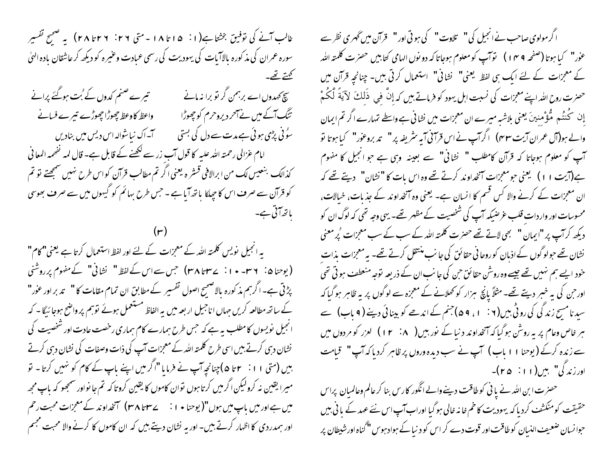غالب آنے کی توفیق بخشا ہے(۱۰٪ ۱۵اتا ۱۸۔ متی ۲۶٪ ۲۸تا ۲۸) پہ صبح تفسیر سورہ عمران کی مذ کورہ بالاآبات کی یہودیت کی رسمی عبادت وعنیرہ کو دیکھ کر عاشقان بادہ الهلٰ تھتے تھے۔ تیرے صنم کدوں کے بُت ہوگئے پرانے چچ کہدوں اے برہمن گر تو برا نہ مانے واعظ كاوعظ جحوڑا جھوڑے تیرے فسانے تنگ آگے میں نے آحر دیروحرم کو چھوڑا سُوُ ٹی پڑی ہو ئی ہے مدت سے دل کی بستی ہے کہ اک نیا شوالہ اس دیس میں بنادیں امام عزالی رحمتہ اللہ علیہ کا قول آب زر سے لکھنے کے قابل ہے۔ قال لمہ نفھمہ المعا فی كذالك بنعيس لك من ابرالافي قستر ه يعني اگر تم مطالب قرآن كواس طرح نهيں سمجھتے تو تم کو قرآن سے صرف اس کا جبکا یا تھ آیا ہے - جس طرح بہائم کو گیہوں میں سے صرف بھوسی بانھ آئی ہے۔

یہ انجیل نویس کلمتہ اللہ کے معجزات کے لئے اور لفظ استعمال کرتا ہے یعنی" کام" (یوحنا ۵: ۲۳-۱۰ - ۲۳۷تا ۳۸) جس سے اس کے لفظ " نشانی" کے مفهوم پرروشنی پڑتی ہے۔اگرہم مذکورہ بالاصنجیح اصول تفسیر کے مطابق ان تمام مقامات کا " یمد بر اور عور" کے ساتھ مطالعہ کریں جہاں اناجیل اربعہ میں یہ الفاظ مستعمل ہوئے توہم پر واضح ہوجا ئیگا - کہ انجیل نویسوں کامطلب ہیہ ہے کہ جس طرح ہمارے کام ہماری رخصت عادت اور شخصیت کی نشان دہی کرتے بیں اسی طرح کلمتہ اللہ کے معمِزات آپ کی ذات وصفات کی نشان دہی کرتے ہیں (متی ۱۱: ۲ تا ۵)چنانچہ آپ نے فرمایا "اگر میں اپنے باپ کے کام کو نہیں کرتا۔ نو میرا یقین نہ کرولیکن اگرمیں کرتا ہوں نوان کاموں کا یقین کروتا کہ تم جا نواور سمجھو کہ باپ مجھ میں ہے اور میں باپ میں ہوں"( یوحنا ٭ ا : \ \_ ے ساتا ۳۸) آنخداوند کے معجزات محبت رحم اور ہمدردی کا اظہار کرتے ہیں۔ اور یہ نشان دیتے ہیں کہ ان کاموں کا کرنے والا محبت مجسم

اگر مولوی صاحب نے انجیل کی " تلاوت " کی ہو تی اور " قرآن میں ٹھری نظر سے عوٰر" کیا ہوتا (صفحہ ۹ مہ ۱ ) نوَآپ کو معلوم ہوجاتا کہ دو نوں الہامی کتابیں حصرٰت کلمتہ اللہ کے معجزات کے لئے ایک ہی لفظ یعنی" نشانی" استعمال کرتی ہیں۔ چنانچہ قرآن میں حصرت روح الله اپنے معمِزات کی نسبت اہل یہود کو فرماتے ہیں کہ إِنَّ في ذَلِكَ لآ يَةً لَّكُمْ والے ہو(آل عمران آیت ۴۳) اگرآپ نے اس قرآنی آیہ سٹریفہ پر " تد بروعوْر" کیا ہوتا تو آپ کو معلوم ہوجاتا کہ قرآن کامطلب " نشانی" سے بعینہ وہی ہے جو انجیل کا مفہوم ہے(آیت ۱۱) یعنی حومعجزات آنخداوند کرتے تھے وہ اس بات کا "نشان" دیتے تھے کہ ان معجزات کے کرنے والا کس قسم کا انسان ہے۔ یعنی وہ آنخداوند کے جذبات، خیالات، محسوسات اور واردات قلب عرضیکہ آپ کی شخصیت کے مظہر تھے۔ یہی وجہ نھی کہ لوگ ان کو دیکھ کرآپ پر "ایمان " نجی لاتے تھے حصرت کلمتہ اللہ کے سب کے سب معجزات پُر معنی نشان تھے حولوگوں کے اذبان کوروحانی حقائق کی جانب منتقل کرتے تھے۔ بہ معمِزات بذات خود ایسے ہم نہیں تھے جیسے وہ روشن حقائق حن کی جانب ان کے ذریعہ توجہ منعطف ہو تی تھی اور حن کی بہ خبر دیتے تھے- مثلاً پانچ ہزار کو تھلانے کے معجزہ سے لوگوں پر بہ ظاہر ہوگیا کہ سید نامسح زند کی کی روٹی بیں( ۲ : ۱ ، ۹ ۵) جنم کے اندھے کو بینائی دینے (۹ ماپ) سے ہر خاص وعام پر بہ روشْن ہوگیا کہ آنخداوند د نیا کے نور بیں( ۱۲ ۱۲ ) لعزر کو مر دوں میں سے زندہ کرکے (یوحنا ۱۱ ماب) آپ نے سب دیدہ وروں پر ظاہر کردیا کہ آپ " قیامت اور زند گی" ہیں(۱۱: ۲۵)۔

حصرت ابن الله نے یا نی کوطاقت دینے والے انگور کارس بنا کر عالم وعالمیان پراس حقیقت کومنکشف کردیا کہ یہودیت کا خم خانہ خالی ہوگیا اوراب آپ اس نئے عہد کے یا ٹی بیں حبوا نسان ضعیف النسان کو طاقت اور قوت دے کر اس کو د نیا کے ہواد ہوس "گناہ اورشیطان پر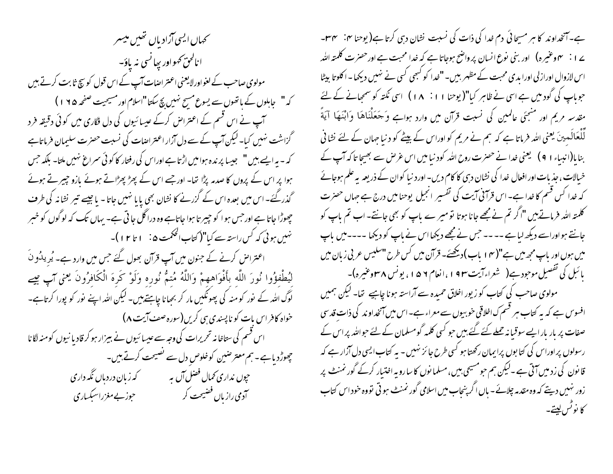حمال ایسی آزادیاں تھیں میسر انالحق کهواور بيانسي نه ياؤ-مولوی صاحب کے لغواورلا یعنی اعتراضات آپ کے اس قول کو سچ ثابت کرتے ہیں کہ " جاہلوں کے باتھوں سے یسوع مسح نہیں بچ سکتا "اسلام اور مسیحیت صفحہ ۱۹۵) ہ آپ نے اس قسم کے اعتراض کرکے عیسائیوں کی دل فگاری میں کوئی دقیقہ فرد گزاشت نہیں کیا۔لیکن آپ کے سے دل آزار اعتراضات کی نسبت حصرت سلیمان فرماتاہے کہ – یہ ایسے ہیں " ہجیسا پر ندہ ہوامیں اڑتا ہے اوراس کی رفتار کا کوئی سمراغ نہیں ملتا۔ بلکہ جس ہوا پر اس کے پروں کا صدمہ پڑا تھا۔ اور جسے اس کے پھڑ پھڑاتے ہوئے مازو جیپر تے ہوئے گذرگئے۔ اس میں بعدہ اس کے گزرنے کا نشان بھی پایا نہیں جاتا۔ یا جیسے تیر نشانہ کی طرف چھوڑا جاتا ہے اور حس ہو ا کو حبیر تا ہوا جاتاہے وہ دراگل جا تی ہے۔ یہاں تک کہ لوگوں کو خسر نہیں ہوئی کہ کس راستہ سے کیا"( کتاب الحکمت ۵ نے ۱ تا ۱۲ )۔ اعتراض کرنے کے جنون میں آپ قرآن بھول گئے جس میں وارد ہے۔ یُریدُونَ لْيُطْفؤُوا نُورَ اللَّه بأَفْوَاههمْ وَاللَّهُ مُتمُّ نُورِه وَلَوْ كَرهَ الْكَافرُونَ يعني آبٍ مِيح لوگ اللہ کے نور کو منہ کی پھونکیں مار کر بھانا چاہتے ہیں۔ لیکن اللہ اپنے نور کو پورا کرتاہے۔ خواه کافر اس بات کو ناپسندی ہی کریں(سورہ صف آیت ۸) اس قسم کی ستاخا نہ تحریرات کی وجہ سے عیسا ئیوں نے بیزار ہو کر قادیا نیوں کومنہ لگانا چھوڑدیاہے۔ہم معتر صبین کوخلوص دل سے تصیحت کرتے ہیں۔ حپوں نداری *تھ*ال فضل آں ہ<sub>ی</sub> مسلمت کہ زبان دردبا*ل نگہ* داری ۔<br>آدمی رازیاں فضیحت کر مسلم ہونے مغزراسبکساری

ہے۔آنخداوند کا ہر مسیحائی دم خدا کی ذات کی نسبت نشان دہی کرتا ہے( یوحنا ہی: سم س ے ا <sup>ن</sup>ہ مہوعنیرہ) اور بنی نوع انسان پر واضح ہوجاتا ہے کہ خدا محبت ہے اورحصرت کلمتہ اللہ اس لازوال اوراز لی اورا بدی محبت کے مظہر بیں۔"خدا کو کبھی کسی نے نہیں دیکھا۔اکلوتا بیٹا حجوباپ کی گود میں ہے اسی نے ظاہر کیا"( یوحنا ۱۱ : ۱۸ ) اسی نکتہ کو سمج<sub>ع</sub>انے کے لئے مقدسہ مریم اور منتجئی عالمین کی نسبت قرآن میں وارد ہواہے وَجَعَلْنَاهَا وَابْنَهَا آيَةَ لِّلْعَالَمِینَ یعنی اللہ فرماتا ہے کہ ہم نے مریم کو اوراس کے بیٹے کو د نیا جہان کے لئے نشا فی بنا با(انبیاء ۱ 9 ) گیعنی خدا نے حصرت روح اللہ کود نیا میں اس غرض سے بھیجا تا کہ آپ کے خیالات ، جذبات اور افعال خدا کی نشان دسی کا کام دیں۔ اورد نیا کوان کے ذریعہ یہ علم ہوجائے کہ خدا کس قسم کا خدا ہے۔ اس قرآنی آیت کی تفسیر انجیل یوحنامیں درج ہے جہاں حصرت کلمتہ اللہ فرماتے ہیں "اگر تم نے مجھے جانا ہوتا تو میر ے ماپ کو بھی جانتے- اب تم ماپ کو جانتے ہواوراسے دیکھ لیاہے ۔۔۔۔جس نے مجھے دیکھااس نے ماپ کو دیکھا ۔۔۔۔میں باپ میں ہوں اور باپ مجھ میں ہے"( ۱۴ باب) دیکھئے۔ قرآن میں کس طرح "سلیس عربی زبان میں یا ئبل کی تفصیل موجود ہے( شعراءآیت ۱۹۳،انعام ۵۹، یونس ۴۸وعنیرہ)۔ مولوی صاحب کی کتاب کو زیور اخلاق حمیدہ سے آراستہ ہونا چاہیے تھا۔ لیکن ہمیں افسوس ہے کہ یہ کتاب ہر قسم ک اخلاقی خوبیوں سے معراء ہے۔اس میں آنخداوند کی ذات قدسی صفات پر بار بار ایسے سوقیا نہ جملے گئے گئے ہیں حو کسی کلمہ گومسلمان کے لئے حواللہ پر اس کے رسولوں پر اوراس کی کتا بوں پرایمان رکھتا ہو گسی طرح جا ئز نہیں - یہ کتاب ایسی دل آزار ہے کہ قانون کی زدمیں آتی ہے ۔لیکن ہم حومسیحی بیں، مسلما نوں کا سا رو یہ اختبار کرکے گورنمنٹ پر زور نہیں دیتے کہ وہ مقدمہ چلائے۔ ہاں اگر پنجاب میں اسلامی گورنمنٹ ہو تی تووہ خود اس کتاب كا نوٹس ليتے۔